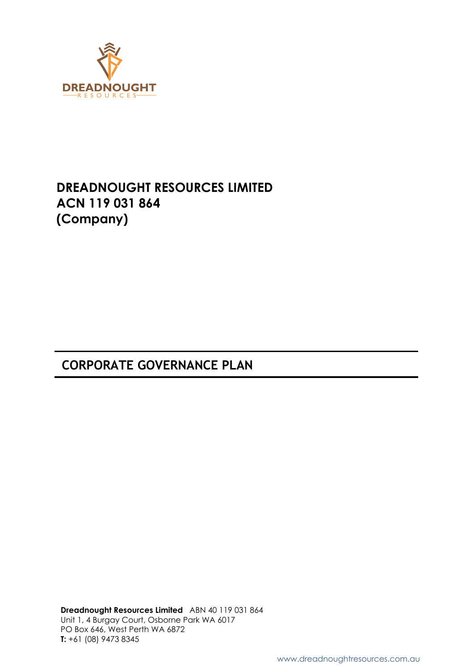

# **DREADNOUGHT RESOURCES LIMITED ACN 119 031 864 (Company)**

# **CORPORATE GOVERNANCE PLAN**

**Dreadnought Resources Limited** ABN 40 119 031 864 Unit 1, 4 Burgay Court, Osborne Park WA 6017 PO Box 646, West Perth WA 6872 **T:** +61 (08) 9473 8345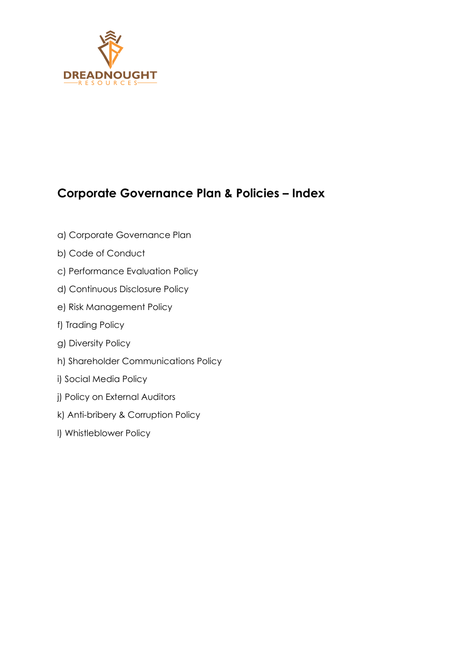

# **Corporate Governance Plan & Policies – Index**

- a) [Corporate Governance Plan](#page-2-0)
- b) [Code of Conduct](#page-36-0)
- c) [Performance Evaluation Policy](#page-57-0)
- d) [Continuous Disclosure Policy](#page-58-0)
- e) [Risk Management Policy](#page-66-0)
- f) [Trading Policy](#page-68-0)
- g) [Diversity Policy](#page-77-0)
- h) [Shareholder Communications Policy](#page-80-0)
- i) [Social Media Policy](#page-82-0)
- j) [Policy on External Auditors](#page-89-0)
- k) [Anti-bribery & Corruption Policy](#page-90-0)
- l) [Whistleblower Policy](#page-96-0)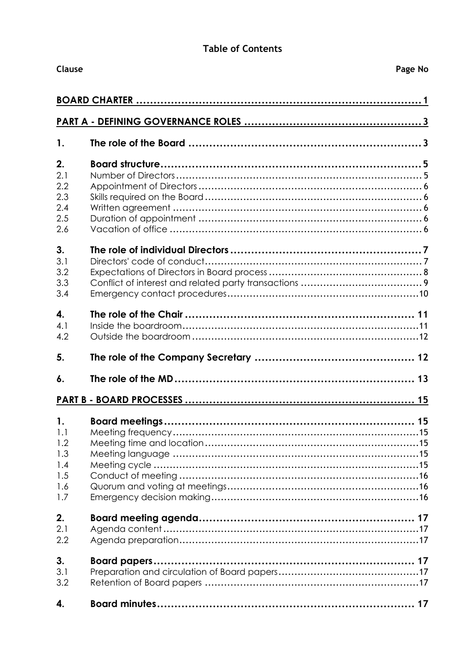## **Table of Contents**

<span id="page-2-0"></span>

|            | <b>Clause</b><br>Page No |  |  |
|------------|--------------------------|--|--|
|            |                          |  |  |
|            |                          |  |  |
| 1.         |                          |  |  |
| 2.         |                          |  |  |
| 2.1        |                          |  |  |
| 2.2        |                          |  |  |
| 2.3        |                          |  |  |
| 2.4        |                          |  |  |
| 2.5        |                          |  |  |
| 2.6        |                          |  |  |
| 3.         |                          |  |  |
| 3.1        |                          |  |  |
| 3.2<br>3.3 |                          |  |  |
| 3.4        |                          |  |  |
| 4.         |                          |  |  |
| 4.1        |                          |  |  |
| 4.2        |                          |  |  |
| 5.         |                          |  |  |
| 6.         |                          |  |  |
|            |                          |  |  |
|            |                          |  |  |
| 1.1        |                          |  |  |
| 1.2        |                          |  |  |
| 1.3        |                          |  |  |
| 1.4        |                          |  |  |
| 1.5        |                          |  |  |
| 1.6        |                          |  |  |
| 1.7        |                          |  |  |
| 2.         |                          |  |  |
| 2.1        |                          |  |  |
| 2.2        |                          |  |  |
| 3.         |                          |  |  |
| 3.1        |                          |  |  |
| 3.2        |                          |  |  |
| 4.         |                          |  |  |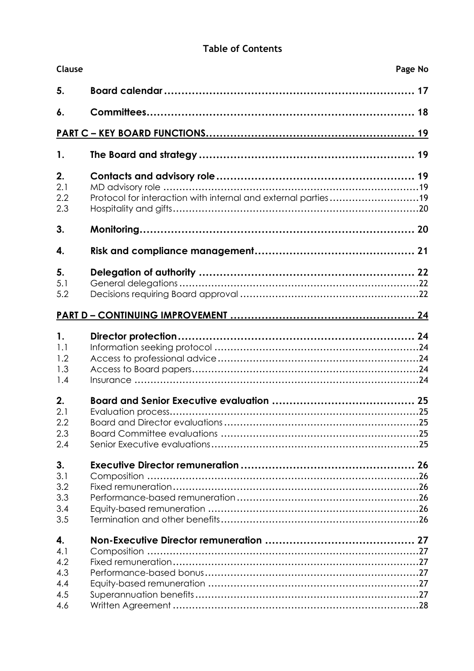## **Table of Contents**

| Clause           | Page No                                                       |  |
|------------------|---------------------------------------------------------------|--|
| 5.               |                                                               |  |
| 6.               |                                                               |  |
|                  |                                                               |  |
| $\mathbf{1}$ .   |                                                               |  |
| 2.<br>2.1        |                                                               |  |
| 2.2<br>2.3       | Protocol for interaction with internal and external parties19 |  |
| 3.               |                                                               |  |
| 4.               |                                                               |  |
| 5.<br>5.1<br>5.2 |                                                               |  |
|                  |                                                               |  |
|                  |                                                               |  |
| 1.<br>1.1        |                                                               |  |
| 1.2              |                                                               |  |
| 1.3<br>1.4       |                                                               |  |
| 2.               |                                                               |  |
| 2.1              |                                                               |  |
| 2.2              |                                                               |  |
| 2.3<br>2.4       |                                                               |  |
| 3.               |                                                               |  |
| 3.1              |                                                               |  |
| 3.2              |                                                               |  |
| 3.3              |                                                               |  |
| 3.4<br>3.5       |                                                               |  |
| 4.               |                                                               |  |
| 4.1              |                                                               |  |
| 4.2              |                                                               |  |
| 4.3<br>4.4       |                                                               |  |
| 4.5              |                                                               |  |
| 4.6              |                                                               |  |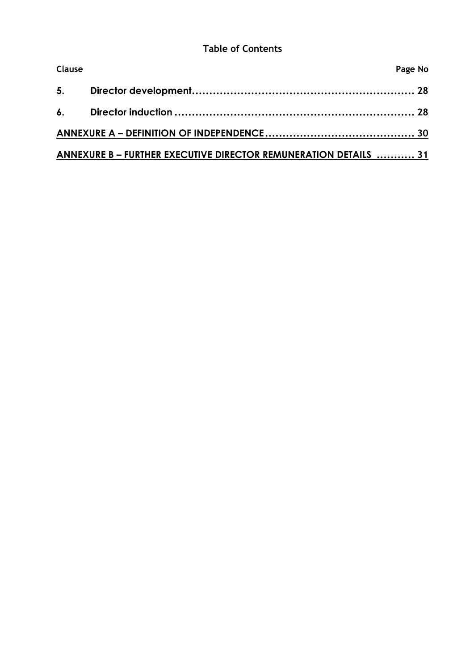## **Table of Contents**

| Clause |                                                                  | Page No |
|--------|------------------------------------------------------------------|---------|
|        |                                                                  |         |
|        |                                                                  |         |
|        |                                                                  |         |
|        | ANNEXURE B - FURTHER EXECUTIVE DIRECTOR REMUNERATION DETAILS  31 |         |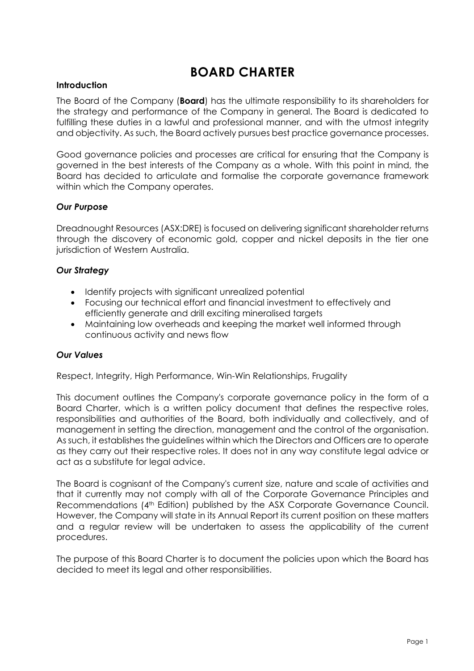# **BOARD CHARTER**

#### <span id="page-5-0"></span>**Introduction**

The Board of the Company (**Board**) has the ultimate responsibility to its shareholders for the strategy and performance of the Company in general. The Board is dedicated to fulfilling these duties in a lawful and professional manner, and with the utmost integrity and objectivity. As such, the Board actively pursues best practice governance processes.

Good governance policies and processes are critical for ensuring that the Company is governed in the best interests of the Company as a whole. With this point in mind, the Board has decided to articulate and formalise the corporate governance framework within which the Company operates.

### *Our Purpose*

Dreadnought Resources (ASX:DRE) is focused on delivering significant shareholder returns through the discovery of economic gold, copper and nickel deposits in the tier one jurisdiction of Western Australia.

### *Our Strategy*

- Identify projects with significant unrealized potential
- Focusing our technical effort and financial investment to effectively and efficiently generate and drill exciting mineralised targets
- Maintaining low overheads and keeping the market well informed through continuous activity and news flow

#### *Our Values*

Respect, Integrity, High Performance, Win-Win Relationships, Frugality

This document outlines the Company's corporate governance policy in the form of a Board Charter, which is a written policy document that defines the respective roles, responsibilities and authorities of the Board, both individually and collectively, and of management in setting the direction, management and the control of the organisation. As such, it establishes the guidelines within which the Directors and Officers are to operate as they carry out their respective roles. It does not in any way constitute legal advice or act as a substitute for legal advice.

The Board is cognisant of the Company's current size, nature and scale of activities and that it currently may not comply with all of the Corporate Governance Principles and Recommendations (4<sup>th</sup> Edition) published by the ASX Corporate Governance Council. However, the Company will state in its Annual Report its current position on these matters and a regular review will be undertaken to assess the applicability of the current procedures.

The purpose of this Board Charter is to document the policies upon which the Board has decided to meet its legal and other responsibilities.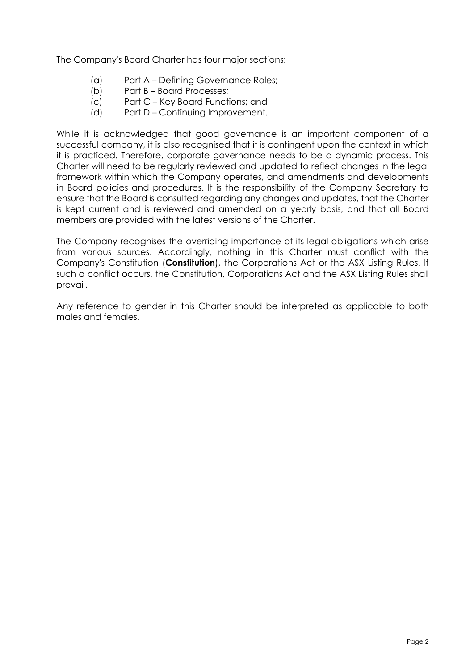The Company's Board Charter has four major sections:

- (a) Part A Defining Governance Roles;
- (b) Part B Board Processes;
- (c) Part C Key Board Functions; and
- (d) Part D Continuing Improvement.

While it is acknowledged that good governance is an important component of a successful company, it is also recognised that it is contingent upon the context in which it is practiced. Therefore, corporate governance needs to be a dynamic process. This Charter will need to be regularly reviewed and updated to reflect changes in the legal framework within which the Company operates, and amendments and developments in Board policies and procedures. It is the responsibility of the Company Secretary to ensure that the Board is consulted regarding any changes and updates, that the Charter is kept current and is reviewed and amended on a yearly basis, and that all Board members are provided with the latest versions of the Charter.

The Company recognises the overriding importance of its legal obligations which arise from various sources. Accordingly, nothing in this Charter must conflict with the Company's Constitution (**Constitution**), the Corporations Act or the ASX Listing Rules. If such a conflict occurs, the Constitution, Corporations Act and the ASX Listing Rules shall prevail.

Any reference to gender in this Charter should be interpreted as applicable to both males and females.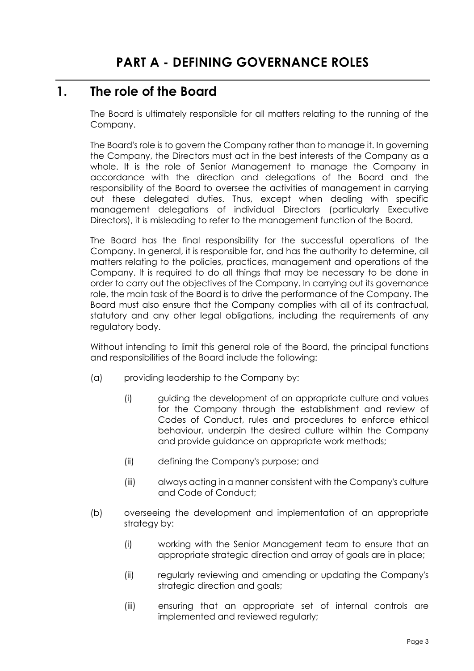## <span id="page-7-1"></span><span id="page-7-0"></span>**1. The role of the Board**

The Board is ultimately responsible for all matters relating to the running of the Company.

The Board's role is to govern the Company rather than to manage it. In governing the Company, the Directors must act in the best interests of the Company as a whole. It is the role of Senior Management to manage the Company in accordance with the direction and delegations of the Board and the responsibility of the Board to oversee the activities of management in carrying out these delegated duties. Thus, except when dealing with specific management delegations of individual Directors (particularly Executive Directors), it is misleading to refer to the management function of the Board.

The Board has the final responsibility for the successful operations of the Company. In general, it is responsible for, and has the authority to determine, all matters relating to the policies, practices, management and operations of the Company. It is required to do all things that may be necessary to be done in order to carry out the objectives of the Company. In carrying out its governance role, the main task of the Board is to drive the performance of the Company. The Board must also ensure that the Company complies with all of its contractual, statutory and any other legal obligations, including the requirements of any regulatory body.

Without intending to limit this general role of the Board, the principal functions and responsibilities of the Board include the following:

- (a) providing leadership to the Company by:
	- (i) guiding the development of an appropriate culture and values for the Company through the establishment and review of Codes of Conduct, rules and procedures to enforce ethical behaviour, underpin the desired culture within the Company and provide guidance on appropriate work methods;
	- (ii) defining the Company's purpose; and
	- (iii) always acting in a manner consistent with the Company's culture and Code of Conduct;
- (b) overseeing the development and implementation of an appropriate strategy by:
	- (i) working with the Senior Management team to ensure that an appropriate strategic direction and array of goals are in place;
	- (ii) regularly reviewing and amending or updating the Company's strategic direction and goals;
	- (iii) ensuring that an appropriate set of internal controls are implemented and reviewed regularly;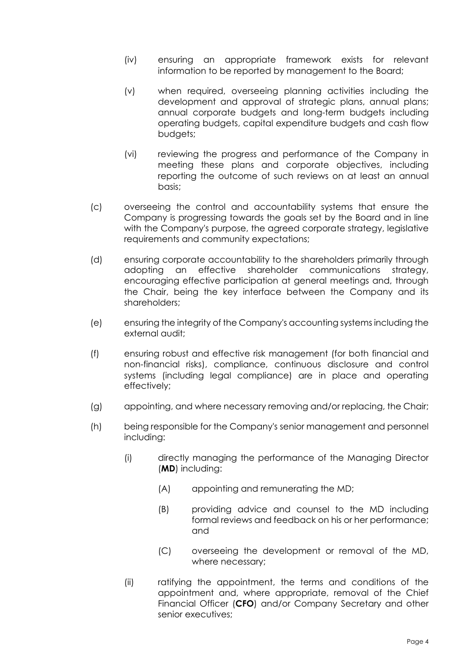- (iv) ensuring an appropriate framework exists for relevant information to be reported by management to the Board;
- (v) when required, overseeing planning activities including the development and approval of strategic plans, annual plans; annual corporate budgets and long-term budgets including operating budgets, capital expenditure budgets and cash flow budgets;
- (vi) reviewing the progress and performance of the Company in meeting these plans and corporate objectives, including reporting the outcome of such reviews on at least an annual basis;
- (c) overseeing the control and accountability systems that ensure the Company is progressing towards the goals set by the Board and in line with the Company's purpose, the agreed corporate strategy, legislative requirements and community expectations;
- (d) ensuring corporate accountability to the shareholders primarily through adopting an effective shareholder communications strategy, encouraging effective participation at general meetings and, through the Chair, being the key interface between the Company and its shareholders;
- (e) ensuring the integrity of the Company's accounting systems including the external audit;
- (f) ensuring robust and effective risk management (for both financial and non-financial risks), compliance, continuous disclosure and control systems (including legal compliance) are in place and operating effectively;
- (g) appointing, and where necessary removing and/or replacing, the Chair;
- (h) being responsible for the Company's senior management and personnel including:
	- (i) directly managing the performance of the Managing Director (**MD**) including:
		- (A) appointing and remunerating the MD;
		- (B) providing advice and counsel to the MD including formal reviews and feedback on his or her performance; and
		- (C) overseeing the development or removal of the MD, where necessary;
	- (ii) ratifying the appointment, the terms and conditions of the appointment and, where appropriate, removal of the Chief Financial Officer (**CFO**) and/or Company Secretary and other senior executives;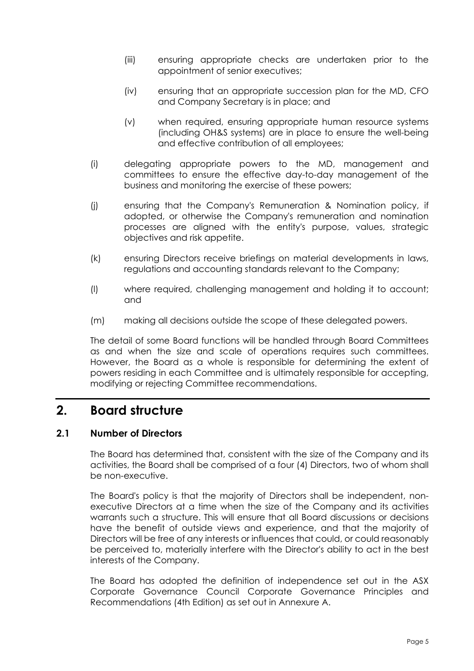- (iii) ensuring appropriate checks are undertaken prior to the appointment of senior executives;
- (iv) ensuring that an appropriate succession plan for the MD, CFO and Company Secretary is in place; and
- (v) when required, ensuring appropriate human resource systems (including OH&S systems) are in place to ensure the well-being and effective contribution of all employees;
- (i) delegating appropriate powers to the MD, management and committees to ensure the effective day-to-day management of the business and monitoring the exercise of these powers;
- (j) ensuring that the Company's Remuneration & Nomination policy, if adopted, or otherwise the Company's remuneration and nomination processes are aligned with the entity's purpose, values, strategic objectives and risk appetite.
- (k) ensuring Directors receive briefings on material developments in laws, regulations and accounting standards relevant to the Company;
- (l) where required, challenging management and holding it to account; and
- (m) making all decisions outside the scope of these delegated powers.

The detail of some Board functions will be handled through Board Committees as and when the size and scale of operations requires such committees. However, the Board as a whole is responsible for determining the extent of powers residing in each Committee and is ultimately responsible for accepting, modifying or rejecting Committee recommendations.

## <span id="page-9-0"></span>**2. Board structure**

### <span id="page-9-1"></span>**2.1 Number of Directors**

The Board has determined that, consistent with the size of the Company and its activities, the Board shall be comprised of a four (4) Directors, two of whom shall be non-executive.

The Board's policy is that the majority of Directors shall be independent, nonexecutive Directors at a time when the size of the Company and its activities warrants such a structure. This will ensure that all Board discussions or decisions have the benefit of outside views and experience, and that the majority of Directors will be free of any interests or influences that could, or could reasonably be perceived to, materially interfere with the Director's ability to act in the best interests of the Company.

The Board has adopted the definition of independence set out in the ASX Corporate Governance Council Corporate Governance Principles and Recommendations (4th Edition) as set out in Annexure A.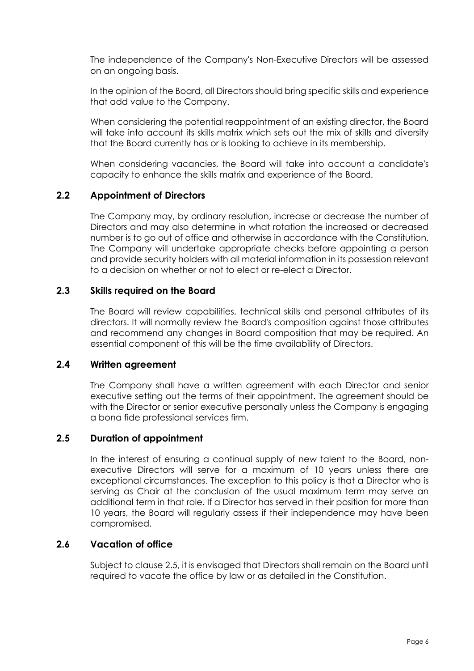The independence of the Company's Non-Executive Directors will be assessed on an ongoing basis.

In the opinion of the Board, all Directors should bring specific skills and experience that add value to the Company.

When considering the potential reappointment of an existing director, the Board will take into account its skills matrix which sets out the mix of skills and diversity that the Board currently has or is looking to achieve in its membership.

When considering vacancies, the Board will take into account a candidate's capacity to enhance the skills matrix and experience of the Board.

### <span id="page-10-0"></span>**2.2 Appointment of Directors**

The Company may, by ordinary resolution, increase or decrease the number of Directors and may also determine in what rotation the increased or decreased number is to go out of office and otherwise in accordance with the Constitution. The Company will undertake appropriate checks before appointing a person and provide security holders with all material information in its possession relevant to a decision on whether or not to elect or re-elect a Director.

### <span id="page-10-1"></span>**2.3 Skills required on the Board**

The Board will review capabilities, technical skills and personal attributes of its directors. It will normally review the Board's composition against those attributes and recommend any changes in Board composition that may be required. An essential component of this will be the time availability of Directors.

#### <span id="page-10-2"></span>**2.4 Written agreement**

The Company shall have a written agreement with each Director and senior executive setting out the terms of their appointment. The agreement should be with the Director or senior executive personally unless the Company is engaging a bona fide professional services firm.

### <span id="page-10-3"></span>**2.5 Duration of appointment**

In the interest of ensuring a continual supply of new talent to the Board, nonexecutive Directors will serve for a maximum of 10 years unless there are exceptional circumstances. The exception to this policy is that a Director who is serving as Chair at the conclusion of the usual maximum term may serve an additional term in that role. If a Director has served in their position for more than 10 years, the Board will regularly assess if their independence may have been compromised.

### <span id="page-10-4"></span>**2.6 Vacation of office**

Subject to clause [2.5,](#page-10-3) it is envisaged that Directors shall remain on the Board until required to vacate the office by law or as detailed in the Constitution.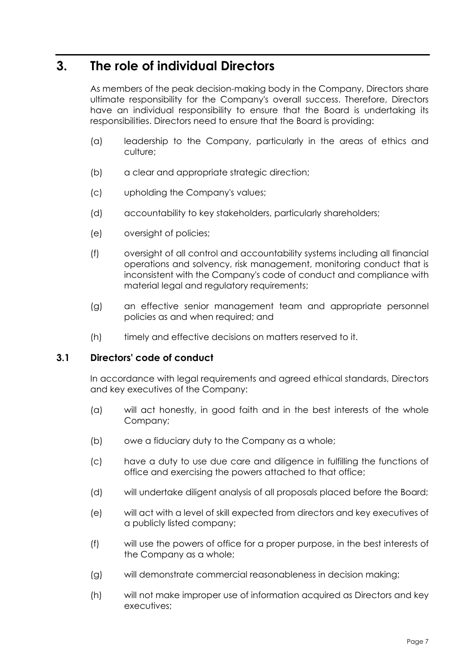# <span id="page-11-0"></span>**3. The role of individual Directors**

As members of the peak decision-making body in the Company, Directors share ultimate responsibility for the Company's overall success. Therefore, Directors have an individual responsibility to ensure that the Board is undertaking its responsibilities. Directors need to ensure that the Board is providing:

- (a) leadership to the Company, particularly in the areas of ethics and culture;
- (b) a clear and appropriate strategic direction;
- (c) upholding the Company's values;
- (d) accountability to key stakeholders, particularly shareholders;
- (e) oversight of policies;
- (f) oversight of all control and accountability systems including all financial operations and solvency, risk management, monitoring conduct that is inconsistent with the Company's code of conduct and compliance with material legal and regulatory requirements;
- (g) an effective senior management team and appropriate personnel policies as and when required; and
- (h) timely and effective decisions on matters reserved to it.

### <span id="page-11-1"></span>**3.1 Directors' code of conduct**

In accordance with legal requirements and agreed ethical standards, Directors and key executives of the Company:

- (a) will act honestly, in good faith and in the best interests of the whole Company;
- (b) owe a fiduciary duty to the Company as a whole:
- (c) have a duty to use due care and diligence in fulfilling the functions of office and exercising the powers attached to that office;
- (d) will undertake diligent analysis of all proposals placed before the Board;
- (e) will act with a level of skill expected from directors and key executives of a publicly listed company;
- (f) will use the powers of office for a proper purpose, in the best interests of the Company as a whole;
- (g) will demonstrate commercial reasonableness in decision making;
- (h) will not make improper use of information acquired as Directors and key executives;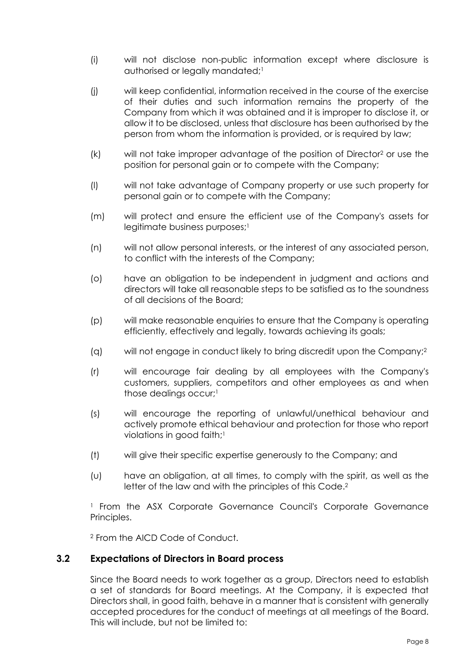- (i) will not disclose non-public information except where disclosure is authorised or legally mandated;<sup>1</sup>
- (j) will keep confidential, information received in the course of the exercise of their duties and such information remains the property of the Company from which it was obtained and it is improper to disclose it, or allow it to be disclosed, unless that disclosure has been authorised by the person from whom the information is provided, or is required by law;
- (k) will not take improper advantage of the position of Director2 or use the position for personal gain or to compete with the Company;
- (l) will not take advantage of Company property or use such property for personal gain or to compete with the Company;
- (m) will protect and ensure the efficient use of the Company's assets for legitimate business purposes;<sup>1</sup>
- (n) will not allow personal interests, or the interest of any associated person, to conflict with the interests of the Company;
- (o) have an obligation to be independent in judgment and actions and directors will take all reasonable steps to be satisfied as to the soundness of all decisions of the Board;
- (p) will make reasonable enquiries to ensure that the Company is operating efficiently, effectively and legally, towards achieving its goals;
- (q) will not engage in conduct likely to bring discredit upon the Company;2
- (r) will encourage fair dealing by all employees with the Company's customers, suppliers, competitors and other employees as and when those dealings occur;<sup>1</sup>
- (s) will encourage the reporting of unlawful/unethical behaviour and actively promote ethical behaviour and protection for those who report violations in good faith;<sup>1</sup>
- (t) will give their specific expertise generously to the Company; and
- (u) have an obligation, at all times, to comply with the spirit, as well as the letter of the law and with the principles of this Code.<sup>2</sup>

<sup>1</sup> From the ASX Corporate Governance Council's Corporate Governance Principles.

<sup>2</sup> From the AICD Code of Conduct.

### <span id="page-12-0"></span>**3.2 Expectations of Directors in Board process**

Since the Board needs to work together as a group, Directors need to establish a set of standards for Board meetings. At the Company, it is expected that Directors shall, in good faith, behave in a manner that is consistent with generally accepted procedures for the conduct of meetings at all meetings of the Board. This will include, but not be limited to: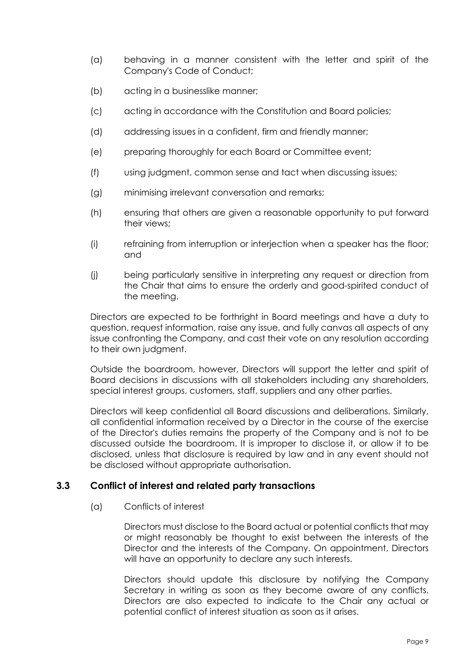- (a) behaving in a manner consistent with the letter and spirit of the Company's Code of Conduct;
- (b) acting in a businesslike manner;
- (c) acting in accordance with the Constitution and Board policies;
- (d) addressing issues in a confident, firm and friendly manner;
- (e) preparing thoroughly for each Board or Committee event;
- (f) using judgment, common sense and tact when discussing issues;
- (g) minimising irrelevant conversation and remarks;
- (h) ensuring that others are given a reasonable opportunity to put forward their views;
- (i) refraining from interruption or interjection when a speaker has the floor; and
- (j) being particularly sensitive in interpreting any request or direction from the Chair that aims to ensure the orderly and good-spirited conduct of the meeting.

Directors are expected to be forthright in Board meetings and have a duty to question, request information, raise any issue, and fully canvas all aspects of any issue confronting the Company, and cast their vote on any resolution according to their own judgment.

Outside the boardroom, however, Directors will support the letter and spirit of Board decisions in discussions with all stakeholders including any shareholders, special interest groups, customers, staff, suppliers and any other parties.

Directors will keep confidential all Board discussions and deliberations. Similarly, all confidential information received by a Director in the course of the exercise of the Director's duties remains the property of the Company and is not to be discussed outside the boardroom. It is improper to disclose it, or allow it to be disclosed, unless that disclosure is required by law and in any event should not be disclosed without appropriate authorisation.

### <span id="page-13-0"></span>**3.3 Conflict of interest and related party transactions**

(a) Conflicts of interest

Directors must disclose to the Board actual or potential conflicts that may or might reasonably be thought to exist between the interests of the Director and the interests of the Company. On appointment, Directors will have an opportunity to declare any such interests.

Directors should update this disclosure by notifying the Company Secretary in writing as soon as they become aware of any conflicts. Directors are also expected to indicate to the Chair any actual or potential conflict of interest situation as soon as it arises.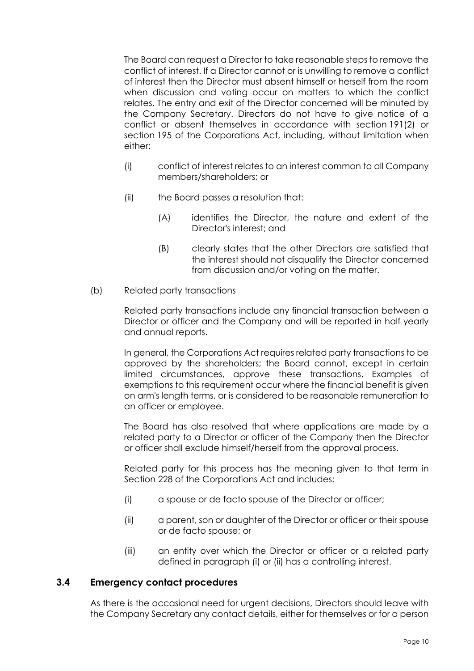The Board can request a Director to take reasonable steps to remove the conflict of interest. If a Director cannot or is unwilling to remove a conflict of interest then the Director must absent himself or herself from the room when discussion and voting occur on matters to which the conflict relates. The entry and exit of the Director concerned will be minuted by the Company Secretary. Directors do not have to give notice of a conflict or absent themselves in accordance with section 191(2) or section 195 of the Corporations Act, including, without limitation when either:

- (i) conflict of interest relates to an interest common to all Company members/shareholders; or
- (ii) the Board passes a resolution that:
	- (A) identifies the Director, the nature and extent of the Director's interest; and
	- (B) clearly states that the other Directors are satisfied that the interest should not disqualify the Director concerned from discussion and/or voting on the matter.
- (b) Related party transactions

Related party transactions include any financial transaction between a Director or officer and the Company and will be reported in half yearly and annual reports.

In general, the Corporations Act requires related party transactions to be approved by the shareholders; the Board cannot, except in certain limited circumstances, approve these transactions. Examples of exemptions to this requirement occur where the financial benefit is given on arm's length terms, or is considered to be reasonable remuneration to an officer or employee.

The Board has also resolved that where applications are made by a related party to a Director or officer of the Company then the Director or officer shall exclude himself/herself from the approval process.

Related party for this process has the meaning given to that term in Section 228 of the Corporations Act and includes:

- <span id="page-14-2"></span><span id="page-14-1"></span>(i) a spouse or de facto spouse of the Director or officer;
- (ii) a parent, son or daughter of the Director or officer or their spouse or de facto spouse; or
- (iii) an entity over which the Director or officer or a related party defined in paragraph [\(i\)](#page-14-1) or [\(ii\)](#page-14-2) has a controlling interest.

### <span id="page-14-0"></span>**3.4 Emergency contact procedures**

As there is the occasional need for urgent decisions, Directors should leave with the Company Secretary any contact details, either for themselves or for a person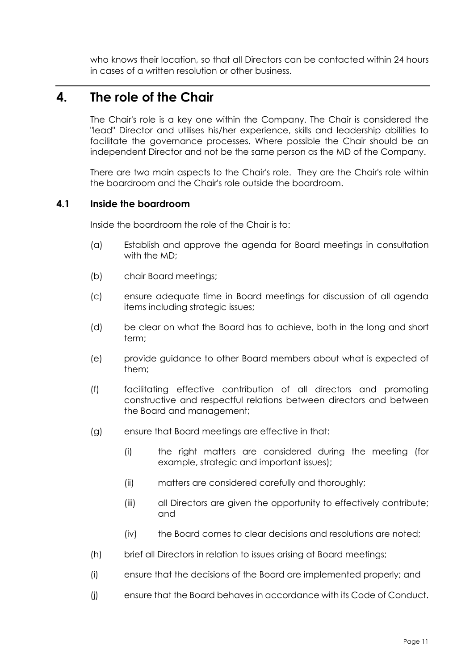who knows their location, so that all Directors can be contacted within 24 hours in cases of a written resolution or other business.

# <span id="page-15-0"></span>**4. The role of the Chair**

The Chair's role is a key one within the Company. The Chair is considered the "lead" Director and utilises his/her experience, skills and leadership abilities to facilitate the governance processes. Where possible the Chair should be an independent Director and not be the same person as the MD of the Company.

There are two main aspects to the Chair's role. They are the Chair's role within the boardroom and the Chair's role outside the boardroom.

### <span id="page-15-1"></span>**4.1 Inside the boardroom**

Inside the boardroom the role of the Chair is to:

- (a) Establish and approve the agenda for Board meetings in consultation with the MD;
- (b) chair Board meetings;
- (c) ensure adequate time in Board meetings for discussion of all agenda items including strategic issues;
- (d) be clear on what the Board has to achieve, both in the long and short term;
- (e) provide guidance to other Board members about what is expected of them;
- (f) facilitating effective contribution of all directors and promoting constructive and respectful relations between directors and between the Board and management;
- (g) ensure that Board meetings are effective in that:
	- (i) the right matters are considered during the meeting (for example, strategic and important issues);
	- (ii) matters are considered carefully and thoroughly;
	- (iii) all Directors are given the opportunity to effectively contribute; and
	- (iv) the Board comes to clear decisions and resolutions are noted;
- (h) brief all Directors in relation to issues arising at Board meetings;
- (i) ensure that the decisions of the Board are implemented properly; and
- (j) ensure that the Board behaves in accordance with its Code of Conduct.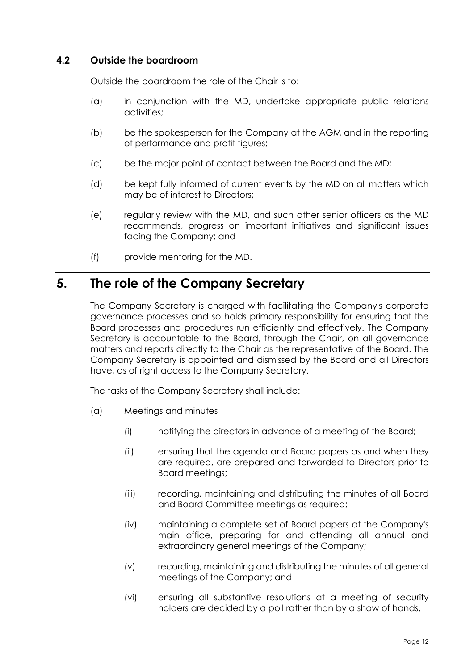### <span id="page-16-0"></span>**4.2 Outside the boardroom**

Outside the boardroom the role of the Chair is to:

- (a) in conjunction with the MD, undertake appropriate public relations activities;
- (b) be the spokesperson for the Company at the AGM and in the reporting of performance and profit figures;
- (c) be the major point of contact between the Board and the MD;
- (d) be kept fully informed of current events by the MD on all matters which may be of interest to Directors;
- (e) regularly review with the MD, and such other senior officers as the MD recommends, progress on important initiatives and significant issues facing the Company; and
- (f) provide mentoring for the MD.

# <span id="page-16-1"></span>**5. The role of the Company Secretary**

The Company Secretary is charged with facilitating the Company's corporate governance processes and so holds primary responsibility for ensuring that the Board processes and procedures run efficiently and effectively. The Company Secretary is accountable to the Board, through the Chair, on all governance matters and reports directly to the Chair as the representative of the Board. The Company Secretary is appointed and dismissed by the Board and all Directors have, as of right access to the Company Secretary.

The tasks of the Company Secretary shall include:

- (a) Meetings and minutes
	- (i) notifying the directors in advance of a meeting of the Board;
	- (ii) ensuring that the agenda and Board papers as and when they are required, are prepared and forwarded to Directors prior to Board meetings;
	- (iii) recording, maintaining and distributing the minutes of all Board and Board Committee meetings as required;
	- (iv) maintaining a complete set of Board papers at the Company's main office, preparing for and attending all annual and extraordinary general meetings of the Company;
	- (v) recording, maintaining and distributing the minutes of all general meetings of the Company; and
	- (vi) ensuring all substantive resolutions at a meeting of security holders are decided by a poll rather than by a show of hands.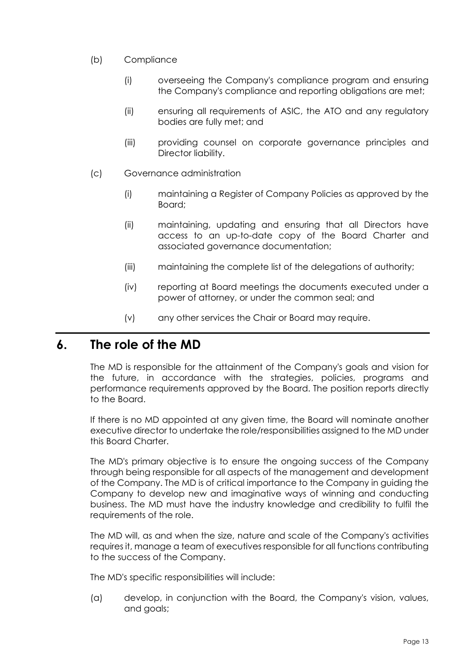- (b) Compliance
	- (i) overseeing the Company's compliance program and ensuring the Company's compliance and reporting obligations are met;
	- (ii) ensuring all requirements of ASIC, the ATO and any regulatory bodies are fully met; and
	- (iii) providing counsel on corporate governance principles and Director liability.
- (c) Governance administration
	- (i) maintaining a Register of Company Policies as approved by the Board;
	- (ii) maintaining, updating and ensuring that all Directors have access to an up-to-date copy of the Board Charter and associated governance documentation;
	- (iii) maintaining the complete list of the delegations of authority;
	- (iv) reporting at Board meetings the documents executed under a power of attorney, or under the common seal; and
	- (v) any other services the Chair or Board may require.

## <span id="page-17-0"></span>**6. The role of the MD**

The MD is responsible for the attainment of the Company's goals and vision for the future, in accordance with the strategies, policies, programs and performance requirements approved by the Board. The position reports directly to the Board.

If there is no MD appointed at any given time, the Board will nominate another executive director to undertake the role/responsibilities assigned to the MD under this Board Charter.

The MD's primary objective is to ensure the ongoing success of the Company through being responsible for all aspects of the management and development of the Company. The MD is of critical importance to the Company in guiding the Company to develop new and imaginative ways of winning and conducting business. The MD must have the industry knowledge and credibility to fulfil the requirements of the role.

The MD will, as and when the size, nature and scale of the Company's activities requires it, manage a team of executives responsible for all functions contributing to the success of the Company.

The MD's specific responsibilities will include:

(a) develop, in conjunction with the Board, the Company's vision, values, and goals;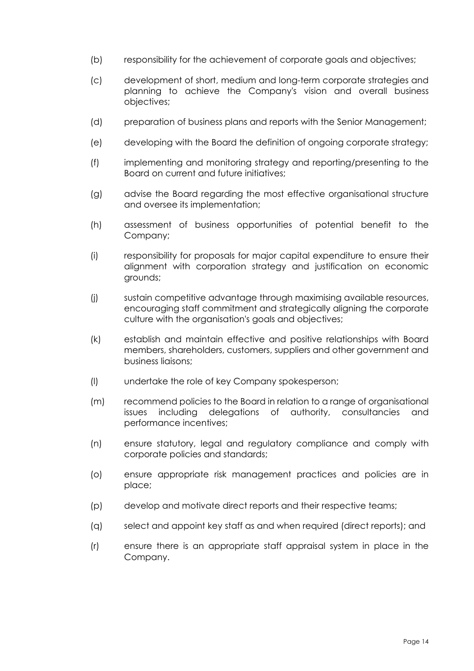- (b) responsibility for the achievement of corporate goals and objectives;
- (c) development of short, medium and long-term corporate strategies and planning to achieve the Company's vision and overall business objectives;
- (d) preparation of business plans and reports with the Senior Management;
- (e) developing with the Board the definition of ongoing corporate strategy;
- (f) implementing and monitoring strategy and reporting/presenting to the Board on current and future initiatives;
- (g) advise the Board regarding the most effective organisational structure and oversee its implementation;
- (h) assessment of business opportunities of potential benefit to the Company;
- (i) responsibility for proposals for major capital expenditure to ensure their alignment with corporation strategy and justification on economic grounds;
- (j) sustain competitive advantage through maximising available resources, encouraging staff commitment and strategically aligning the corporate culture with the organisation's goals and objectives;
- (k) establish and maintain effective and positive relationships with Board members, shareholders, customers, suppliers and other government and business liaisons;
- (l) undertake the role of key Company spokesperson;
- (m) recommend policies to the Board in relation to a range of organisational issues including delegations of authority, consultancies and performance incentives;
- (n) ensure statutory, legal and regulatory compliance and comply with corporate policies and standards;
- (o) ensure appropriate risk management practices and policies are in place;
- (p) develop and motivate direct reports and their respective teams;
- (q) select and appoint key staff as and when required (direct reports); and
- (r) ensure there is an appropriate staff appraisal system in place in the Company.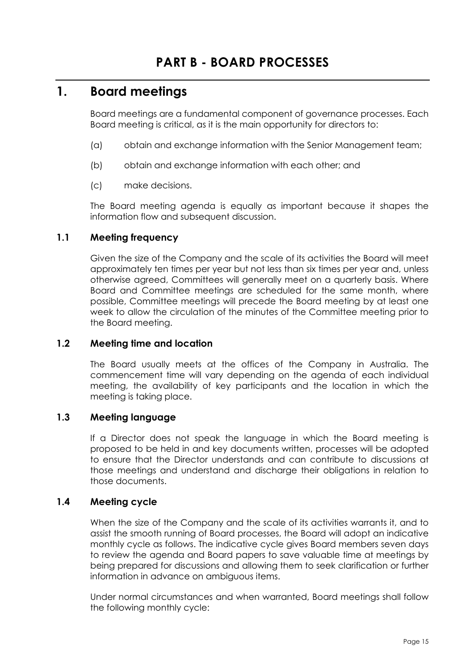# <span id="page-19-1"></span><span id="page-19-0"></span>**1. Board meetings**

Board meetings are a fundamental component of governance processes. Each Board meeting is critical, as it is the main opportunity for directors to:

- (a) obtain and exchange information with the Senior Management team;
- (b) obtain and exchange information with each other; and
- (c) make decisions.

The Board meeting agenda is equally as important because it shapes the information flow and subsequent discussion.

### <span id="page-19-2"></span>**1.1 Meeting frequency**

Given the size of the Company and the scale of its activities the Board will meet approximately ten times per year but not less than six times per year and, unless otherwise agreed, Committees will generally meet on a quarterly basis. Where Board and Committee meetings are scheduled for the same month, where possible, Committee meetings will precede the Board meeting by at least one week to allow the circulation of the minutes of the Committee meeting prior to the Board meeting.

### <span id="page-19-3"></span>**1.2 Meeting time and location**

The Board usually meets at the offices of the Company in Australia. The commencement time will vary depending on the agenda of each individual meeting, the availability of key participants and the location in which the meeting is taking place.

### <span id="page-19-4"></span>**1.3 Meeting language**

If a Director does not speak the language in which the Board meeting is proposed to be held in and key documents written, processes will be adopted to ensure that the Director understands and can contribute to discussions at those meetings and understand and discharge their obligations in relation to those documents.

### <span id="page-19-5"></span>**1.4 Meeting cycle**

When the size of the Company and the scale of its activities warrants it, and to assist the smooth running of Board processes, the Board will adopt an indicative monthly cycle as follows. The indicative cycle gives Board members seven days to review the agenda and Board papers to save valuable time at meetings by being prepared for discussions and allowing them to seek clarification or further information in advance on ambiguous items.

Under normal circumstances and when warranted, Board meetings shall follow the following monthly cycle: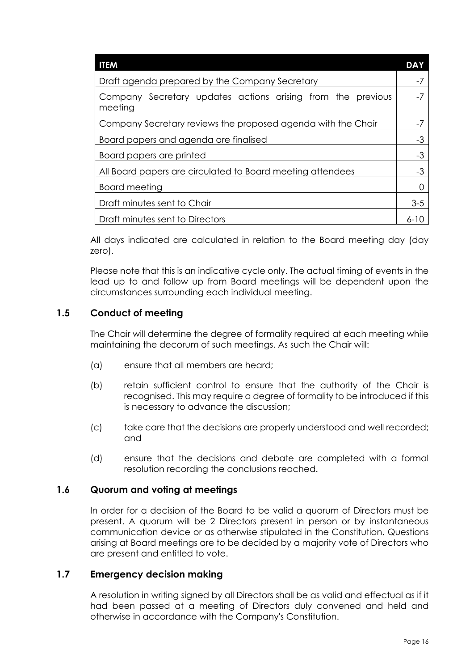| <b>ITEM</b>                                                            | DAY      |
|------------------------------------------------------------------------|----------|
| Draft agenda prepared by the Company Secretary                         |          |
| Company Secretary updates actions arising from the previous<br>meeting |          |
| Company Secretary reviews the proposed agenda with the Chair           | -7       |
| Board papers and agenda are finalised                                  |          |
| Board papers are printed                                               |          |
| All Board papers are circulated to Board meeting attendees             | -3       |
| Board meeting                                                          |          |
| Draft minutes sent to Chair                                            | $3 - 5$  |
| Draft minutes sent to Directors                                        | $6 - 10$ |

All days indicated are calculated in relation to the Board meeting day (day zero).

Please note that this is an indicative cycle only. The actual timing of events in the lead up to and follow up from Board meetings will be dependent upon the circumstances surrounding each individual meeting.

## <span id="page-20-0"></span>**1.5 Conduct of meeting**

The Chair will determine the degree of formality required at each meeting while maintaining the decorum of such meetings. As such the Chair will:

- (a) ensure that all members are heard;
- (b) retain sufficient control to ensure that the authority of the Chair is recognised. This may require a degree of formality to be introduced if this is necessary to advance the discussion;
- (c) take care that the decisions are properly understood and well recorded; and
- (d) ensure that the decisions and debate are completed with a formal resolution recording the conclusions reached.

### <span id="page-20-1"></span>**1.6 Quorum and voting at meetings**

In order for a decision of the Board to be valid a quorum of Directors must be present. A quorum will be 2 Directors present in person or by instantaneous communication device or as otherwise stipulated in the Constitution. Questions arising at Board meetings are to be decided by a majority vote of Directors who are present and entitled to vote.

### <span id="page-20-2"></span>**1.7 Emergency decision making**

A resolution in writing signed by all Directors shall be as valid and effectual as if it had been passed at a meeting of Directors duly convened and held and otherwise in accordance with the Company's Constitution.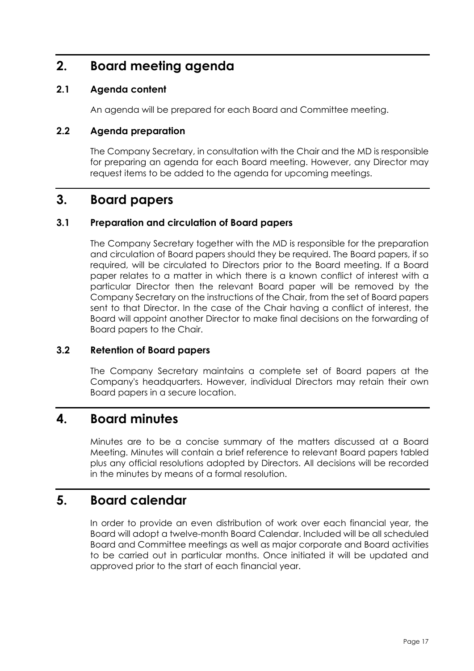# <span id="page-21-0"></span>**2. Board meeting agenda**

## <span id="page-21-1"></span>**2.1 Agenda content**

An agenda will be prepared for each Board and Committee meeting.

## <span id="page-21-2"></span>**2.2 Agenda preparation**

The Company Secretary, in consultation with the Chair and the MD is responsible for preparing an agenda for each Board meeting. However, any Director may request items to be added to the agenda for upcoming meetings.

## <span id="page-21-3"></span>**3. Board papers**

### <span id="page-21-4"></span>**3.1 Preparation and circulation of Board papers**

The Company Secretary together with the MD is responsible for the preparation and circulation of Board papers should they be required. The Board papers, if so required, will be circulated to Directors prior to the Board meeting. If a Board paper relates to a matter in which there is a known conflict of interest with a particular Director then the relevant Board paper will be removed by the Company Secretary on the instructions of the Chair, from the set of Board papers sent to that Director. In the case of the Chair having a conflict of interest, the Board will appoint another Director to make final decisions on the forwarding of Board papers to the Chair.

### <span id="page-21-5"></span>**3.2 Retention of Board papers**

The Company Secretary maintains a complete set of Board papers at the Company's headquarters. However, individual Directors may retain their own Board papers in a secure location.

## <span id="page-21-6"></span>**4. Board minutes**

Minutes are to be a concise summary of the matters discussed at a Board Meeting. Minutes will contain a brief reference to relevant Board papers tabled plus any official resolutions adopted by Directors. All decisions will be recorded in the minutes by means of a formal resolution.

## <span id="page-21-7"></span>**5. Board calendar**

In order to provide an even distribution of work over each financial year, the Board will adopt a twelve-month Board Calendar. Included will be all scheduled Board and Committee meetings as well as major corporate and Board activities to be carried out in particular months. Once initiated it will be updated and approved prior to the start of each financial year.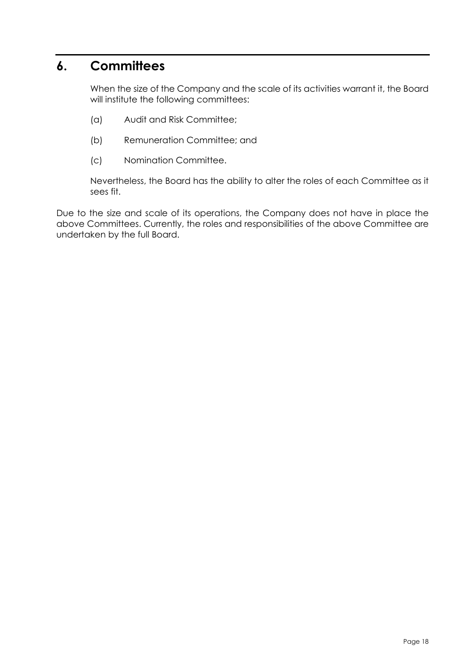# <span id="page-22-0"></span>**6. Committees**

When the size of the Company and the scale of its activities warrant it, the Board will institute the following committees:

- (a) Audit and Risk Committee;
- (b) Remuneration Committee; and
- (c) Nomination Committee.

Nevertheless, the Board has the ability to alter the roles of each Committee as it sees fit.

<span id="page-22-1"></span>Due to the size and scale of its operations, the Company does not have in place the above Committees. Currently, the roles and responsibilities of the above Committee are undertaken by the full Board.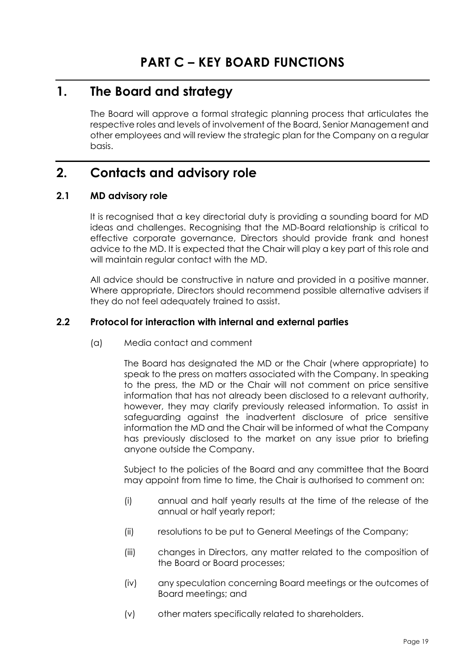# <span id="page-23-0"></span>**1. The Board and strategy**

The Board will approve a formal strategic planning process that articulates the respective roles and levels of involvement of the Board, Senior Management and other employees and will review the strategic plan for the Company on a regular basis.

# <span id="page-23-1"></span>**2. Contacts and advisory role**

### <span id="page-23-2"></span>**2.1 MD advisory role**

It is recognised that a key directorial duty is providing a sounding board for MD ideas and challenges. Recognising that the MD-Board relationship is critical to effective corporate governance, Directors should provide frank and honest advice to the MD. It is expected that the Chair will play a key part of this role and will maintain regular contact with the MD.

All advice should be constructive in nature and provided in a positive manner. Where appropriate, Directors should recommend possible alternative advisers if they do not feel adequately trained to assist.

### <span id="page-23-3"></span>**2.2 Protocol for interaction with internal and external parties**

(a) Media contact and comment

The Board has designated the MD or the Chair (where appropriate) to speak to the press on matters associated with the Company. In speaking to the press, the MD or the Chair will not comment on price sensitive information that has not already been disclosed to a relevant authority, however, they may clarify previously released information. To assist in safeguarding against the inadvertent disclosure of price sensitive information the MD and the Chair will be informed of what the Company has previously disclosed to the market on any issue prior to briefing anyone outside the Company.

Subject to the policies of the Board and any committee that the Board may appoint from time to time, the Chair is authorised to comment on:

- (i) annual and half yearly results at the time of the release of the annual or half yearly report;
- (ii) resolutions to be put to General Meetings of the Company;
- (iii) changes in Directors, any matter related to the composition of the Board or Board processes;
- (iv) any speculation concerning Board meetings or the outcomes of Board meetings; and
- (v) other maters specifically related to shareholders.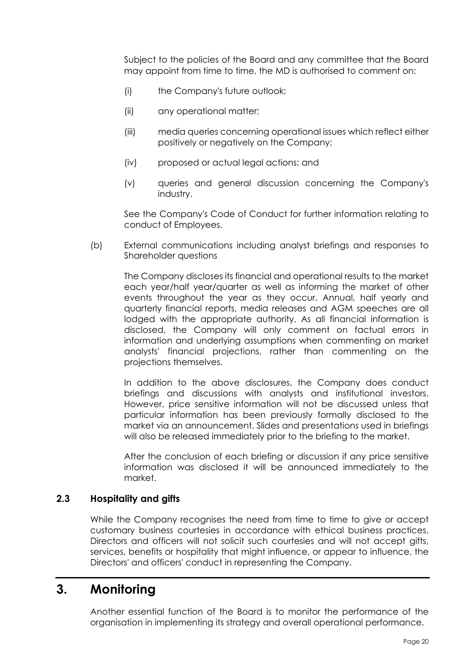Subject to the policies of the Board and any committee that the Board may appoint from time to time, the MD is authorised to comment on:

- (i) the Company's future outlook;
- (ii) any operational matter;
- (iii) media queries concerning operational issues which reflect either positively or negatively on the Company;
- (iv) proposed or actual legal actions; and
- (v) queries and general discussion concerning the Company's industry.

See the Company's Code of Conduct for further information relating to conduct of Employees.

(b) External communications including analyst briefings and responses to Shareholder questions

The Company discloses its financial and operational results to the market each year/half year/quarter as well as informing the market of other events throughout the year as they occur. Annual, half yearly and quarterly financial reports, media releases and AGM speeches are all lodged with the appropriate authority. As all financial information is disclosed, the Company will only comment on factual errors in information and underlying assumptions when commenting on market analysts' financial projections, rather than commenting on the projections themselves.

In addition to the above disclosures, the Company does conduct briefings and discussions with analysts and institutional investors. However, price sensitive information will not be discussed unless that particular information has been previously formally disclosed to the market via an announcement. Slides and presentations used in briefings will also be released immediately prior to the briefing to the market.

After the conclusion of each briefing or discussion if any price sensitive information was disclosed it will be announced immediately to the market.

#### <span id="page-24-0"></span>**2.3 Hospitality and gifts**

While the Company recognises the need from time to time to give or accept customary business courtesies in accordance with ethical business practices, Directors and officers will not solicit such courtesies and will not accept gifts, services, benefits or hospitality that might influence, or appear to influence, the Directors' and officers' conduct in representing the Company.

## <span id="page-24-1"></span>**3. Monitoring**

Another essential function of the Board is to monitor the performance of the organisation in implementing its strategy and overall operational performance.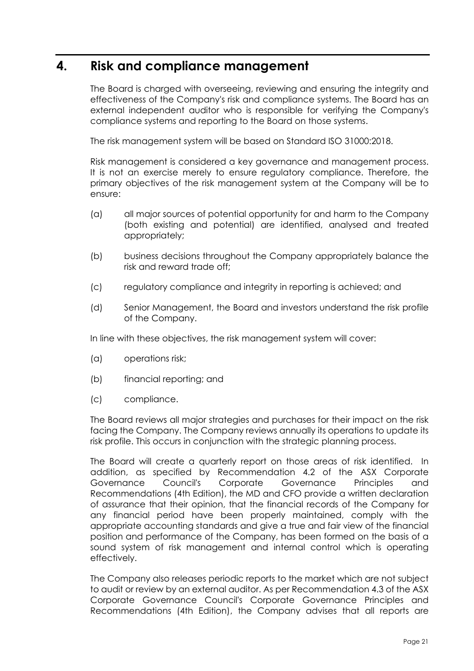## <span id="page-25-0"></span>**4. Risk and compliance management**

The Board is charged with overseeing, reviewing and ensuring the integrity and effectiveness of the Company's risk and compliance systems. The Board has an external independent auditor who is responsible for verifying the Company's compliance systems and reporting to the Board on those systems.

The risk management system will be based on Standard ISO 31000:2018.

Risk management is considered a key governance and management process. It is not an exercise merely to ensure regulatory compliance. Therefore, the primary objectives of the risk management system at the Company will be to ensure:

- (a) all major sources of potential opportunity for and harm to the Company (both existing and potential) are identified, analysed and treated appropriately;
- (b) business decisions throughout the Company appropriately balance the risk and reward trade off;
- (c) regulatory compliance and integrity in reporting is achieved; and
- (d) Senior Management, the Board and investors understand the risk profile of the Company.

In line with these objectives, the risk management system will cover:

- (a) operations risk;
- (b) financial reporting; and
- (c) compliance.

The Board reviews all major strategies and purchases for their impact on the risk facing the Company. The Company reviews annually its operations to update its risk profile. This occurs in conjunction with the strategic planning process.

The Board will create a quarterly report on those areas of risk identified. In addition, as specified by Recommendation 4.2 of the ASX Corporate Governance Council's Corporate Governance Principles and Recommendations (4th Edition), the MD and CFO provide a written declaration of assurance that their opinion, that the financial records of the Company for any financial period have been properly maintained, comply with the appropriate accounting standards and give a true and fair view of the financial position and performance of the Company, has been formed on the basis of a sound system of risk management and internal control which is operating effectively.

The Company also releases periodic reports to the market which are not subject to audit or review by an external auditor. As per Recommendation 4.3 of the ASX Corporate Governance Council's Corporate Governance Principles and Recommendations (4th Edition), the Company advises that all reports are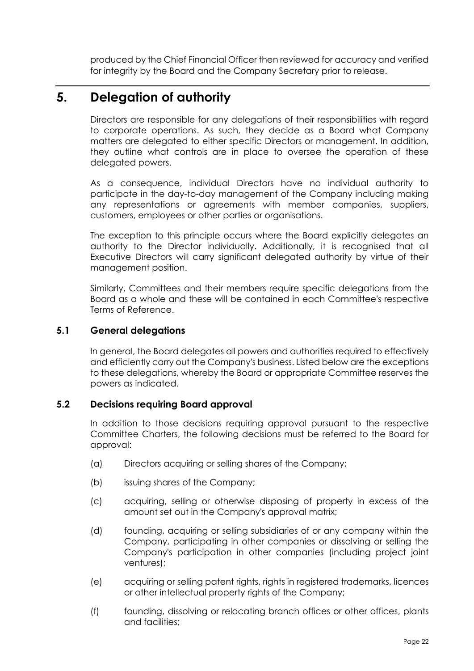produced by the Chief Financial Officer then reviewed for accuracy and verified for integrity by the Board and the Company Secretary prior to release.

# <span id="page-26-0"></span>**5. Delegation of authority**

Directors are responsible for any delegations of their responsibilities with regard to corporate operations. As such, they decide as a Board what Company matters are delegated to either specific Directors or management. In addition, they outline what controls are in place to oversee the operation of these delegated powers.

As a consequence, individual Directors have no individual authority to participate in the day-to-day management of the Company including making any representations or agreements with member companies, suppliers, customers, employees or other parties or organisations.

The exception to this principle occurs where the Board explicitly delegates an authority to the Director individually. Additionally, it is recognised that all Executive Directors will carry significant delegated authority by virtue of their management position.

Similarly, Committees and their members require specific delegations from the Board as a whole and these will be contained in each Committee's respective Terms of Reference.

### <span id="page-26-1"></span>**5.1 General delegations**

In general, the Board delegates all powers and authorities required to effectively and efficiently carry out the Company's business. Listed below are the exceptions to these delegations, whereby the Board or appropriate Committee reserves the powers as indicated.

### <span id="page-26-2"></span>**5.2 Decisions requiring Board approval**

In addition to those decisions requiring approval pursuant to the respective Committee Charters, the following decisions must be referred to the Board for approval:

- (a) Directors acquiring or selling shares of the Company;
- (b) issuing shares of the Company;
- (c) acquiring, selling or otherwise disposing of property in excess of the amount set out in the Company's approval matrix;
- (d) founding, acquiring or selling subsidiaries of or any company within the Company, participating in other companies or dissolving or selling the Company's participation in other companies (including project joint ventures);
- (e) acquiring or selling patent rights, rights in registered trademarks, licences or other intellectual property rights of the Company;
- (f) founding, dissolving or relocating branch offices or other offices, plants and facilities;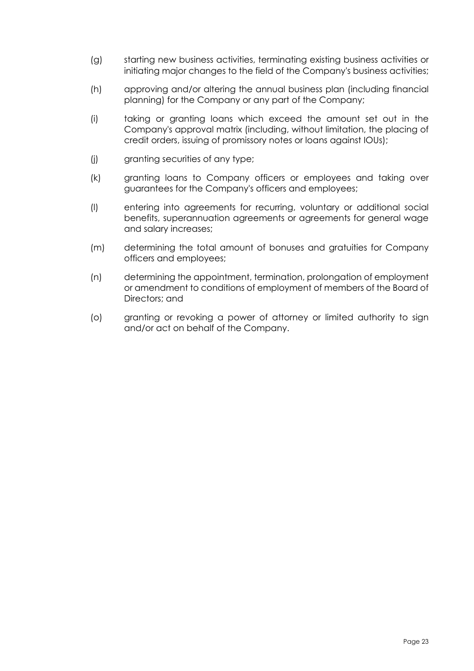- (g) starting new business activities, terminating existing business activities or initiating major changes to the field of the Company's business activities;
- (h) approving and/or altering the annual business plan (including financial planning) for the Company or any part of the Company;
- (i) taking or granting loans which exceed the amount set out in the Company's approval matrix (including, without limitation, the placing of credit orders, issuing of promissory notes or loans against IOUs);
- (j) granting securities of any type;
- (k) granting loans to Company officers or employees and taking over guarantees for the Company's officers and employees;
- (l) entering into agreements for recurring, voluntary or additional social benefits, superannuation agreements or agreements for general wage and salary increases;
- (m) determining the total amount of bonuses and gratuities for Company officers and employees;
- (n) determining the appointment, termination, prolongation of employment or amendment to conditions of employment of members of the Board of Directors; and
- <span id="page-27-0"></span>(o) granting or revoking a power of attorney or limited authority to sign and/or act on behalf of the Company.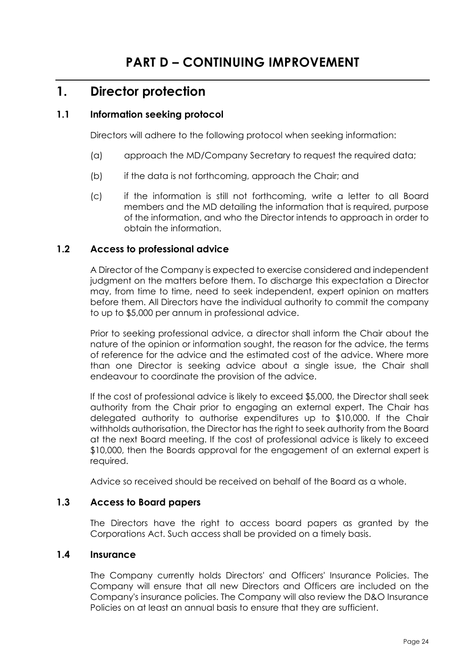## <span id="page-28-0"></span>**1. Director protection**

### <span id="page-28-1"></span>**1.1 Information seeking protocol**

Directors will adhere to the following protocol when seeking information:

- (a) approach the MD/Company Secretary to request the required data;
- (b) if the data is not forthcoming, approach the Chair; and
- (c) if the information is still not forthcoming, write a letter to all Board members and the MD detailing the information that is required, purpose of the information, and who the Director intends to approach in order to obtain the information.

### <span id="page-28-2"></span>**1.2 Access to professional advice**

A Director of the Company is expected to exercise considered and independent judgment on the matters before them. To discharge this expectation a Director may, from time to time, need to seek independent, expert opinion on matters before them. All Directors have the individual authority to commit the company to up to \$5,000 per annum in professional advice.

Prior to seeking professional advice, a director shall inform the Chair about the nature of the opinion or information sought, the reason for the advice, the terms of reference for the advice and the estimated cost of the advice. Where more than one Director is seeking advice about a single issue, the Chair shall endeavour to coordinate the provision of the advice.

If the cost of professional advice is likely to exceed \$5,000, the Director shall seek authority from the Chair prior to engaging an external expert. The Chair has delegated authority to authorise expenditures up to \$10,000. If the Chair withholds authorisation, the Director has the right to seek authority from the Board at the next Board meeting. If the cost of professional advice is likely to exceed \$10,000, then the Boards approval for the engagement of an external expert is required.

Advice so received should be received on behalf of the Board as a whole.

### <span id="page-28-3"></span>**1.3 Access to Board papers**

The Directors have the right to access board papers as granted by the Corporations Act. Such access shall be provided on a timely basis.

### <span id="page-28-4"></span>**1.4 Insurance**

The Company currently holds Directors' and Officers' Insurance Policies. The Company will ensure that all new Directors and Officers are included on the Company's insurance policies. The Company will also review the D&O Insurance Policies on at least an annual basis to ensure that they are sufficient.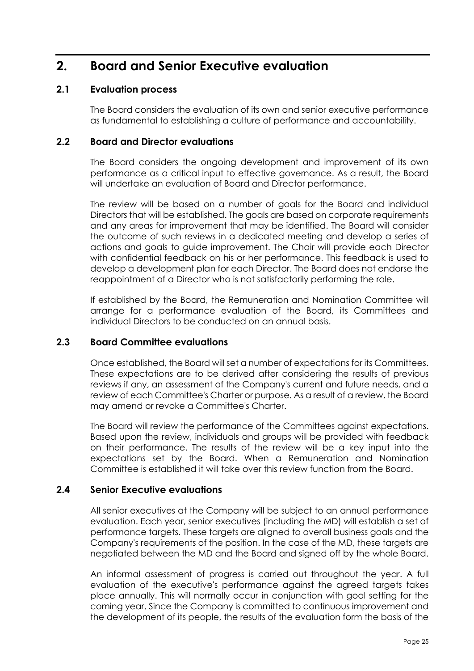# <span id="page-29-0"></span>**2. Board and Senior Executive evaluation**

### <span id="page-29-1"></span>**2.1 Evaluation process**

The Board considers the evaluation of its own and senior executive performance as fundamental to establishing a culture of performance and accountability.

### <span id="page-29-2"></span>**2.2 Board and Director evaluations**

The Board considers the ongoing development and improvement of its own performance as a critical input to effective governance. As a result, the Board will undertake an evaluation of Board and Director performance.

The review will be based on a number of goals for the Board and individual Directors that will be established. The goals are based on corporate requirements and any areas for improvement that may be identified. The Board will consider the outcome of such reviews in a dedicated meeting and develop a series of actions and goals to guide improvement. The Chair will provide each Director with confidential feedback on his or her performance. This feedback is used to develop a development plan for each Director. The Board does not endorse the reappointment of a Director who is not satisfactorily performing the role.

If established by the Board, the Remuneration and Nomination Committee will arrange for a performance evaluation of the Board, its Committees and individual Directors to be conducted on an annual basis.

### <span id="page-29-3"></span>**2.3 Board Committee evaluations**

Once established, the Board will set a number of expectations for its Committees. These expectations are to be derived after considering the results of previous reviews if any, an assessment of the Company's current and future needs, and a review of each Committee's Charter or purpose. As a result of a review, the Board may amend or revoke a Committee's Charter.

The Board will review the performance of the Committees against expectations. Based upon the review, individuals and groups will be provided with feedback on their performance. The results of the review will be a key input into the expectations set by the Board. When a Remuneration and Nomination Committee is established it will take over this review function from the Board.

### <span id="page-29-4"></span>**2.4 Senior Executive evaluations**

All senior executives at the Company will be subject to an annual performance evaluation. Each year, senior executives (including the MD) will establish a set of performance targets. These targets are aligned to overall business goals and the Company's requirements of the position. In the case of the MD, these targets are negotiated between the MD and the Board and signed off by the whole Board.

An informal assessment of progress is carried out throughout the year. A full evaluation of the executive's performance against the agreed targets takes place annually. This will normally occur in conjunction with goal setting for the coming year. Since the Company is committed to continuous improvement and the development of its people, the results of the evaluation form the basis of the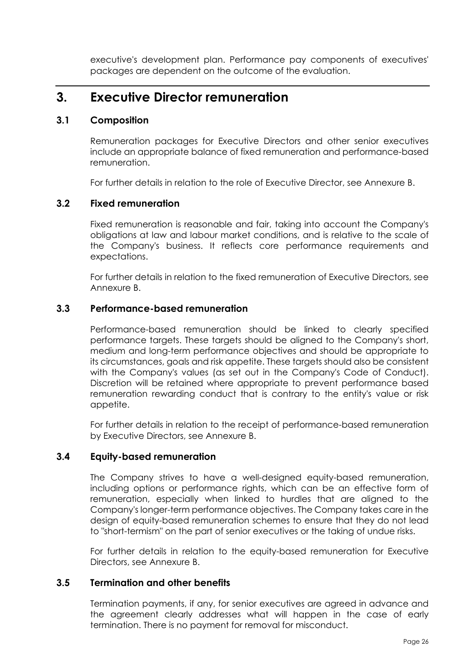executive's development plan. Performance pay components of executives' packages are dependent on the outcome of the evaluation.

## <span id="page-30-0"></span>**3. Executive Director remuneration**

### <span id="page-30-1"></span>**3.1 Composition**

Remuneration packages for Executive Directors and other senior executives include an appropriate balance of fixed remuneration and performance-based remuneration.

For further details in relation to the role of Executive Director, see Annexure B.

### <span id="page-30-2"></span>**3.2 Fixed remuneration**

Fixed remuneration is reasonable and fair, taking into account the Company's obligations at law and labour market conditions, and is relative to the scale of the Company's business. It reflects core performance requirements and expectations.

For further details in relation to the fixed remuneration of Executive Directors, see Annexure B.

### <span id="page-30-3"></span>**3.3 Performance-based remuneration**

Performance-based remuneration should be linked to clearly specified performance targets. These targets should be aligned to the Company's short, medium and long-term performance objectives and should be appropriate to its circumstances, goals and risk appetite. These targets should also be consistent with the Company's values (as set out in the Company's Code of Conduct). Discretion will be retained where appropriate to prevent performance based remuneration rewarding conduct that is contrary to the entity's value or risk appetite.

For further details in relation to the receipt of performance-based remuneration by Executive Directors, see Annexure B.

### <span id="page-30-4"></span>**3.4 Equity-based remuneration**

The Company strives to have a well-designed equity-based remuneration, including options or performance rights, which can be an effective form of remuneration, especially when linked to hurdles that are aligned to the Company's longer-term performance objectives. The Company takes care in the design of equity-based remuneration schemes to ensure that they do not lead to "short-termism" on the part of senior executives or the taking of undue risks.

For further details in relation to the equity-based remuneration for Executive Directors, see Annexure B.

### <span id="page-30-5"></span>**3.5 Termination and other benefits**

Termination payments, if any, for senior executives are agreed in advance and the agreement clearly addresses what will happen in the case of early termination. There is no payment for removal for misconduct.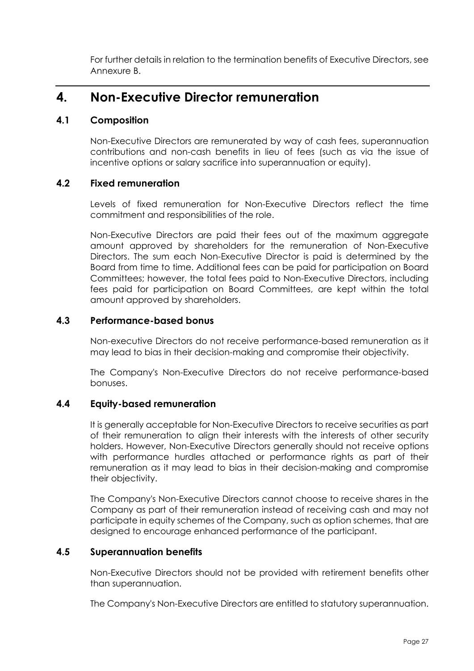For further details in relation to the termination benefits of Executive Directors, see Annexure B.

# <span id="page-31-0"></span>**4. Non-Executive Director remuneration**

## <span id="page-31-1"></span>**4.1 Composition**

Non-Executive Directors are remunerated by way of cash fees, superannuation contributions and non-cash benefits in lieu of fees (such as via the issue of incentive options or salary sacrifice into superannuation or equity).

### <span id="page-31-2"></span>**4.2 Fixed remuneration**

Levels of fixed remuneration for Non-Executive Directors reflect the time commitment and responsibilities of the role.

Non-Executive Directors are paid their fees out of the maximum aggregate amount approved by shareholders for the remuneration of Non-Executive Directors. The sum each Non-Executive Director is paid is determined by the Board from time to time. Additional fees can be paid for participation on Board Committees; however, the total fees paid to Non-Executive Directors, including fees paid for participation on Board Committees, are kept within the total amount approved by shareholders.

## <span id="page-31-3"></span>**4.3 Performance-based bonus**

Non-executive Directors do not receive performance-based remuneration as it may lead to bias in their decision-making and compromise their objectivity.

The Company's Non-Executive Directors do not receive performance-based bonuses.

## <span id="page-31-4"></span>**4.4 Equity-based remuneration**

It is generally acceptable for Non-Executive Directors to receive securities as part of their remuneration to align their interests with the interests of other security holders. However, Non-Executive Directors generally should not receive options with performance hurdles attached or performance rights as part of their remuneration as it may lead to bias in their decision-making and compromise their objectivity.

The Company's Non-Executive Directors cannot choose to receive shares in the Company as part of their remuneration instead of receiving cash and may not participate in equity schemes of the Company, such as option schemes, that are designed to encourage enhanced performance of the participant.

### <span id="page-31-5"></span>**4.5 Superannuation benefits**

Non-Executive Directors should not be provided with retirement benefits other than superannuation.

The Company's Non-Executive Directors are entitled to statutory superannuation.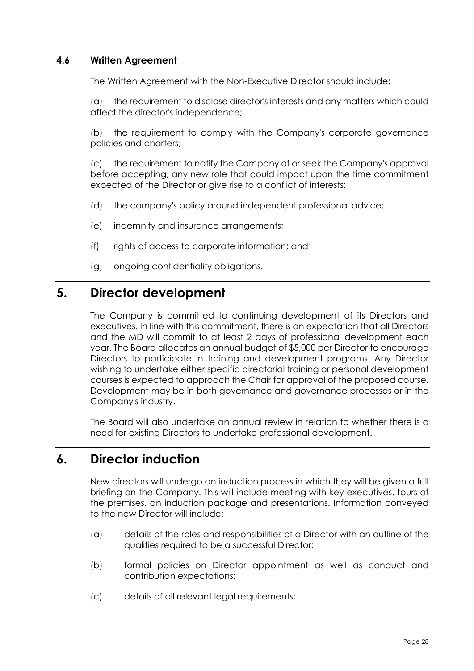### <span id="page-32-0"></span>**4.6 Written Agreement**

The Written Agreement with the Non-Executive Director should include:

(a) the requirement to disclose director's interests and any matters which could affect the director's independence;

(b) the requirement to comply with the Company's corporate governance policies and charters;

(c) the requirement to notify the Company of or seek the Company's approval before accepting, any new role that could impact upon the time commitment expected of the Director or give rise to a conflict of interests;

- (d) the company's policy around independent professional advice;
- (e) indemnity and insurance arrangements;
- (f) rights of access to corporate information; and
- (g) ongoing confidentiality obligations.

# <span id="page-32-1"></span>**5. Director development**

The Company is committed to continuing development of its Directors and executives. In line with this commitment, there is an expectation that all Directors and the MD will commit to at least 2 days of professional development each year. The Board allocates an annual budget of \$5,000 per Director to encourage Directors to participate in training and development programs. Any Director wishing to undertake either specific directorial training or personal development courses is expected to approach the Chair for approval of the proposed course. Development may be in both governance and governance processes or in the Company's industry.

The Board will also undertake an annual review in relation to whether there is a need for existing Directors to undertake professional development.

## <span id="page-32-2"></span>**6. Director induction**

New directors will undergo an induction process in which they will be given a full briefing on the Company. This will include meeting with key executives, tours of the premises, an induction package and presentations. Information conveyed to the new Director will include:

- (a) details of the roles and responsibilities of a Director with an outline of the qualities required to be a successful Director;
- (b) formal policies on Director appointment as well as conduct and contribution expectations;
- (c) details of all relevant legal requirements;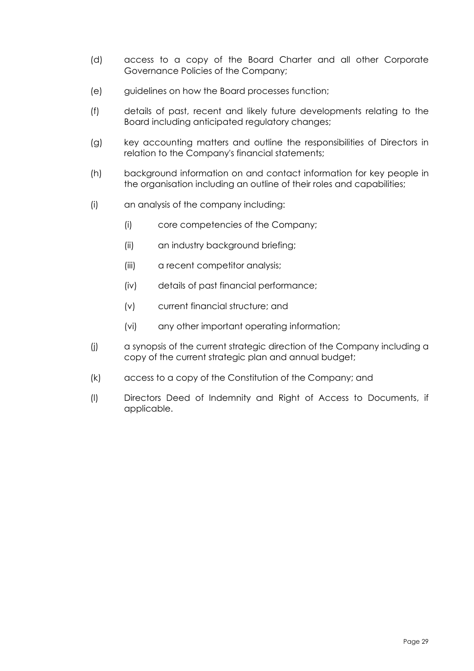- (d) access to a copy of the Board Charter and all other Corporate Governance Policies of the Company;
- (e) guidelines on how the Board processes function;
- (f) details of past, recent and likely future developments relating to the Board including anticipated regulatory changes;
- (g) key accounting matters and outline the responsibilities of Directors in relation to the Company's financial statements;
- (h) background information on and contact information for key people in the organisation including an outline of their roles and capabilities;
- (i) an analysis of the company including:
	- (i) core competencies of the Company;
	- (ii) an industry background briefing;
	- (iii) a recent competitor analysis;
	- (iv) details of past financial performance;
	- (v) current financial structure; and
	- (vi) any other important operating information;
- (j) a synopsis of the current strategic direction of the Company including a copy of the current strategic plan and annual budget;
- (k) access to a copy of the Constitution of the Company; and
- (l) Directors Deed of Indemnity and Right of Access to Documents, if applicable.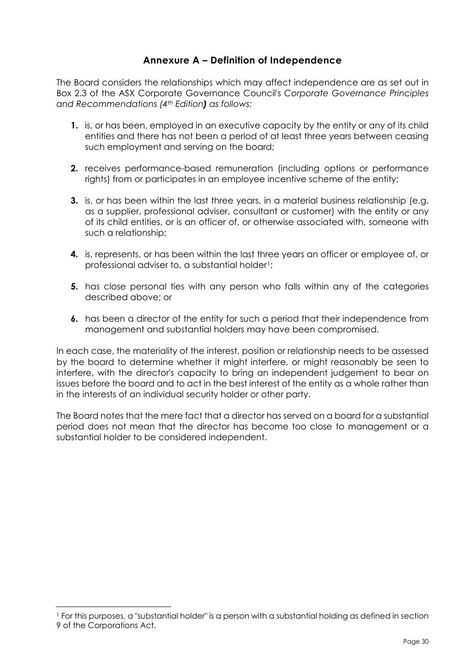### **Annexure A – Definition of Independence**

<span id="page-34-0"></span>The Board considers the relationships which may affect independence are as set out in Box 2.3 of the ASX Corporate Governance Council's *Corporate Governance Principles and Recommendations (4th Edition) as follows:*

- **1.** is, or has been, employed in an executive capacity by the entity or any of its child entities and there has not been a period of at least three years between ceasing such employment and serving on the board;
- **2.** receives performance-based remuneration (including options or performance rights) from or participates in an employee incentive scheme of the entity;
- **3.** is, or has been within the last three years, in a material business relationship (e.g. as a supplier, professional adviser, consultant or customer) with the entity or any of its child entities, or is an officer of, or otherwise associated with, someone with such a relationship;
- **4.** is, represents, or has been within the last three years an officer or employee of, or professional adviser to, a substantial holder<sup>1</sup>;
- **5.** has close personal ties with any person who falls within any of the categories described above; or
- **6.** has been a director of the entity for such a period that their independence from management and substantial holders may have been compromised.

In each case, the materiality of the interest, position or relationship needs to be assessed by the board to determine whether it might interfere, or might reasonably be seen to interfere, with the director's capacity to bring an independent judgement to bear on issues before the board and to act in the best interest of the entity as a whole rather than in the interests of an individual security holder or other party.

The Board notes that the mere fact that a director has served on a board for a substantial period does not mean that the director has become too close to management or a substantial holder to be considered independent.

<span id="page-34-1"></span><sup>1</sup> For this purposes, a "substantial holder" is a person with a substantial holding as defined in section 9 of the Corporations Act.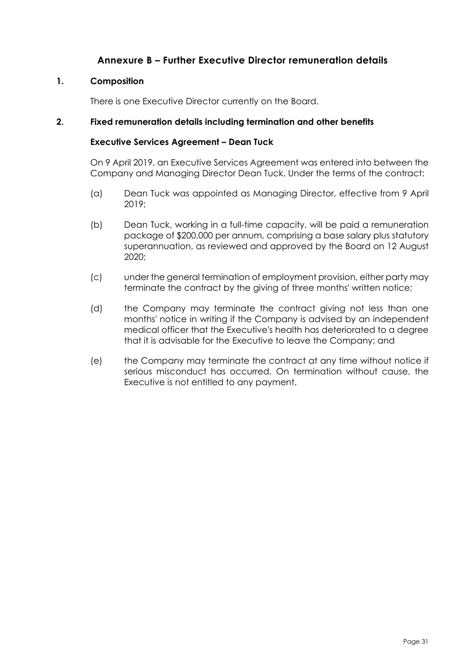### **Annexure B – Further Executive Director remuneration details**

#### <span id="page-35-0"></span>**1. Composition**

There is one Executive Director currently on the Board.

#### **2. Fixed remuneration details including termination and other benefits**

#### **Executive Services Agreement – Dean Tuck**

On 9 April 2019, an Executive Services Agreement was entered into between the Company and Managing Director Dean Tuck. Under the terms of the contract:

- (a) Dean Tuck was appointed as Managing Director, effective from 9 April 2019;
- (b) Dean Tuck, working in a full-time capacity, will be paid a remuneration package of \$200,000 per annum, comprising a base salary plus statutory superannuation, as reviewed and approved by the Board on 12 August 2020;
- (c) under the general termination of employment provision, either party may terminate the contract by the giving of three months' written notice;
- (d) the Company may terminate the contract giving not less than one months' notice in writing if the Company is advised by an independent medical officer that the Executive's health has deteriorated to a degree that it is advisable for the Executive to leave the Company; and
- (e) the Company may terminate the contract at any time without notice if serious misconduct has occurred. On termination without cause, the Executive is not entitled to any payment.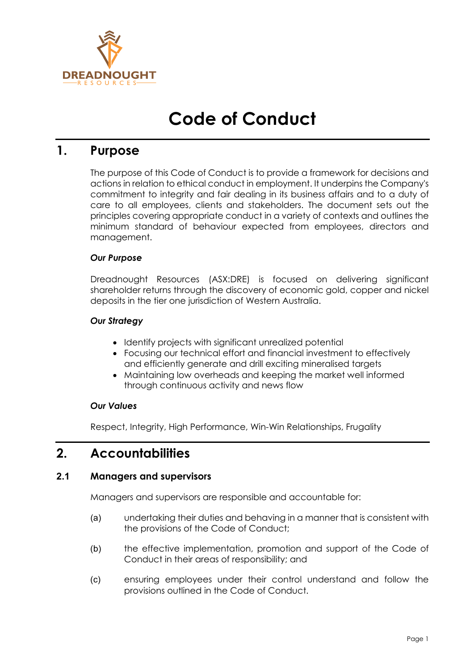

# **Code of Conduct**

## **1. Purpose**

The purpose of this Code of Conduct is to provide a framework for decisions and actions in relation to ethical conduct in employment. It underpins the Company's commitment to integrity and fair dealing in its business affairs and to a duty of care to all employees, clients and stakeholders. The document sets out the principles covering appropriate conduct in a variety of contexts and outlines the minimum standard of behaviour expected from employees, directors and management.

#### *Our Purpose*

Dreadnought Resources (ASX:DRE) is focused on delivering significant shareholder returns through the discovery of economic gold, copper and nickel deposits in the tier one jurisdiction of Western Australia.

#### *Our Strategy*

- Identify projects with significant unrealized potential
- Focusing our technical effort and financial investment to effectively and efficiently generate and drill exciting mineralised targets
- Maintaining low overheads and keeping the market well informed through continuous activity and news flow

#### *Our Values*

Respect, Integrity, High Performance, Win-Win Relationships, Frugality

### **2. Accountabilities**

#### **2.1 Managers and supervisors**

Managers and supervisors are responsible and accountable for:

- (a) undertaking their duties and behaving in a manner that is consistent with the provisions of the Code of Conduct;
- (b) the effective implementation, promotion and support of the Code of Conduct in their areas of responsibility; and
- (c) ensuring employees under their control understand and follow the provisions outlined in the Code of Conduct.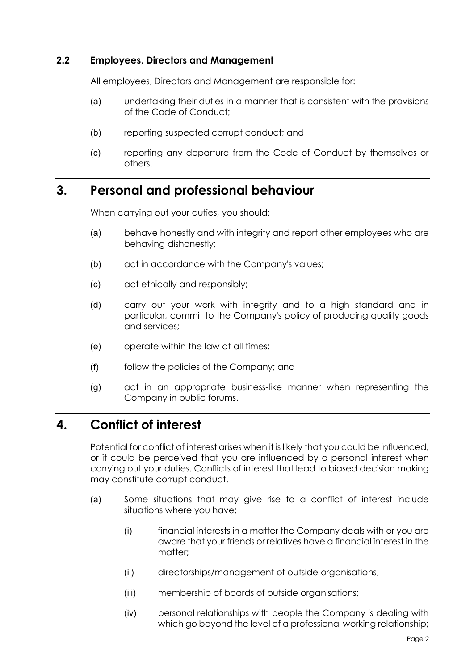#### **2.2 Employees, Directors and Management**

All employees, Directors and Management are responsible for:

- (a) undertaking their duties in a manner that is consistent with the provisions of the Code of Conduct;
- (b) reporting suspected corrupt conduct; and
- (c) reporting any departure from the Code of Conduct by themselves or others.

## **3. Personal and professional behaviour**

When carrying out your duties, you should:

- (a) behave honestly and with integrity and report other employees who are behaving dishonestly;
- (b) act in accordance with the Company's values;
- (c) act ethically and responsibly;
- (d) carry out your work with integrity and to a high standard and in particular, commit to the Company's policy of producing quality goods and services;
- (e) operate within the law at all times;
- (f) follow the policies of the Company; and
- (g) act in an appropriate business-like manner when representing the Company in public forums.

# **4. Conflict of interest**

Potential for conflict of interest arises when it is likely that you could be influenced, or it could be perceived that you are influenced by a personal interest when carrying out your duties. Conflicts of interest that lead to biased decision making may constitute corrupt conduct.

- (a) Some situations that may give rise to a conflict of interest include situations where you have:
	- (i) financial interests in a matter the Company deals with or you are aware that your friends or relatives have a financial interest in the matter;
	- (ii) directorships/management of outside organisations;
	- (iii) membership of boards of outside organisations;
	- (iv) personal relationships with people the Company is dealing with which go beyond the level of a professional working relationship;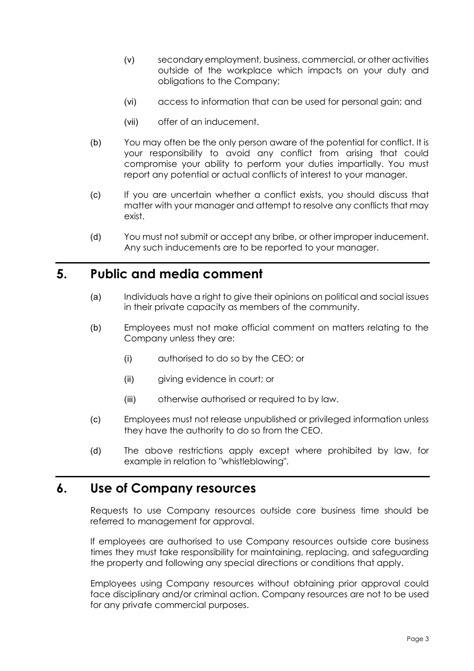- (v) secondary employment, business, commercial, or other activities outside of the workplace which impacts on your duty and obligations to the Company;
- (vi) access to information that can be used for personal gain; and
- (vii) offer of an inducement.
- (b) You may often be the only person aware of the potential for conflict. It is your responsibility to avoid any conflict from arising that could compromise your ability to perform your duties impartially. You must report any potential or actual conflicts of interest to your manager.
- (c) If you are uncertain whether a conflict exists, you should discuss that matter with your manager and attempt to resolve any conflicts that may exist.
- (d) You must not submit or accept any bribe, or other improper inducement. Any such inducements are to be reported to your manager.

### **5. Public and media comment**

- (a) Individuals have a right to give their opinions on political and social issues in their private capacity as members of the community.
- (b) Employees must not make official comment on matters relating to the Company unless they are:
	- (i) authorised to do so by the CEO; or
	- (ii) giving evidence in court; or
	- (iii) otherwise authorised or required to by law.
- (c) Employees must not release unpublished or privileged information unless they have the authority to do so from the CEO.
- (d) The above restrictions apply except where prohibited by law, for example in relation to "whistleblowing".

### **6. Use of Company resources**

Requests to use Company resources outside core business time should be referred to management for approval.

If employees are authorised to use Company resources outside core business times they must take responsibility for maintaining, replacing, and safeguarding the property and following any special directions or conditions that apply.

Employees using Company resources without obtaining prior approval could face disciplinary and/or criminal action. Company resources are not to be used for any private commercial purposes.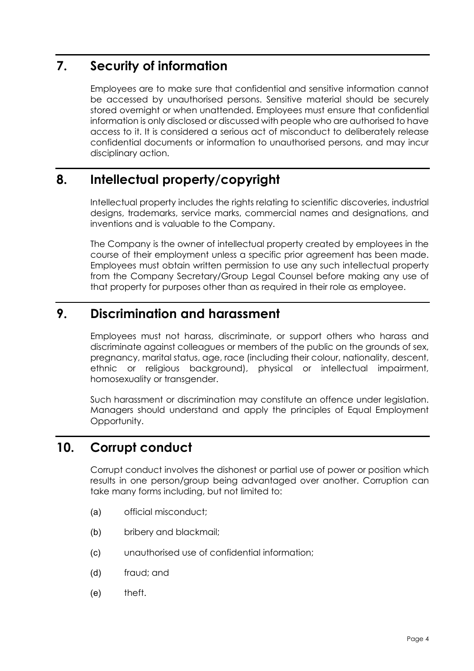# **7. Security of information**

Employees are to make sure that confidential and sensitive information cannot be accessed by unauthorised persons. Sensitive material should be securely stored overnight or when unattended. Employees must ensure that confidential information is only disclosed or discussed with people who are authorised to have access to it. It is considered a serious act of misconduct to deliberately release confidential documents or information to unauthorised persons, and may incur disciplinary action.

# **8. Intellectual property/copyright**

Intellectual property includes the rights relating to scientific discoveries, industrial designs, trademarks, service marks, commercial names and designations, and inventions and is valuable to the Company.

The Company is the owner of intellectual property created by employees in the course of their employment unless a specific prior agreement has been made. Employees must obtain written permission to use any such intellectual property from the Company Secretary/Group Legal Counsel before making any use of that property for purposes other than as required in their role as employee.

# **9. Discrimination and harassment**

Employees must not harass, discriminate, or support others who harass and discriminate against colleagues or members of the public on the grounds of sex, pregnancy, marital status, age, race (including their colour, nationality, descent, ethnic or religious background), physical or intellectual impairment, homosexuality or transgender.

Such harassment or discrimination may constitute an offence under legislation. Managers should understand and apply the principles of Equal Employment Opportunity.

# **10. Corrupt conduct**

Corrupt conduct involves the dishonest or partial use of power or position which results in one person/group being advantaged over another. Corruption can take many forms including, but not limited to:

- (a) official misconduct;
- (b) bribery and blackmail;
- (c) unauthorised use of confidential information;
- (d) fraud; and
- (e) theft.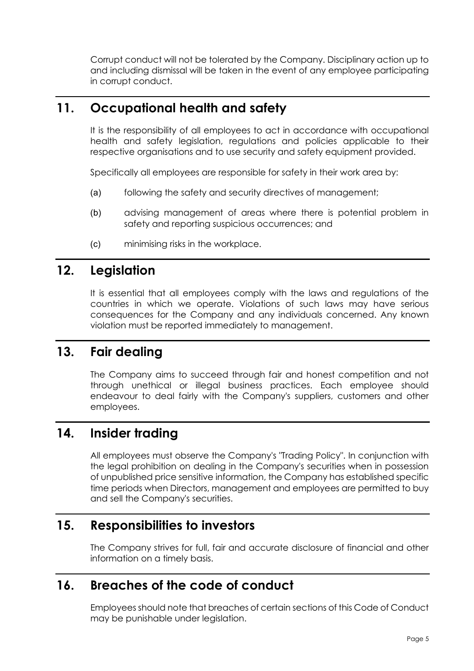Corrupt conduct will not be tolerated by the Company. Disciplinary action up to and including dismissal will be taken in the event of any employee participating in corrupt conduct.

# **11. Occupational health and safety**

It is the responsibility of all employees to act in accordance with occupational health and safety legislation, regulations and policies applicable to their respective organisations and to use security and safety equipment provided.

Specifically all employees are responsible for safety in their work area by:

- (a) following the safety and security directives of management;
- (b) advising management of areas where there is potential problem in safety and reporting suspicious occurrences; and
- (c) minimising risks in the workplace.

## **12. Legislation**

It is essential that all employees comply with the laws and regulations of the countries in which we operate. Violations of such laws may have serious consequences for the Company and any individuals concerned. Any known violation must be reported immediately to management.

## **13. Fair dealing**

The Company aims to succeed through fair and honest competition and not through unethical or illegal business practices. Each employee should endeavour to deal fairly with the Company's suppliers, customers and other employees.

## **14. Insider trading**

All employees must observe the Company's "Trading Policy". In conjunction with the legal prohibition on dealing in the Company's securities when in possession of unpublished price sensitive information, the Company has established specific time periods when Directors, management and employees are permitted to buy and sell the Company's securities.

## **15. Responsibilities to investors**

The Company strives for full, fair and accurate disclosure of financial and other information on a timely basis.

## **16. Breaches of the code of conduct**

Employees should note that breaches of certain sections of this Code of Conduct may be punishable under legislation.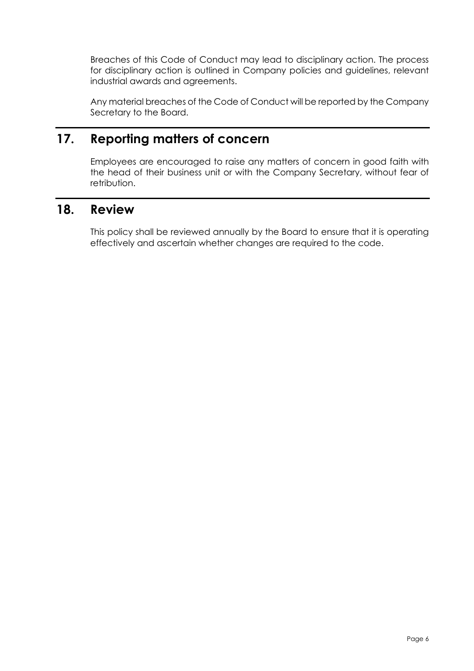Breaches of this Code of Conduct may lead to disciplinary action. The process for disciplinary action is outlined in Company policies and guidelines, relevant industrial awards and agreements.

Any material breaches of the Code of Conduct will be reported by the Company Secretary to the Board.

# **17. Reporting matters of concern**

Employees are encouraged to raise any matters of concern in good faith with the head of their business unit or with the Company Secretary, without fear of retribution.

### **18. Review**

This policy shall be reviewed annually by the Board to ensure that it is operating effectively and ascertain whether changes are required to the code.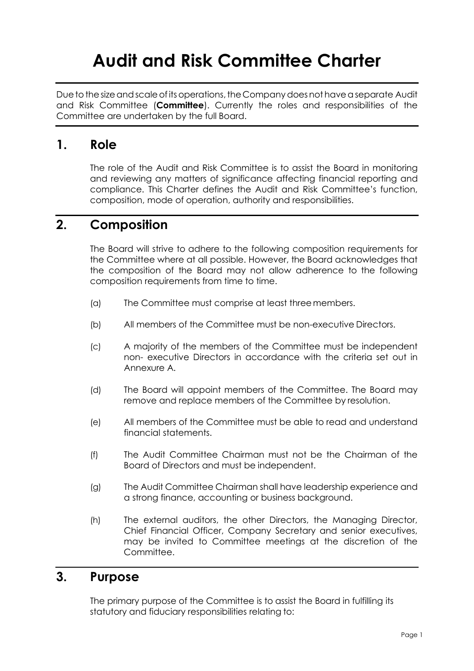# **Audit and Risk Committee Charter**

Due to the size and scale of its operations, the Company does not have a separate Audit and Risk Committee (**Committee**). Currently the roles and responsibilities of the Committee are undertaken by the full Board.

### **1. Role**

The role of the Audit and Risk Committee is to assist the Board in monitoring and reviewing any matters of significance affecting financial reporting and compliance. This Charter defines the Audit and Risk Committee's function, composition, mode of operation, authority and responsibilities.

# **2. Composition**

The Board will strive to adhere to the following composition requirements for the Committee where at all possible. However, the Board acknowledges that the composition of the Board may not allow adherence to the following composition requirements from time to time.

- (a) The Committee must comprise at least threemembers.
- (b) All members of the Committee must be non-executive Directors.
- (c) A majority of the members of the Committee must be independent non- executive Directors in accordance with the criteria set out in Annexure A.
- (d) The Board will appoint members of the Committee. The Board may remove and replace members of the Committee by resolution.
- (e) All members of the Committee must be able to read and understand financial statements.
- (f) The Audit Committee Chairman must not be the Chairman of the Board of Directors and must be independent.
- (g) The Audit Committee Chairman shall have leadership experience and a strong finance, accounting or business background.
- (h) The external auditors, the other Directors, the Managing Director, Chief Financial Officer, Company Secretary and senior executives, may be invited to Committee meetings at the discretion of the Committee.

### **3. Purpose**

The primary purpose of the Committee is to assist the Board in fulfilling its statutory and fiduciary responsibilities relating to: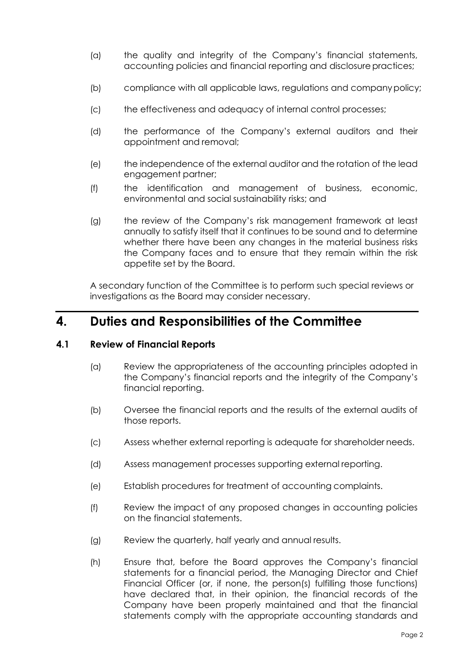- (a) the quality and integrity of the Company's financial statements, accounting policies and financial reporting and disclosure practices;
- (b) compliance with all applicable laws, regulations and companypolicy;
- (c) the effectiveness and adequacy of internal control processes;
- (d) the performance of the Company's external auditors and their appointment and removal;
- (e) the independence of the external auditor and the rotation of the lead engagement partner;
- (f) the identification and management of business, economic, environmental and social sustainability risks; and
- (g) the review of the Company's risk management framework at least annually to satisfy itself that it continues to be sound and to determine whether there have been any changes in the material business risks the Company faces and to ensure that they remain within the risk appetite set by the Board.

A secondary function of the Committee is to perform such special reviews or investigations as the Board may consider necessary.

### **4. Duties and Responsibilities of the Committee**

#### **4.1 Review of Financial Reports**

- (a) Review the appropriateness of the accounting principles adopted in the Company's financial reports and the integrity of the Company's financial reporting.
- (b) Oversee the financial reports and the results of the external audits of those reports.
- (c) Assess whether external reporting is adequate for shareholder needs.
- (d) Assess management processes supporting external reporting.
- (e) Establish procedures for treatment of accounting complaints.
- (f) Review the impact of any proposed changes in accounting policies on the financial statements.
- (g) Review the quarterly, half yearly and annual results.
- (h) Ensure that, before the Board approves the Company's financial statements for a financial period, the Managing Director and Chief Financial Officer (or, if none, the person(s) fulfilling those functions) have declared that, in their opinion, the financial records of the Company have been properly maintained and that the financial statements comply with the appropriate accounting standards and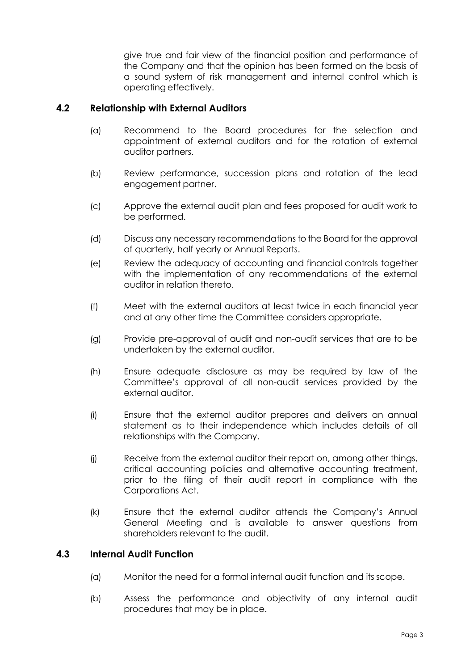give true and fair view of the financial position and performance of the Company and that the opinion has been formed on the basis of a sound system of risk management and internal control which is operating effectively.

#### **4.2 Relationship with External Auditors**

- (a) Recommend to the Board procedures for the selection and appointment of external auditors and for the rotation of external auditor partners.
- (b) Review performance, succession plans and rotation of the lead engagement partner.
- (c) Approve the external audit plan and fees proposed for audit work to be performed.
- (d) Discuss any necessary recommendations to the Board for the approval of quarterly, half yearly or Annual Reports.
- (e) Review the adequacy of accounting and financial controls together with the implementation of any recommendations of the external auditor in relation thereto.
- (f) Meet with the external auditors at least twice in each financial year and at any other time the Committee considers appropriate.
- (g) Provide pre-approval of audit and non-audit services that are to be undertaken by the external auditor.
- (h) Ensure adequate disclosure as may be required by law of the Committee's approval of all non-audit services provided by the external auditor.
- (i) Ensure that the external auditor prepares and delivers an annual statement as to their independence which includes details of all relationships with the Company.
- (j) Receive from the external auditor their report on, among other things, critical accounting policies and alternative accounting treatment, prior to the filing of their audit report in compliance with the Corporations Act.
- (k) Ensure that the external auditor attends the Company's Annual General Meeting and is available to answer questions from shareholders relevant to the audit.

#### **4.3 Internal Audit Function**

- (a) Monitor the need for a formal internal audit function and its scope.
- (b) Assess the performance and objectivity of any internal audit procedures that may be in place.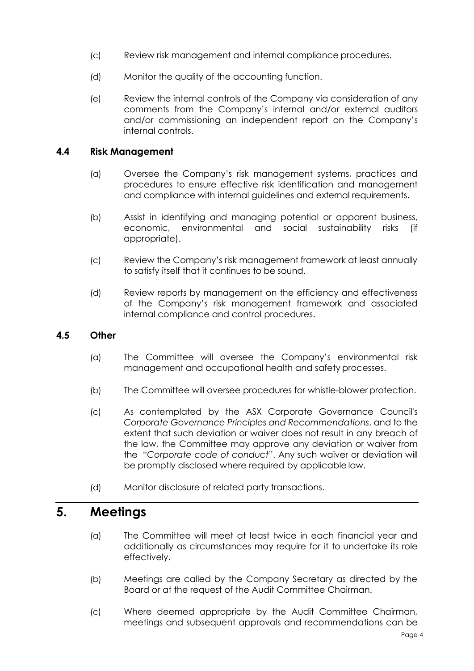- (c) Review risk management and internal compliance procedures.
- (d) Monitor the quality of the accounting function.
- (e) Review the internal controls of the Company via consideration of any comments from the Company's internal and/or external auditors and/or commissioning an independent report on the Company's internal controls.

#### **4.4 Risk Management**

- (a) Oversee the Company's risk management systems, practices and procedures to ensure effective risk identification and management and compliance with internal guidelines and external requirements.
- (b) Assist in identifying and managing potential or apparent business, economic, environmental and social sustainability risks (if appropriate).
- (c) Review the Company's risk management framework at least annually to satisfy itself that it continues to be sound.
- (d) Review reports by management on the efficiency and effectiveness of the Company's risk management framework and associated internal compliance and control procedures.

#### **4.5 Other**

- (a) The Committee will oversee the Company's environmental risk management and occupational health and safety processes.
- (b) The Committee will oversee procedures for whistle-blower protection.
- (c) As contemplated by the ASX Corporate Governance Council's *Corporate Governance Principles and Recommendations*, and to the extent that such deviation or waiver does not result in any breach of the law, the Committee may approve any deviation or waiver from the "*Corporate code of conduct*". Any such waiver or deviation will be promptly disclosed where required by applicable law.
- (d) Monitor disclosure of related party transactions.

### **5. Meetings**

- (a) The Committee will meet at least twice in each financial year and additionally as circumstances may require for it to undertake its role effectively.
- (b) Meetings are called by the Company Secretary as directed by the Board or at the request of the Audit Committee Chairman.
- (c) Where deemed appropriate by the Audit Committee Chairman, meetings and subsequent approvals and recommendations can be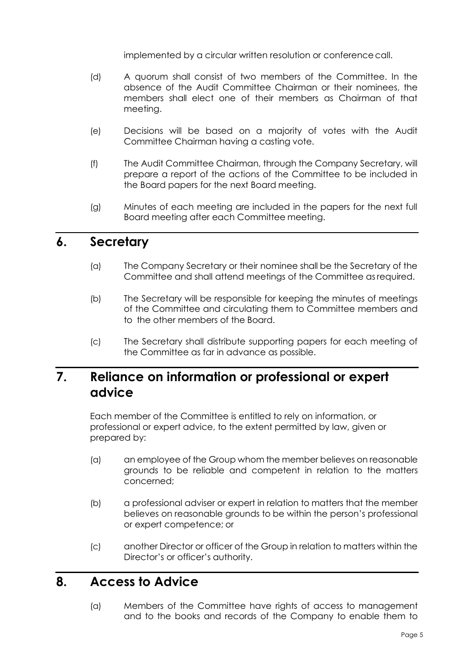implemented by a circular written resolution or conference call.

- (d) A quorum shall consist of two members of the Committee. In the absence of the Audit Committee Chairman or their nominees, the members shall elect one of their members as Chairman of that meeting.
- (e) Decisions will be based on a majority of votes with the Audit Committee Chairman having a casting vote.
- (f) The Audit Committee Chairman, through the Company Secretary, will prepare a report of the actions of the Committee to be included in the Board papers for the next Board meeting.
- (g) Minutes of each meeting are included in the papers for the next full Board meeting after each Committee meeting.

### **6. Secretary**

- (a) The Company Secretary or their nominee shall be the Secretary of the Committee and shall attend meetings of the Committee asrequired.
- (b) The Secretary will be responsible for keeping the minutes of meetings of the Committee and circulating them to Committee members and to the other members of the Board.
- (c) The Secretary shall distribute supporting papers for each meeting of the Committee as far in advance as possible.

# **7. Reliance on information or professional or expert advice**

Each member of the Committee is entitled to rely on information, or professional or expert advice, to the extent permitted by law, given or prepared by:

- (a) an employee of the Group whom the member believes on reasonable grounds to be reliable and competent in relation to the matters concerned;
- (b) a professional adviser or expert in relation to matters that the member believes on reasonable grounds to be within the person's professional or expert competence; or
- (c) another Director or officer of the Group in relation to matters within the Director's or officer's authority.

### **8. Access to Advice**

(a) Members of the Committee have rights of access to management and to the books and records of the Company to enable them to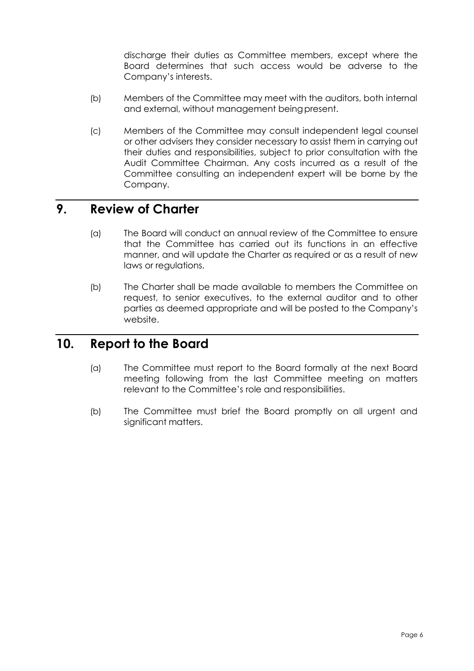discharge their duties as Committee members, except where the Board determines that such access would be adverse to the Company's interests.

- (b) Members of the Committee may meet with the auditors, both internal and external, without management being present.
- (c) Members of the Committee may consult independent legal counsel or other advisers they consider necessary to assist them in carrying out their duties and responsibilities, subject to prior consultation with the Audit Committee Chairman. Any costs incurred as a result of the Committee consulting an independent expert will be borne by the Company.

### **9. Review of Charter**

- (a) The Board will conduct an annual review of the Committee to ensure that the Committee has carried out its functions in an effective manner, and will update the Charter as required or as a result of new laws or regulations.
- (b) The Charter shall be made available to members the Committee on request, to senior executives, to the external auditor and to other parties as deemed appropriate and will be posted to the Company's website.

### **10. Report to the Board**

- (a) The Committee must report to the Board formally at the next Board meeting following from the last Committee meeting on matters relevant to the Committee's role and responsibilities.
- (b) The Committee must brief the Board promptly on all urgent and significant matters.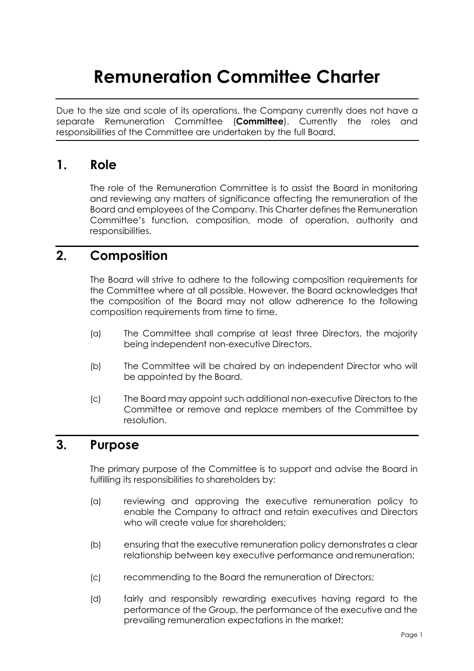# **Remuneration Committee Charter**

Due to the size and scale of its operations, the Company currently does not have a separate Remuneration Committee (**Committee**). Currently the roles and responsibilities of the Committee are undertaken by the full Board.

## **1. Role**

The role of the Remuneration Committee is to assist the Board in monitoring and reviewing any matters of significance affecting the remuneration of the Board and employees of the Company. This Charter defines the Remuneration Committee's function, composition, mode of operation, authority and responsibilities.

# **2. Composition**

The Board will strive to adhere to the following composition requirements for the Committee where at all possible. However, the Board acknowledges that the composition of the Board may not allow adherence to the following composition requirements from time to time.

- (a) The Committee shall comprise at least three Directors, the majority being independent non-executive Directors.
- (b) The Committee will be chaired by an independent Director who will be appointed by the Board.
- (c) The Board may appoint such additional non-executive Directors to the Committee or remove and replace members of the Committee by resolution.

# **3. Purpose**

The primary purpose of the Committee is to support and advise the Board in fulfilling its responsibilities to shareholders by:

- (a) reviewing and approving the executive remuneration policy to enable the Company to attract and retain executives and Directors who will create value for shareholders:
- (b) ensuring that the executive remuneration policy demonstrates a clear relationship between key executive performance andremuneration;
- (c) recommending to the Board the remuneration of Directors;
- (d) fairly and responsibly rewarding executives having regard to the performance of the Group, the performance of the executive and the prevailing remuneration expectations in the market;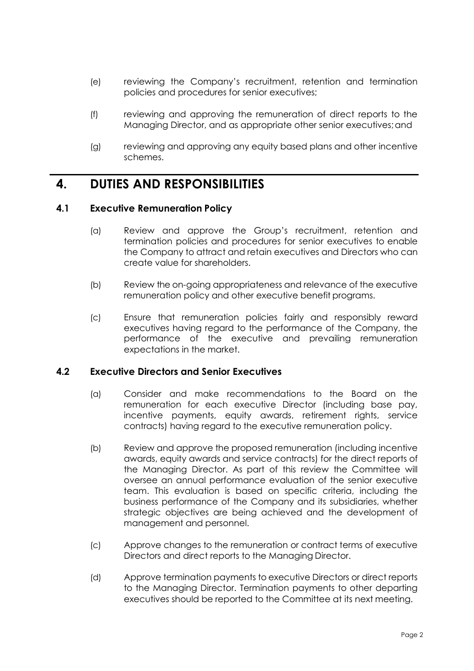- (e) reviewing the Company's recruitment, retention and termination policies and procedures for senior executives;
- (f) reviewing and approving the remuneration of direct reports to the Managing Director, and as appropriate other senior executives;and
- (g) reviewing and approving any equity based plans and other incentive schemes.

### **4. DUTIES AND RESPONSIBILITIES**

#### **4.1 Executive Remuneration Policy**

- (a) Review and approve the Group's recruitment, retention and termination policies and procedures for senior executives to enable the Company to attract and retain executives and Directors who can create value for shareholders.
- (b) Review the on-going appropriateness and relevance of the executive remuneration policy and other executive benefit programs.
- (c) Ensure that remuneration policies fairly and responsibly reward executives having regard to the performance of the Company, the performance of the executive and prevailing remuneration expectations in the market.

#### **4.2 Executive Directors and Senior Executives**

- (a) Consider and make recommendations to the Board on the remuneration for each executive Director (including base pay, incentive payments, equity awards, retirement rights, service contracts) having regard to the executive remuneration policy.
- (b) Review and approve the proposed remuneration (including incentive awards, equity awards and service contracts) for the direct reports of the Managing Director. As part of this review the Committee will oversee an annual performance evaluation of the senior executive team. This evaluation is based on specific criteria, including the business performance of the Company and its subsidiaries, whether strategic objectives are being achieved and the development of management and personnel.
- (c) Approve changes to the remuneration or contract terms of executive Directors and direct reports to the Managing Director.
- (d) Approve termination payments to executive Directors or direct reports to the Managing Director. Termination payments to other departing executives should be reported to the Committee at its next meeting.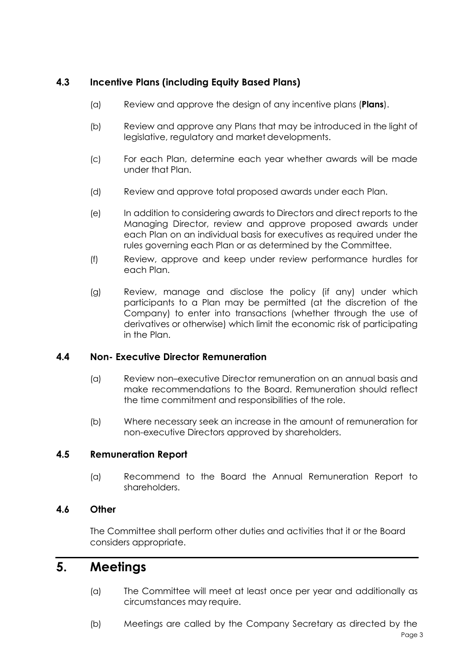#### **4.3 Incentive Plans (including Equity Based Plans)**

- (a) Review and approve the design of any incentive plans (**Plans**).
- (b) Review and approve any Plans that may be introduced in the light of legislative, regulatory and market developments.
- (c) For each Plan, determine each year whether awards will be made under that Plan.
- (d) Review and approve total proposed awards under each Plan.
- (e) In addition to considering awards to Directors and direct reports to the Managing Director, review and approve proposed awards under each Plan on an individual basis for executives as required under the rules governing each Plan or as determined by the Committee.
- (f) Review, approve and keep under review performance hurdles for each Plan.
- (g) Review, manage and disclose the policy (if any) under which participants to a Plan may be permitted (at the discretion of the Company) to enter into transactions (whether through the use of derivatives or otherwise) which limit the economic risk of participating in the Plan.

#### **4.4 Non- Executive Director Remuneration**

- (a) Review non–executive Director remuneration on an annual basis and make recommendations to the Board. Remuneration should reflect the time commitment and responsibilities of the role.
- (b) Where necessary seek an increase in the amount of remuneration for non-executive Directors approved by shareholders.

#### **4.5 Remuneration Report**

(a) Recommend to the Board the Annual Remuneration Report to shareholders.

#### **4.6 Other**

The Committee shall perform other duties and activities that it or the Board considers appropriate.

# **5. Meetings**

- (a) The Committee will meet at least once per year and additionally as circumstances may require.
- (b) Meetings are called by the Company Secretary as directed by the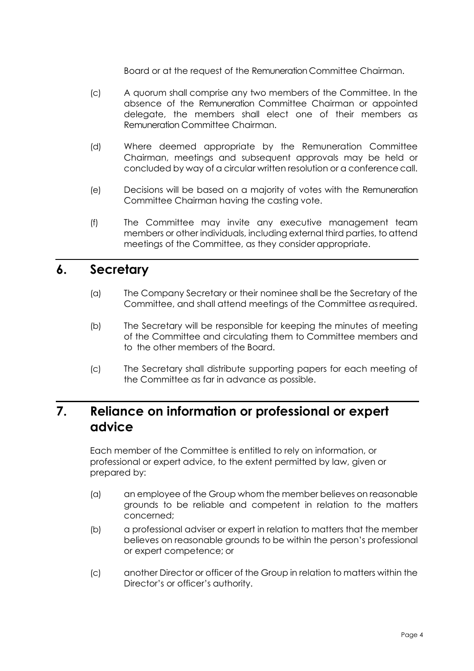Board or at the request of the Remuneration Committee Chairman.

- (c) A quorum shall comprise any two members of the Committee. In the absence of the Remuneration Committee Chairman or appointed delegate, the members shall elect one of their members as Remuneration Committee Chairman.
- (d) Where deemed appropriate by the Remuneration Committee Chairman, meetings and subsequent approvals may be held or concluded by way of a circular written resolution or a conference call.
- (e) Decisions will be based on a majority of votes with the Remuneration Committee Chairman having the casting vote.
- (f) The Committee may invite any executive management team members or other individuals, including external third parties, to attend meetings of the Committee, as they consider appropriate.

### **6. Secretary**

- (a) The Company Secretary or their nominee shall be the Secretary of the Committee, and shall attend meetings of the Committee asrequired.
- (b) The Secretary will be responsible for keeping the minutes of meeting of the Committee and circulating them to Committee members and to the other members of the Board.
- (c) The Secretary shall distribute supporting papers for each meeting of the Committee as far in advance as possible.

# **7. Reliance on information or professional or expert advice**

Each member of the Committee is entitled to rely on information, or professional or expert advice, to the extent permitted by law, given or prepared by:

- (a) an employee of the Group whom the member believes on reasonable grounds to be reliable and competent in relation to the matters concerned;
- (b) a professional adviser or expert in relation to matters that the member believes on reasonable grounds to be within the person's professional or expert competence; or
- (c) another Director or officer of the Group in relation to matters within the Director's or officer's authority.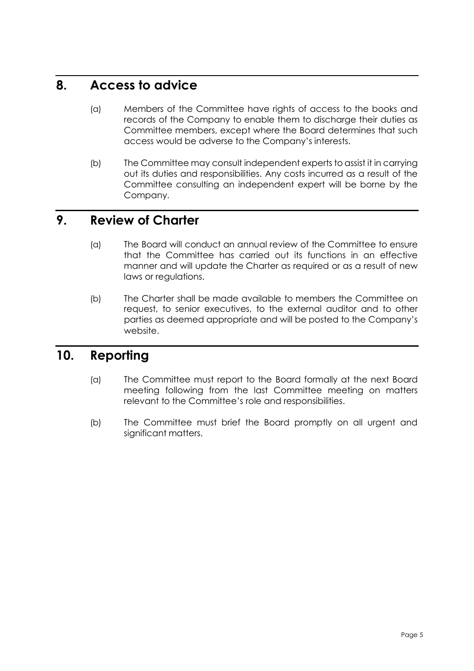## **8. Access to advice**

- (a) Members of the Committee have rights of access to the books and records of the Company to enable them to discharge their duties as Committee members, except where the Board determines that such access would be adverse to the Company's interests.
- (b) The Committee may consult independent experts to assist it in carrying out its duties and responsibilities. Any costs incurred as a result of the Committee consulting an independent expert will be borne by the Company.

## **9. Review of Charter**

- (a) The Board will conduct an annual review of the Committee to ensure that the Committee has carried out its functions in an effective manner and will update the Charter as required or as a result of new laws or regulations.
- (b) The Charter shall be made available to members the Committee on request, to senior executives, to the external auditor and to other parties as deemed appropriate and will be posted to the Company's website.

# **10. Reporting**

- (a) The Committee must report to the Board formally at the next Board meeting following from the last Committee meeting on matters relevant to the Committee's role and responsibilities.
- (b) The Committee must brief the Board promptly on all urgent and significant matters.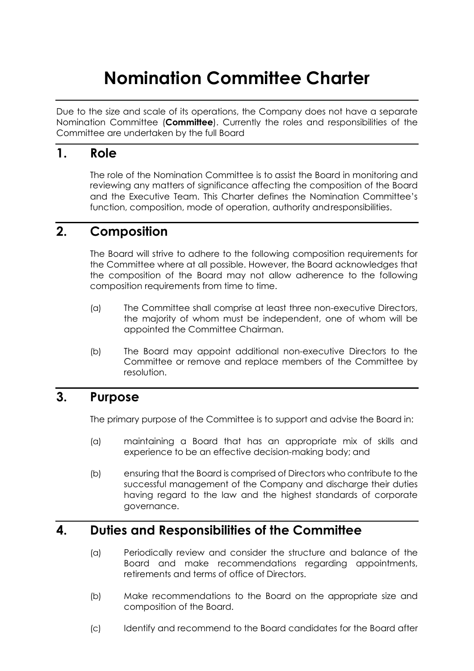# **Nomination Committee Charter**

Due to the size and scale of its operations, the Company does not have a separate Nomination Committee (**Committee**). Currently the roles and responsibilities of the Committee are undertaken by the full Board

### **1. Role**

The role of the Nomination Committee is to assist the Board in monitoring and reviewing any matters of significance affecting the composition of the Board and the Executive Team. This Charter defines the Nomination Committee's function, composition, mode of operation, authority andresponsibilities.

## **2. Composition**

The Board will strive to adhere to the following composition requirements for the Committee where at all possible. However, the Board acknowledges that the composition of the Board may not allow adherence to the following composition requirements from time to time.

- (a) The Committee shall comprise at least three non-executive Directors, the majority of whom must be independent, one of whom will be appointed the Committee Chairman.
- (b) The Board may appoint additional non-executive Directors to the Committee or remove and replace members of the Committee by resolution.

### **3. Purpose**

The primary purpose of the Committee is to support and advise the Board in:

- (a) maintaining a Board that has an appropriate mix of skills and experience to be an effective decision-making body; and
- (b) ensuring that the Board is comprised of Directors who contribute to the successful management of the Company and discharge their duties having regard to the law and the highest standards of corporate governance.

## **4. Duties and Responsibilities of the Committee**

- (a) Periodically review and consider the structure and balance of the Board and make recommendations regarding appointments, retirements and terms of office of Directors.
- (b) Make recommendations to the Board on the appropriate size and composition of the Board.
- (c) Identify and recommend to the Board candidates for the Board after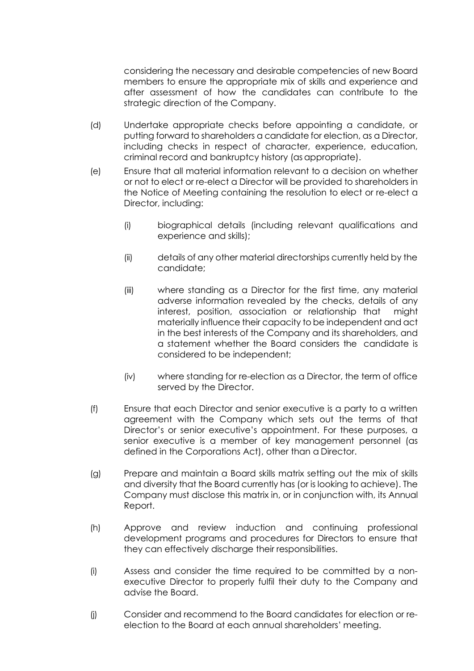considering the necessary and desirable competencies of new Board members to ensure the appropriate mix of skills and experience and after assessment of how the candidates can contribute to the strategic direction of the Company.

- (d) Undertake appropriate checks before appointing a candidate, or putting forward to shareholders a candidate for election, as a Director, including checks in respect of character, experience, education, criminal record and bankruptcy history (asappropriate).
- (e) Ensure that all material information relevant to a decision on whether or not to elect or re-elect a Director will be provided to shareholders in the Notice of Meeting containing the resolution to elect or re-elect a Director, including:
	- (i) biographical details (including relevant qualifications and experience and skills);
	- (ii) details of any other material directorships currently held by the candidate;
	- (iii) where standing as a Director for the first time, any material adverse information revealed by the checks, details of any interest, position, association or relationship that might materially influence their capacity to be independent and act in the best interests of the Company and its shareholders, and a statement whether the Board considers the candidate is considered to be independent;
	- (iv) where standing for re-election as a Director, the term of office served by the Director.
- (f) Ensure that each Director and senior executive is a party to a written agreement with the Company which sets out the terms of that Director's or senior executive's appointment. For these purposes, a senior executive is a member of key management personnel (as defined in the Corporations Act), other than a Director.
- (g) Prepare and maintain a Board skills matrix setting out the mix of skills and diversity that the Board currently has (or is looking to achieve). The Company must disclose this matrix in, or in conjunction with, its Annual Report.
- (h) Approve and review induction and continuing professional development programs and procedures for Directors to ensure that they can effectively discharge their responsibilities.
- (i) Assess and consider the time required to be committed by a nonexecutive Director to properly fulfil their duty to the Company and advise the Board.
- (j) Consider and recommend to the Board candidates for election or reelection to the Board at each annual shareholders' meeting.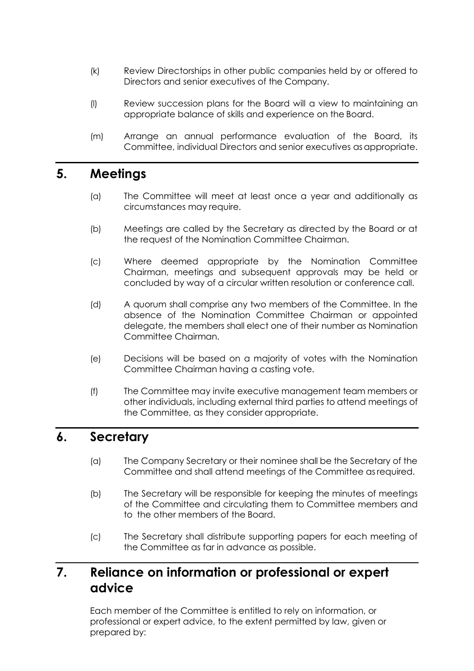- (k) Review Directorships in other public companies held by or offered to Directors and senior executives of the Company.
- (l) Review succession plans for the Board will a view to maintaining an appropriate balance of skills and experience on the Board.
- (m) Arrange an annual performance evaluation of the Board, its Committee, individual Directors and senior executives as appropriate.

### **5. Meetings**

- (a) The Committee will meet at least once a year and additionally as circumstances may require.
- (b) Meetings are called by the Secretary as directed by the Board or at the request of the Nomination Committee Chairman.
- (c) Where deemed appropriate by the Nomination Committee Chairman, meetings and subsequent approvals may be held or concluded by way of a circular written resolution or conference call.
- (d) A quorum shall comprise any two members of the Committee. In the absence of the Nomination Committee Chairman or appointed delegate, the members shall elect one of their number as Nomination Committee Chairman.
- (e) Decisions will be based on a majority of votes with the Nomination Committee Chairman having a casting vote.
- (f) The Committee may invite executive management team members or other individuals, including external third parties to attend meetings of the Committee, as they consider appropriate.

### **6. Secretary**

- (a) The Company Secretary or their nominee shall be the Secretary of the Committee and shall attend meetings of the Committee asrequired.
- (b) The Secretary will be responsible for keeping the minutes of meetings of the Committee and circulating them to Committee members and to the other members of the Board.
- (c) The Secretary shall distribute supporting papers for each meeting of the Committee as far in advance as possible.

# **7. Reliance on information or professional or expert advice**

Each member of the Committee is entitled to rely on information, or professional or expert advice, to the extent permitted by law, given or prepared by: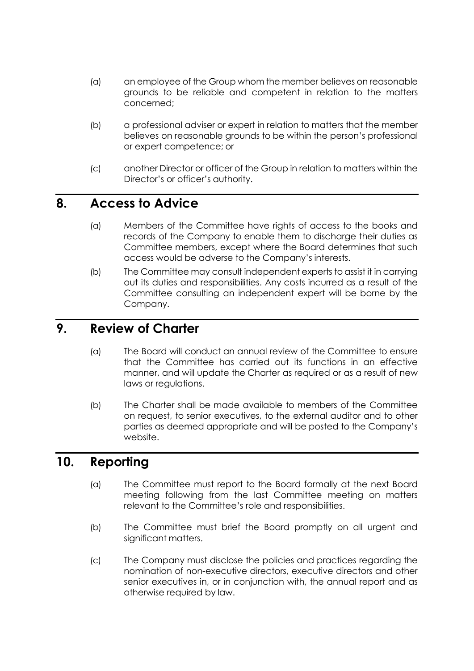- (a) an employee of the Group whom the member believes on reasonable grounds to be reliable and competent in relation to the matters concerned;
- (b) a professional adviser or expert in relation to matters that the member believes on reasonable grounds to be within the person's professional or expert competence; or
- (c) another Director or officer of the Group in relation to matters within the Director's or officer's authority.

### **8. Access to Advice**

- (a) Members of the Committee have rights of access to the books and records of the Company to enable them to discharge their duties as Committee members, except where the Board determines that such access would be adverse to the Company's interests.
- (b) The Committee may consult independent experts to assist it in carrying out its duties and responsibilities. Any costs incurred as a result of the Committee consulting an independent expert will be borne by the Company.

### **9. Review of Charter**

- (a) The Board will conduct an annual review of the Committee to ensure that the Committee has carried out its functions in an effective manner, and will update the Charter as required or as a result of new laws or regulations.
- (b) The Charter shall be made available to members of the Committee on request, to senior executives, to the external auditor and to other parties as deemed appropriate and will be posted to the Company's website.

### **10. Reporting**

- (a) The Committee must report to the Board formally at the next Board meeting following from the last Committee meeting on matters relevant to the Committee's role and responsibilities.
- (b) The Committee must brief the Board promptly on all urgent and significant matters.
- (c) The Company must disclose the policies and practices regarding the nomination of non-executive directors, executive directors and other senior executives in, or in conjunction with, the annual report and as otherwise required by law.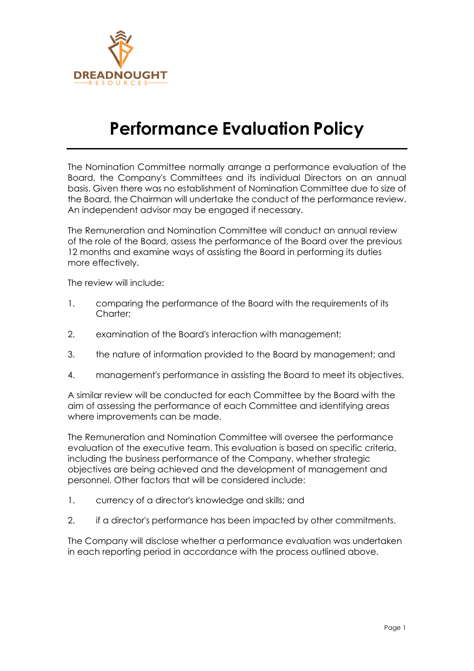

# **Performance Evaluation Policy**

The Nomination Committee normally arrange a performance evaluation of the Board, the Company's Committees and its individual Directors on an annual basis. Given there was no establishment of Nomination Committee due to size of the Board, the Chairman will undertake the conduct of the performance review. An independent advisor may be engaged if necessary.

The Remuneration and Nomination Committee will conduct an annual review of the role of the Board, assess the performance of the Board over the previous 12 months and examine ways of assisting the Board in performing its duties more effectively.

The review will include:

- 1. comparing the performance of the Board with the requirements of its Charter;
- 2. examination of the Board's interaction with management;
- 3. the nature of information provided to the Board by management; and
- 4. management's performance in assisting the Board to meet its objectives.

A similar review will be conducted for each Committee by the Board with the aim of assessing the performance of each Committee and identifying areas where improvements can be made.

The Remuneration and Nomination Committee will oversee the performance evaluation of the executive team. This evaluation is based on specific criteria, including the business performance of the Company, whether strategic objectives are being achieved and the development of management and personnel. Other factors that will be considered include:

- 1. currency of a director's knowledge and skills; and
- 2. if a director's performance has been impacted by other commitments.

The Company will disclose whether a performance evaluation was undertaken in each reporting period in accordance with the process outlined above.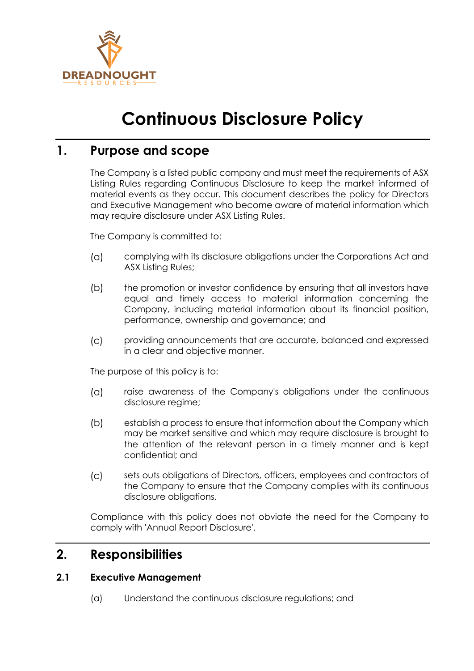

# **Continuous Disclosure Policy**

# **1. Purpose and scope**

The Company is a listed public company and must meet the requirements of ASX Listing Rules regarding Continuous Disclosure to keep the market informed of material events as they occur. This document describes the policy for Directors and Executive Management who become aware of material information which may require disclosure under ASX Listing Rules.

The Company is committed to:

- $(a)$ complying with its disclosure obligations under the Corporations Act and ASX Listing Rules;
- $(b)$ the promotion or investor confidence by ensuring that all investors have equal and timely access to material information concerning the Company, including material information about its financial position, performance, ownership and governance; and
- $(C)$ providing announcements that are accurate, balanced and expressed in a clear and objective manner.

The purpose of this policy is to:

- $(a)$ raise awareness of the Company's obligations under the continuous disclosure regime;
- $(b)$ establish a process to ensure that information about the Company which may be market sensitive and which may require disclosure is brought to the attention of the relevant person in a timely manner and is kept confidential; and
- $\overline{c}$ sets outs obligations of Directors, officers, employees and contractors of the Company to ensure that the Company complies with its continuous disclosure obligations.

Compliance with this policy does not obviate the need for the Company to comply with 'Annual Report Disclosure'.

### **2. Responsibilities**

#### **2.1 Executive Management**

(a) Understand the continuous disclosure regulations; and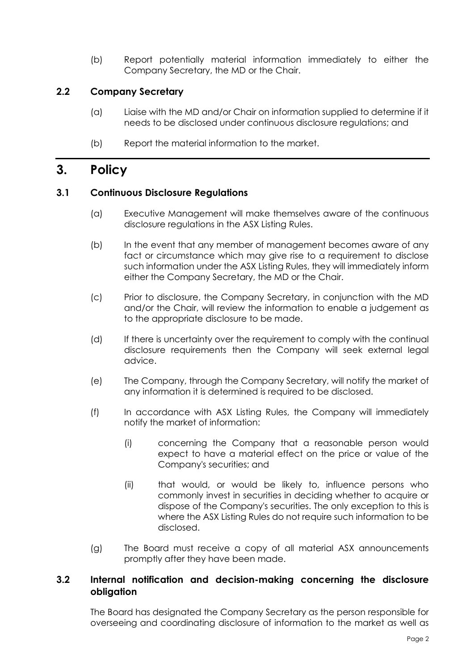(b) Report potentially material information immediately to either the Company Secretary, the MD or the Chair.

#### **2.2 Company Secretary**

- (a) Liaise with the MD and/or Chair on information supplied to determine if it needs to be disclosed under continuous disclosure regulations; and
- (b) Report the material information to the market.

### **3. Policy**

#### **3.1 Continuous Disclosure Regulations**

- (a) Executive Management will make themselves aware of the continuous disclosure regulations in the ASX Listing Rules.
- (b) In the event that any member of management becomes aware of any fact or circumstance which may give rise to a requirement to disclose such information under the ASX Listing Rules, they will immediately inform either the Company Secretary, the MD or the Chair.
- (c) Prior to disclosure, the Company Secretary, in conjunction with the MD and/or the Chair, will review the information to enable a judgement as to the appropriate disclosure to be made.
- (d) If there is uncertainty over the requirement to comply with the continual disclosure requirements then the Company will seek external legal advice.
- (e) The Company, through the Company Secretary, will notify the market of any information it is determined is required to be disclosed.
- (f) In accordance with ASX Listing Rules, the Company will immediately notify the market of information:
	- (i) concerning the Company that a reasonable person would expect to have a material effect on the price or value of the Company's securities; and
	- (ii) that would, or would be likely to, influence persons who commonly invest in securities in deciding whether to acquire or dispose of the Company's securities. The only exception to this is where the ASX Listing Rules do not require such information to be disclosed.
- (g) The Board must receive a copy of all material ASX announcements promptly after they have been made.

#### **3.2 Internal notification and decision-making concerning the disclosure obligation**

The Board has designated the Company Secretary as the person responsible for overseeing and coordinating disclosure of information to the market as well as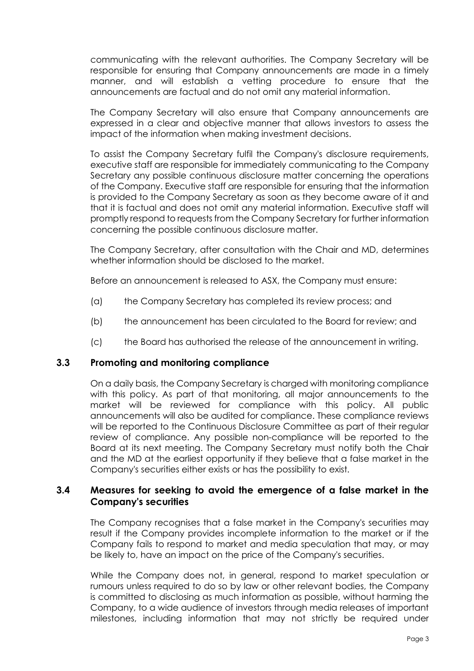communicating with the relevant authorities. The Company Secretary will be responsible for ensuring that Company announcements are made in a timely manner, and will establish a vetting procedure to ensure that the announcements are factual and do not omit any material information.

The Company Secretary will also ensure that Company announcements are expressed in a clear and objective manner that allows investors to assess the impact of the information when making investment decisions.

To assist the Company Secretary fulfil the Company's disclosure requirements, executive staff are responsible for immediately communicating to the Company Secretary any possible continuous disclosure matter concerning the operations of the Company. Executive staff are responsible for ensuring that the information is provided to the Company Secretary as soon as they become aware of it and that it is factual and does not omit any material information. Executive staff will promptly respond to requests from the Company Secretary for further information concerning the possible continuous disclosure matter.

The Company Secretary, after consultation with the Chair and MD, determines whether information should be disclosed to the market.

Before an announcement is released to ASX, the Company must ensure:

- (a) the Company Secretary has completed its review process; and
- (b) the announcement has been circulated to the Board for review; and
- (c) the Board has authorised the release of the announcement in writing.

#### **3.3 Promoting and monitoring compliance**

On a daily basis, the Company Secretary is charged with monitoring compliance with this policy. As part of that monitoring, all major announcements to the market will be reviewed for compliance with this policy. All public announcements will also be audited for compliance. These compliance reviews will be reported to the Continuous Disclosure Committee as part of their regular review of compliance. Any possible non-compliance will be reported to the Board at its next meeting. The Company Secretary must notify both the Chair and the MD at the earliest opportunity if they believe that a false market in the Company's securities either exists or has the possibility to exist.

#### **3.4 Measures for seeking to avoid the emergence of a false market in the Company's securities**

The Company recognises that a false market in the Company's securities may result if the Company provides incomplete information to the market or if the Company fails to respond to market and media speculation that may, or may be likely to, have an impact on the price of the Company's securities.

While the Company does not, in general, respond to market speculation or rumours unless required to do so by law or other relevant bodies, the Company is committed to disclosing as much information as possible, without harming the Company, to a wide audience of investors through media releases of important milestones, including information that may not strictly be required under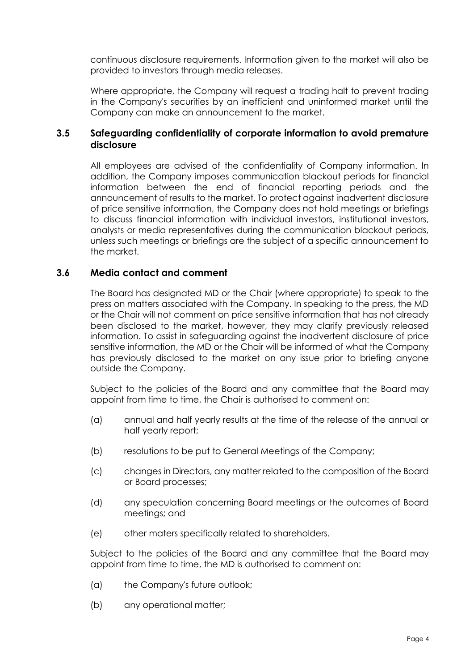continuous disclosure requirements. Information given to the market will also be provided to investors through media releases.

Where appropriate, the Company will request a trading halt to prevent trading in the Company's securities by an inefficient and uninformed market until the Company can make an announcement to the market.

#### **3.5 Safeguarding confidentiality of corporate information to avoid premature disclosure**

All employees are advised of the confidentiality of Company information. In addition, the Company imposes communication blackout periods for financial information between the end of financial reporting periods and the announcement of results to the market. To protect against inadvertent disclosure of price sensitive information, the Company does not hold meetings or briefings to discuss financial information with individual investors, institutional investors, analysts or media representatives during the communication blackout periods, unless such meetings or briefings are the subject of a specific announcement to the market.

#### **3.6 Media contact and comment**

The Board has designated MD or the Chair (where appropriate) to speak to the press on matters associated with the Company. In speaking to the press, the MD or the Chair will not comment on price sensitive information that has not already been disclosed to the market, however, they may clarify previously released information. To assist in safeguarding against the inadvertent disclosure of price sensitive information, the MD or the Chair will be informed of what the Company has previously disclosed to the market on any issue prior to briefing anyone outside the Company.

Subject to the policies of the Board and any committee that the Board may appoint from time to time, the Chair is authorised to comment on:

- (a) annual and half yearly results at the time of the release of the annual or half yearly report;
- (b) resolutions to be put to General Meetings of the Company;
- (c) changes in Directors, any matter related to the composition of the Board or Board processes;
- (d) any speculation concerning Board meetings or the outcomes of Board meetings; and
- (e) other maters specifically related to shareholders.

Subject to the policies of the Board and any committee that the Board may appoint from time to time, the MD is authorised to comment on:

- (a) the Company's future outlook;
- (b) any operational matter;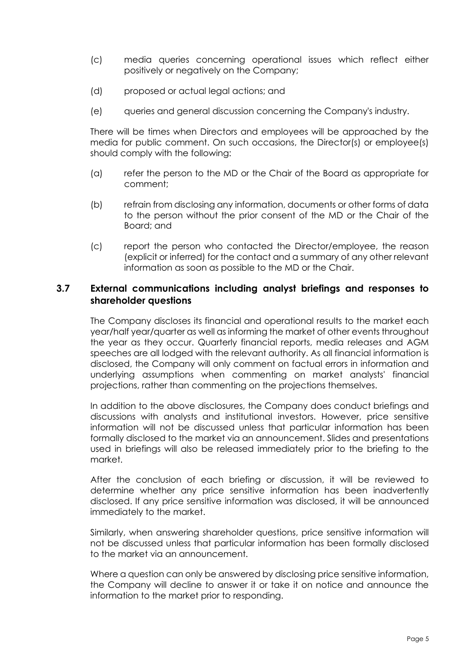- (c) media queries concerning operational issues which reflect either positively or negatively on the Company;
- (d) proposed or actual legal actions; and
- (e) queries and general discussion concerning the Company's industry.

There will be times when Directors and employees will be approached by the media for public comment. On such occasions, the Director(s) or employee(s) should comply with the following:

- (a) refer the person to the MD or the Chair of the Board as appropriate for comment;
- (b) refrain from disclosing any information, documents or other forms of data to the person without the prior consent of the MD or the Chair of the Board; and
- (c) report the person who contacted the Director/employee, the reason (explicit or inferred) for the contact and a summary of any other relevant information as soon as possible to the MD or the Chair.

#### **3.7 External communications including analyst briefings and responses to shareholder questions**

The Company discloses its financial and operational results to the market each year/half year/quarter as well as informing the market of other events throughout the year as they occur. Quarterly financial reports, media releases and AGM speeches are all lodged with the relevant authority. As all financial information is disclosed, the Company will only comment on factual errors in information and underlying assumptions when commenting on market analysts' financial projections, rather than commenting on the projections themselves.

In addition to the above disclosures, the Company does conduct briefings and discussions with analysts and institutional investors. However, price sensitive information will not be discussed unless that particular information has been formally disclosed to the market via an announcement. Slides and presentations used in briefings will also be released immediately prior to the briefing to the market.

After the conclusion of each briefing or discussion, it will be reviewed to determine whether any price sensitive information has been inadvertently disclosed. If any price sensitive information was disclosed, it will be announced immediately to the market.

Similarly, when answering shareholder questions, price sensitive information will not be discussed unless that particular information has been formally disclosed to the market via an announcement.

Where a question can only be answered by disclosing price sensitive information, the Company will decline to answer it or take it on notice and announce the information to the market prior to responding.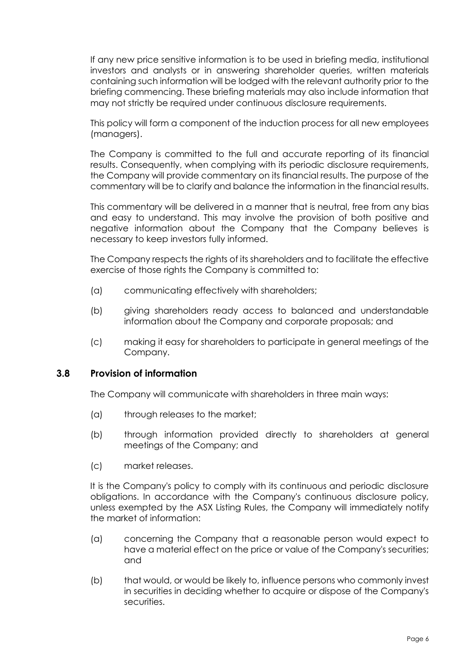If any new price sensitive information is to be used in briefing media, institutional investors and analysts or in answering shareholder queries, written materials containing such information will be lodged with the relevant authority prior to the briefing commencing. These briefing materials may also include information that may not strictly be required under continuous disclosure requirements.

This policy will form a component of the induction process for all new employees (managers).

The Company is committed to the full and accurate reporting of its financial results. Consequently, when complying with its periodic disclosure requirements, the Company will provide commentary on its financial results. The purpose of the commentary will be to clarify and balance the information in the financial results.

This commentary will be delivered in a manner that is neutral, free from any bias and easy to understand. This may involve the provision of both positive and negative information about the Company that the Company believes is necessary to keep investors fully informed.

The Company respects the rights of its shareholders and to facilitate the effective exercise of those rights the Company is committed to:

- (a) communicating effectively with shareholders;
- (b) giving shareholders ready access to balanced and understandable information about the Company and corporate proposals; and
- (c) making it easy for shareholders to participate in general meetings of the Company.

#### **3.8 Provision of information**

The Company will communicate with shareholders in three main ways:

- (a) through releases to the market;
- (b) through information provided directly to shareholders at general meetings of the Company; and
- (c) market releases.

It is the Company's policy to comply with its continuous and periodic disclosure obligations. In accordance with the Company's continuous disclosure policy, unless exempted by the ASX Listing Rules, the Company will immediately notify the market of information:

- (a) concerning the Company that a reasonable person would expect to have a material effect on the price or value of the Company's securities; and
- (b) that would, or would be likely to, influence persons who commonly invest in securities in deciding whether to acquire or dispose of the Company's securities.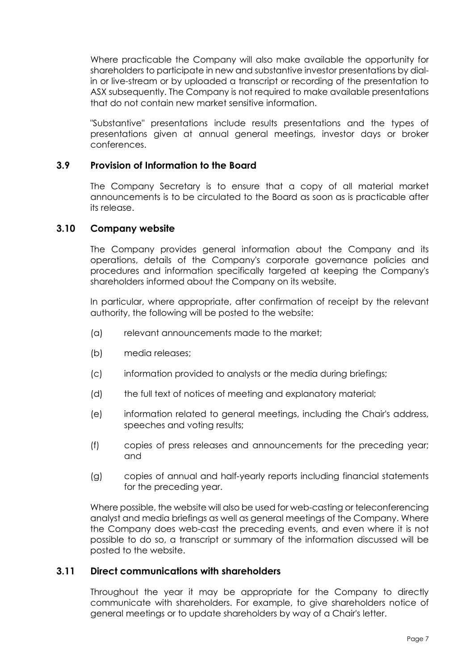Where practicable the Company will also make available the opportunity for shareholders to participate in new and substantive investor presentations by dialin or live-stream or by uploaded a transcript or recording of the presentation to ASX subsequently. The Company is not required to make available presentations that do not contain new market sensitive information.

"Substantive" presentations include results presentations and the types of presentations given at annual general meetings, investor days or broker conferences.

#### **3.9 Provision of Information to the Board**

The Company Secretary is to ensure that a copy of all material market announcements is to be circulated to the Board as soon as is practicable after its release.

#### **3.10 Company website**

The Company provides general information about the Company and its operations, details of the Company's corporate governance policies and procedures and information specifically targeted at keeping the Company's shareholders informed about the Company on its website.

In particular, where appropriate, after confirmation of receipt by the relevant authority, the following will be posted to the website:

- (a) relevant announcements made to the market;
- (b) media releases;
- (c) information provided to analysts or the media during briefings;
- (d) the full text of notices of meeting and explanatory material;
- (e) information related to general meetings, including the Chair's address, speeches and voting results;
- (f) copies of press releases and announcements for the preceding year; and
- (g) copies of annual and half-yearly reports including financial statements for the preceding year.

Where possible, the website will also be used for web-casting or teleconferencing analyst and media briefings as well as general meetings of the Company. Where the Company does web-cast the preceding events, and even where it is not possible to do so, a transcript or summary of the information discussed will be posted to the website.

#### **3.11 Direct communications with shareholders**

Throughout the year it may be appropriate for the Company to directly communicate with shareholders. For example, to give shareholders notice of general meetings or to update shareholders by way of a Chair's letter.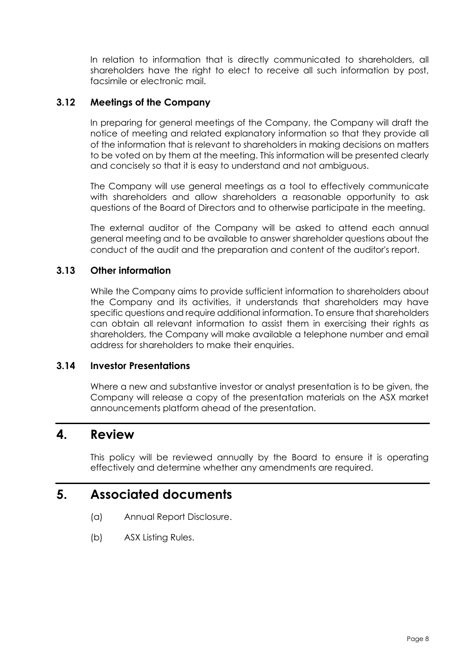In relation to information that is directly communicated to shareholders, all shareholders have the right to elect to receive all such information by post, facsimile or electronic mail.

#### **3.12 Meetings of the Company**

In preparing for general meetings of the Company, the Company will draft the notice of meeting and related explanatory information so that they provide all of the information that is relevant to shareholders in making decisions on matters to be voted on by them at the meeting. This information will be presented clearly and concisely so that it is easy to understand and not ambiguous.

The Company will use general meetings as a tool to effectively communicate with shareholders and allow shareholders a reasonable opportunity to ask questions of the Board of Directors and to otherwise participate in the meeting.

The external auditor of the Company will be asked to attend each annual general meeting and to be available to answer shareholder questions about the conduct of the audit and the preparation and content of the auditor's report.

#### **3.13 Other information**

While the Company aims to provide sufficient information to shareholders about the Company and its activities, it understands that shareholders may have specific questions and require additional information. To ensure that shareholders can obtain all relevant information to assist them in exercising their rights as shareholders, the Company will make available a telephone number and email address for shareholders to make their enquiries.

#### **3.14 Investor Presentations**

Where a new and substantive investor or analyst presentation is to be given, the Company will release a copy of the presentation materials on the ASX market announcements platform ahead of the presentation.

#### **4. Review**

This policy will be reviewed annually by the Board to ensure it is operating effectively and determine whether any amendments are required.

### **5. Associated documents**

- (a) Annual Report Disclosure.
- (b) ASX Listing Rules.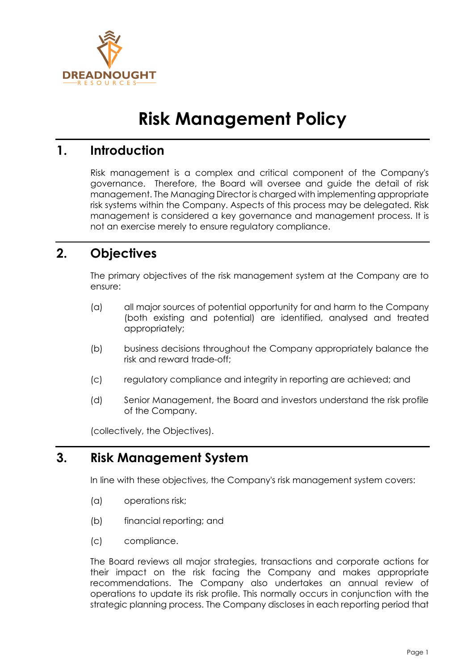

# **Risk Management Policy**

### **1. Introduction**

Risk management is a complex and critical component of the Company's governance. Therefore, the Board will oversee and guide the detail of risk management. The Managing Director is charged with implementing appropriate risk systems within the Company. Aspects of this process may be delegated. Risk management is considered a key governance and management process. It is not an exercise merely to ensure regulatory compliance.

# **2. Objectives**

The primary objectives of the risk management system at the Company are to ensure:

- (a) all major sources of potential opportunity for and harm to the Company (both existing and potential) are identified, analysed and treated appropriately;
- (b) business decisions throughout the Company appropriately balance the risk and reward trade-off;
- (c) regulatory compliance and integrity in reporting are achieved; and
- (d) Senior Management, the Board and investors understand the risk profile of the Company.

(collectively, the Objectives).

## **3. Risk Management System**

In line with these objectives, the Company's risk management system covers:

- (a) operations risk;
- (b) financial reporting; and
- (c) compliance.

The Board reviews all major strategies, transactions and corporate actions for their impact on the risk facing the Company and makes appropriate recommendations. The Company also undertakes an annual review of operations to update its risk profile. This normally occurs in conjunction with the strategic planning process. The Company discloses in each reporting period that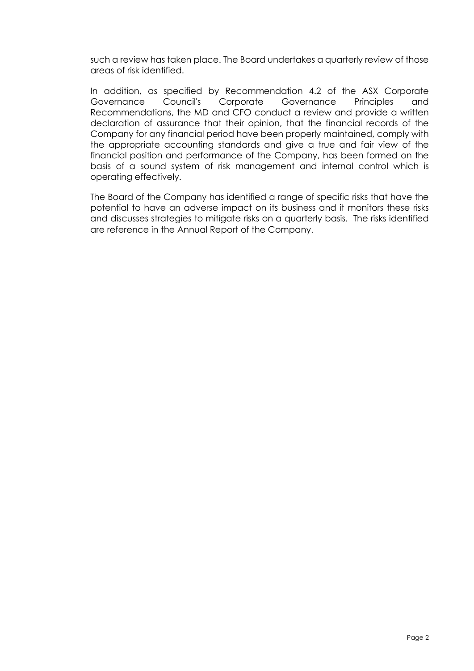such a review has taken place. The Board undertakes a quarterly review of those areas of risk identified.

In addition, as specified by Recommendation 4.2 of the ASX Corporate Governance Council's Corporate Governance Principles and Recommendations, the MD and CFO conduct a review and provide a written declaration of assurance that their opinion, that the financial records of the Company for any financial period have been properly maintained, comply with the appropriate accounting standards and give a true and fair view of the financial position and performance of the Company, has been formed on the basis of a sound system of risk management and internal control which is operating effectively.

The Board of the Company has identified a range of specific risks that have the potential to have an adverse impact on its business and it monitors these risks and discusses strategies to mitigate risks on a quarterly basis. The risks identified are reference in the Annual Report of the Company.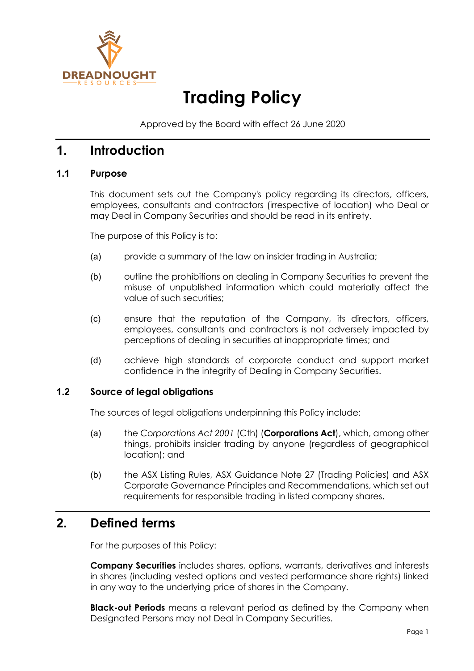

# **Trading Policy**

Approved by the Board with effect 26 June 2020

### **1. Introduction**

#### **1.1 Purpose**

This document sets out the Company's policy regarding its directors, officers, employees, consultants and contractors (irrespective of location) who Deal or may Deal in Company Securities and should be read in its entirety.

The purpose of this Policy is to:

- (a) provide a summary of the law on insider trading in Australia;
- (b) outline the prohibitions on dealing in Company Securities to prevent the misuse of unpublished information which could materially affect the value of such securities;
- (c) ensure that the reputation of the Company, its directors, officers, employees, consultants and contractors is not adversely impacted by perceptions of dealing in securities at inappropriate times; and
- (d) achieve high standards of corporate conduct and support market confidence in the integrity of Dealing in Company Securities.

#### **1.2 Source of legal obligations**

The sources of legal obligations underpinning this Policy include:

- (a) the *Corporations Act 2001* (Cth) (**Corporations Act**), which, among other things, prohibits insider trading by anyone (regardless of geographical location); and
- (b) the ASX Listing Rules, ASX Guidance Note 27 (Trading Policies) and ASX Corporate Governance Principles and Recommendations, which set out requirements for responsible trading in listed company shares.

### **2. Defined terms**

For the purposes of this Policy:

**Company Securities** includes shares, options, warrants, derivatives and interests in shares (including vested options and vested performance share rights) linked in any way to the underlying price of shares in the Company.

**Black-out Periods** means a relevant period as defined by the Company when Designated Persons may not Deal in Company Securities.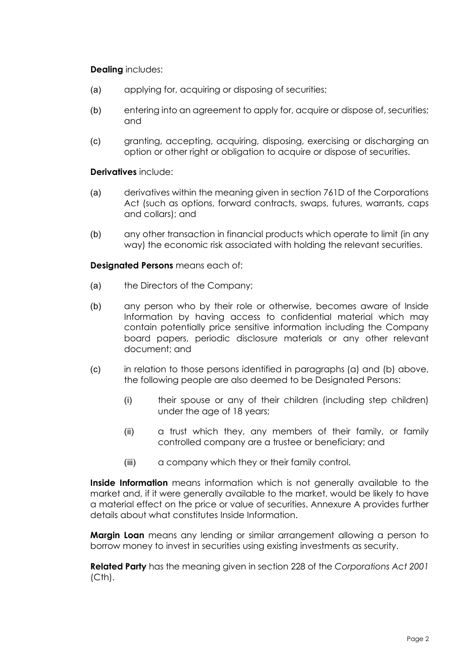#### **Dealing** includes:

- (a) applying for, acquiring or disposing of securities;
- (b) entering into an agreement to apply for, acquire or dispose of, securities; and
- (c) granting, accepting, acquiring, disposing, exercising or discharging an option or other right or obligation to acquire or dispose of securities.

**Derivatives** include:

- (a) derivatives within the meaning given in section 761D of the Corporations Act (such as options, forward contracts, swaps, futures, warrants, caps and collars); and
- (b) any other transaction in financial products which operate to limit (in any way) the economic risk associated with holding the relevant securities.

<span id="page-69-0"></span>**Designated Persons** means each of:

- (a) the Directors of the Company;
- <span id="page-69-1"></span>(b) any person who by their role or otherwise, becomes aware of Inside Information by having access to confidential material which may contain potentially price sensitive information including the Company board papers, periodic disclosure materials or any other relevant document; and
- (c) in relation to those persons identified in paragraphs [\(a\)](#page-69-0) and [\(b\)](#page-69-1) above, the following people are also deemed to be Designated Persons:
	- (i) their spouse or any of their children (including step children) under the age of 18 years;
	- (ii) a trust which they, any members of their family, or family controlled company are a trustee or beneficiary; and
	- (iii) a company which they or their family control.

**Inside Information** means information which is not generally available to the market and, if it were generally available to the market, would be likely to have a material effect on the price or value of securities. Annexure A provides further details about what constitutes Inside Information.

**Margin Loan** means any lending or similar arrangement allowing a person to borrow money to invest in securities using existing investments as security.

**Related Party** has the meaning given in section 228 of the *Corporations Act 2001*  (Cth).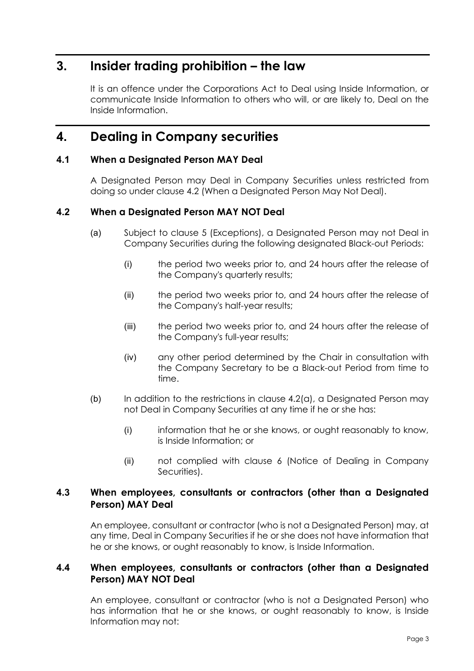### **3. Insider trading prohibition – the law**

It is an offence under the Corporations Act to Deal using Inside Information, or communicate Inside Information to others who will, or are likely to, Deal on the Inside Information.

### **4. Dealing in Company securities**

#### **4.1 When a Designated Person MAY Deal**

A Designated Person may Deal in Company Securities unless restricted from doing so under clause [4.2](#page-70-0) (When a Designated Person May Not Deal).

#### <span id="page-70-1"></span><span id="page-70-0"></span>**4.2 When a Designated Person MAY NOT Deal**

- (a) Subject to clause 5 (Exceptions), a Designated Person may not Deal in Company Securities during the following designated Black-out Periods:
	- (i) the period two weeks prior to, and 24 hours after the release of the Company's quarterly results;
	- (ii) the period two weeks prior to, and 24 hours after the release of the Company's half-year results;
	- (iii) the period two weeks prior to, and 24 hours after the release of the Company's full-year results;
	- (iv) any other period determined by the Chair in consultation with the Company Secretary to be a Black-out Period from time to time.
- (b) In addition to the restrictions in clause  $4.2(a)$ , a Designated Person may not Deal in Company Securities at any time if he or she has:
	- (i) information that he or she knows, or ought reasonably to know, is Inside Information; or
	- (ii) not complied with clause 6 (Notice of Dealing in Company Securities).

#### **4.3 When employees, consultants or contractors (other than a Designated Person) MAY Deal**

An employee, consultant or contractor (who is not a Designated Person) may, at any time, Deal in Company Securities if he or she does not have information that he or she knows, or ought reasonably to know, is Inside Information.

#### **4.4 When employees, consultants or contractors (other than a Designated Person) MAY NOT Deal**

An employee, consultant or contractor (who is not a Designated Person) who has information that he or she knows, or ought reasonably to know, is Inside Information may not: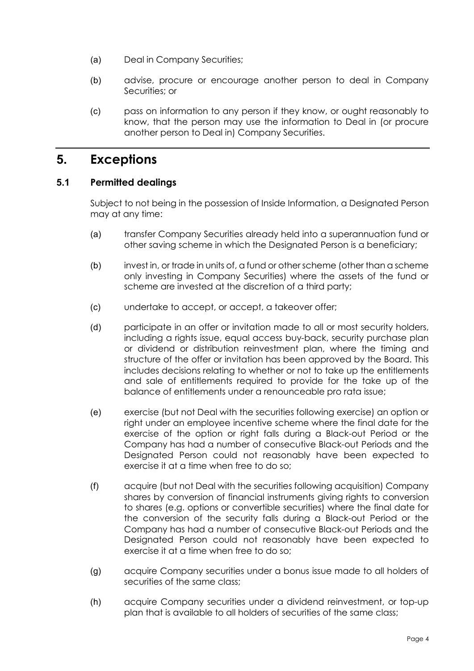- (a) Deal in Company Securities;
- (b) advise, procure or encourage another person to deal in Company Securities; or
- (c) pass on information to any person if they know, or ought reasonably to know, that the person may use the information to Deal in (or procure another person to Deal in) Company Securities.

### **5. Exceptions**

#### **5.1 Permitted dealings**

Subject to not being in the possession of Inside Information, a Designated Person may at any time:

- (a) transfer Company Securities already held into a superannuation fund or other saving scheme in which the Designated Person is a beneficiary;
- (b) invest in, or trade in units of, a fund or other scheme (other than a scheme only investing in Company Securities) where the assets of the fund or scheme are invested at the discretion of a third party;
- (c) undertake to accept, or accept, a takeover offer;
- (d) participate in an offer or invitation made to all or most security holders, including a rights issue, equal access buy-back, security purchase plan or dividend or distribution reinvestment plan, where the timing and structure of the offer or invitation has been approved by the Board. This includes decisions relating to whether or not to take up the entitlements and sale of entitlements required to provide for the take up of the balance of entitlements under a renounceable pro rata issue;
- (e) exercise (but not Deal with the securities following exercise) an option or right under an employee incentive scheme where the final date for the exercise of the option or right falls during a Black-out Period or the Company has had a number of consecutive Black-out Periods and the Designated Person could not reasonably have been expected to exercise it at a time when free to do so;
- (f) acquire (but not Deal with the securities following acquisition) Company shares by conversion of financial instruments giving rights to conversion to shares (e.g. options or convertible securities) where the final date for the conversion of the security falls during a Black-out Period or the Company has had a number of consecutive Black-out Periods and the Designated Person could not reasonably have been expected to exercise it at a time when free to do so;
- (g) acquire Company securities under a bonus issue made to all holders of securities of the same class;
- (h) acquire Company securities under a dividend reinvestment, or top-up plan that is available to all holders of securities of the same class;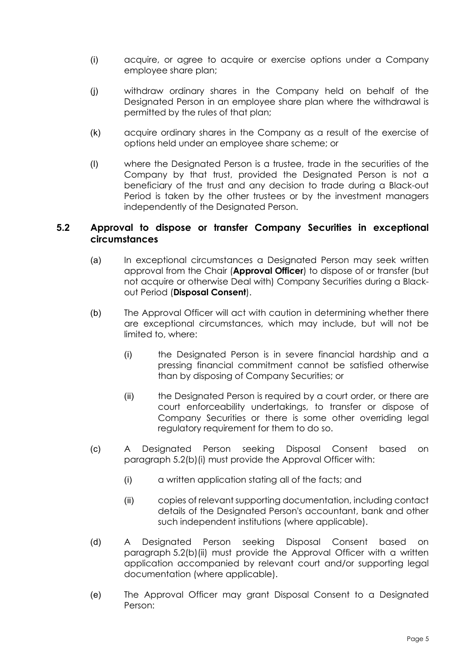- (i) acquire, or agree to acquire or exercise options under a Company employee share plan;
- (j) withdraw ordinary shares in the Company held on behalf of the Designated Person in an employee share plan where the withdrawal is permitted by the rules of that plan;
- (k) acquire ordinary shares in the Company as a result of the exercise of options held under an employee share scheme; or
- (l) where the Designated Person is a trustee, trade in the securities of the Company by that trust, provided the Designated Person is not a beneficiary of the trust and any decision to trade during a Black-out Period is taken by the other trustees or by the investment managers independently of the Designated Person.

#### **5.2 Approval to dispose or transfer Company Securities in exceptional circumstances**

- (a) In exceptional circumstances a Designated Person may seek written approval from the Chair (**Approval Officer**) to dispose of or transfer (but not acquire or otherwise Deal with) Company Securities during a Blackout Period (**Disposal Consent**).
- <span id="page-72-0"></span>(b) The Approval Officer will act with caution in determining whether there are exceptional circumstances, which may include, but will not be limited to, where:
	- (i) the Designated Person is in severe financial hardship and a pressing financial commitment cannot be satisfied otherwise than by disposing of Company Securities; or
	- (ii) the Designated Person is required by a court order, or there are court enforceability undertakings, to transfer or dispose of Company Securities or there is some other overriding legal regulatory requirement for them to do so.
- <span id="page-72-1"></span>(c) A Designated Person seeking Disposal Consent based on paragraph [5.2\(b\)\(i\)](#page-72-0) must provide the Approval Officer with:
	- (i) a written application stating all of the facts; and
	- (ii) copies of relevant supporting documentation, including contact details of the Designated Person's accountant, bank and other such independent institutions (where applicable).
- (d) A Designated Person seeking Disposal Consent based on paragraph [5.2\(b\)\(ii\)](#page-72-1) must provide the Approval Officer with a written application accompanied by relevant court and/or supporting legal documentation (where applicable).
- (e) The Approval Officer may grant Disposal Consent to a Designated Person: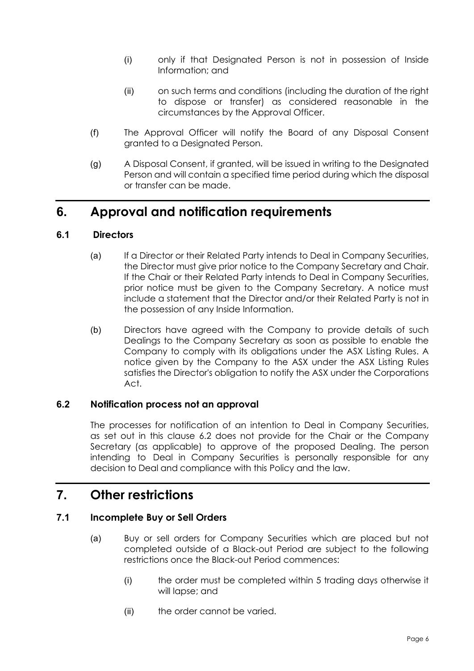- (i) only if that Designated Person is not in possession of Inside Information; and
- (ii) on such terms and conditions (including the duration of the right to dispose or transfer) as considered reasonable in the circumstances by the Approval Officer.
- (f) The Approval Officer will notify the Board of any Disposal Consent granted to a Designated Person.
- (g) A Disposal Consent, if granted, will be issued in writing to the Designated Person and will contain a specified time period during which the disposal or transfer can be made.

### **6. Approval and notification requirements**

#### **6.1 Directors**

- (a) If a Director or their Related Party intends to Deal in Company Securities, the Director must give prior notice to the Company Secretary and Chair. If the Chair or their Related Party intends to Deal in Company Securities, prior notice must be given to the Company Secretary. A notice must include a statement that the Director and/or their Related Party is not in the possession of any Inside Information.
- (b) Directors have agreed with the Company to provide details of such Dealings to the Company Secretary as soon as possible to enable the Company to comply with its obligations under the ASX Listing Rules. A notice given by the Company to the ASX under the ASX Listing Rules satisfies the Director's obligation to notify the ASX under the Corporations Act.

#### **6.2 Notification process not an approval**

The processes for notification of an intention to Deal in Company Securities, as set out in this clause 6.2 does not provide for the Chair or the Company Secretary (as applicable) to approve of the proposed Dealing. The person intending to Deal in Company Securities is personally responsible for any decision to Deal and compliance with this Policy and the law.

### **7. Other restrictions**

#### **7.1 Incomplete Buy or Sell Orders**

- (a) Buy or sell orders for Company Securities which are placed but not completed outside of a Black-out Period are subject to the following restrictions once the Black-out Period commences:
	- (i) the order must be completed within 5 trading days otherwise it will lapse; and
	- (ii) the order cannot be varied.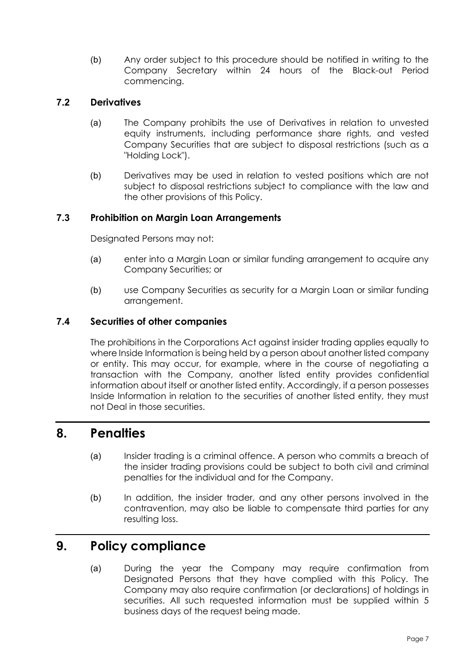(b) Any order subject to this procedure should be notified in writing to the Company Secretary within 24 hours of the Black-out Period commencing.

#### **7.2 Derivatives**

- (a) The Company prohibits the use of Derivatives in relation to unvested equity instruments, including performance share rights, and vested Company Securities that are subject to disposal restrictions (such as a "Holding Lock").
- (b) Derivatives may be used in relation to vested positions which are not subject to disposal restrictions subject to compliance with the law and the other provisions of this Policy.

#### **7.3 Prohibition on Margin Loan Arrangements**

Designated Persons may not:

- (a) enter into a Margin Loan or similar funding arrangement to acquire any Company Securities; or
- (b) use Company Securities as security for a Margin Loan or similar funding arrangement.

#### **7.4 Securities of other companies**

The prohibitions in the Corporations Act against insider trading applies equally to where Inside Information is being held by a person about another listed company or entity. This may occur, for example, where in the course of negotiating a transaction with the Company, another listed entity provides confidential information about itself or another listed entity. Accordingly, if a person possesses Inside Information in relation to the securities of another listed entity, they must not Deal in those securities.

#### **8. Penalties**

- (a) Insider trading is a criminal offence. A person who commits a breach of the insider trading provisions could be subject to both civil and criminal penalties for the individual and for the Company.
- (b) In addition, the insider trader, and any other persons involved in the contravention, may also be liable to compensate third parties for any resulting loss.

#### **9. Policy compliance**

(a) During the year the Company may require confirmation from Designated Persons that they have complied with this Policy. The Company may also require confirmation (or declarations) of holdings in securities. All such requested information must be supplied within 5 business days of the request being made.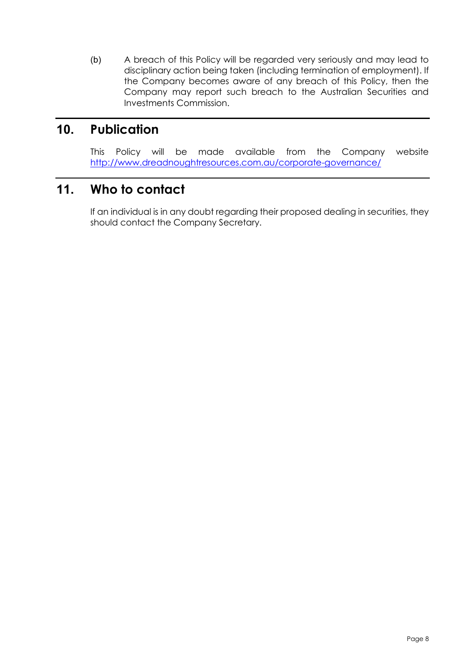(b) A breach of this Policy will be regarded very seriously and may lead to disciplinary action being taken (including termination of employment). If the Company becomes aware of any breach of this Policy, then the Company may report such breach to the Australian Securities and Investments Commission.

### **10. Publication**

This Policy will be made available from the Company website <http://www.dreadnoughtresources.com.au/corporate-governance/>

# **11. Who to contact**

If an individual is in any doubt regarding their proposed dealing in securities, they should contact the Company Secretary.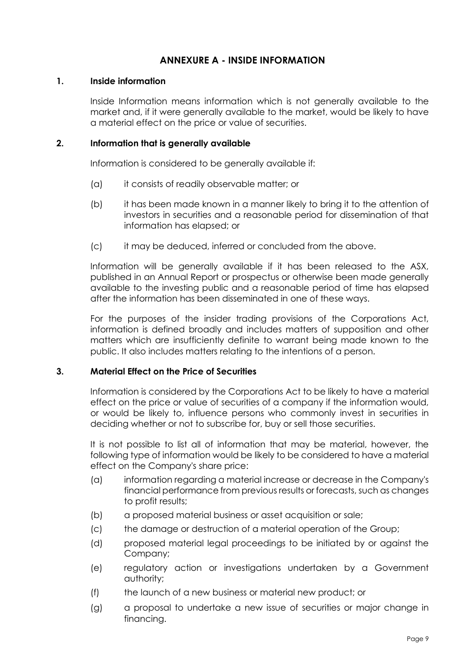#### **ANNEXURE A - INSIDE INFORMATION**

#### **1. Inside information**

Inside Information means information which is not generally available to the market and, if it were generally available to the market, would be likely to have a material effect on the price or value of securities.

#### **2. Information that is generally available**

Information is considered to be generally available if:

- (a) it consists of readily observable matter; or
- (b) it has been made known in a manner likely to bring it to the attention of investors in securities and a reasonable period for dissemination of that information has elapsed; or
- (c) it may be deduced, inferred or concluded from the above.

Information will be generally available if it has been released to the ASX, published in an Annual Report or prospectus or otherwise been made generally available to the investing public and a reasonable period of time has elapsed after the information has been disseminated in one of these ways.

For the purposes of the insider trading provisions of the Corporations Act, information is defined broadly and includes matters of supposition and other matters which are insufficiently definite to warrant being made known to the public. It also includes matters relating to the intentions of a person.

#### **3. Material Effect on the Price of Securities**

Information is considered by the Corporations Act to be likely to have a material effect on the price or value of securities of a company if the information would, or would be likely to, influence persons who commonly invest in securities in deciding whether or not to subscribe for, buy or sell those securities.

It is not possible to list all of information that may be material, however, the following type of information would be likely to be considered to have a material effect on the Company's share price:

- (a) information regarding a material increase or decrease in the Company's financial performance from previous results or forecasts, such as changes to profit results;
- (b) a proposed material business or asset acquisition or sale;
- (c) the damage or destruction of a material operation of the Group;
- (d) proposed material legal proceedings to be initiated by or against the Company;
- (e) regulatory action or investigations undertaken by a Government authority;
- (f) the launch of a new business or material new product; or
- (g) a proposal to undertake a new issue of securities or major change in financing.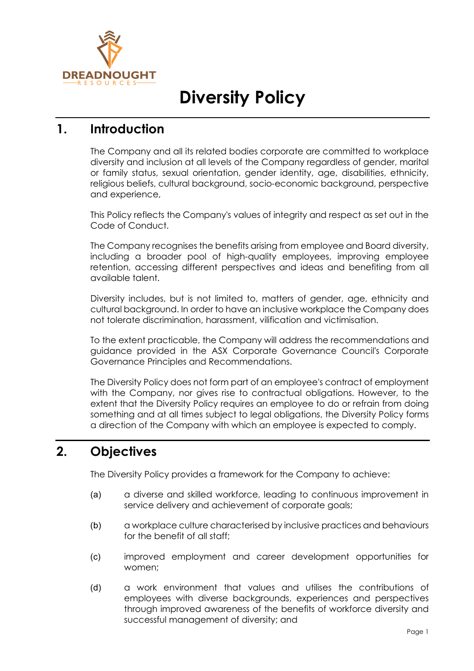

# **Diversity Policy**

## **1. Introduction**

The Company and all its related bodies corporate are committed to workplace diversity and inclusion at all levels of the Company regardless of gender, marital or family status, sexual orientation, gender identity, age, disabilities, ethnicity, religious beliefs, cultural background, socio-economic background, perspective and experience,

This Policy reflects the Company's values of integrity and respect as set out in the Code of Conduct.

The Company recognises the benefits arising from employee and Board diversity, including a broader pool of high-quality employees, improving employee retention, accessing different perspectives and ideas and benefiting from all available talent.

Diversity includes, but is not limited to, matters of gender, age, ethnicity and cultural background. In order to have an inclusive workplace the Company does not tolerate discrimination, harassment, vilification and victimisation.

To the extent practicable, the Company will address the recommendations and guidance provided in the ASX Corporate Governance Council's Corporate Governance Principles and Recommendations.

The Diversity Policy does not form part of an employee's contract of employment with the Company, nor gives rise to contractual obligations. However, to the extent that the Diversity Policy requires an employee to do or refrain from doing something and at all times subject to legal obligations, the Diversity Policy forms a direction of the Company with which an employee is expected to comply.

# **2. Objectives**

The Diversity Policy provides a framework for the Company to achieve:

- (a) a diverse and skilled workforce, leading to continuous improvement in service delivery and achievement of corporate goals;
- (b) a workplace culture characterised by inclusive practices and behaviours for the benefit of all staff;
- (c) improved employment and career development opportunities for women;
- (d) a work environment that values and utilises the contributions of employees with diverse backgrounds, experiences and perspectives through improved awareness of the benefits of workforce diversity and successful management of diversity; and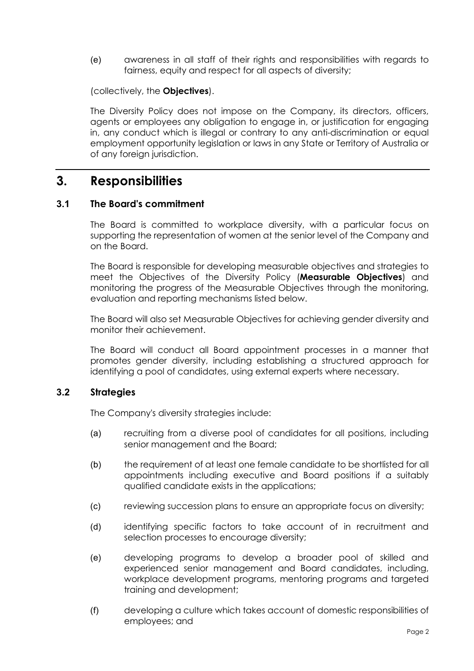(e) awareness in all staff of their rights and responsibilities with regards to fairness, equity and respect for all aspects of diversity;

(collectively, the **Objectives**).

The Diversity Policy does not impose on the Company, its directors, officers, agents or employees any obligation to engage in, or justification for engaging in, any conduct which is illegal or contrary to any anti-discrimination or equal employment opportunity legislation or laws in any State or Territory of Australia or of any foreign jurisdiction.

### **3. Responsibilities**

#### **3.1 The Board's commitment**

The Board is committed to workplace diversity, with a particular focus on supporting the representation of women at the senior level of the Company and on the Board.

The Board is responsible for developing measurable objectives and strategies to meet the Objectives of the Diversity Policy (**Measurable Objectives**) and monitoring the progress of the Measurable Objectives through the monitoring, evaluation and reporting mechanisms listed below.

The Board will also set Measurable Objectives for achieving gender diversity and monitor their achievement.

The Board will conduct all Board appointment processes in a manner that promotes gender diversity, including establishing a structured approach for identifying a pool of candidates, using external experts where necessary.

#### **3.2 Strategies**

The Company's diversity strategies include:

- (a) recruiting from a diverse pool of candidates for all positions, including senior management and the Board;
- (b) the requirement of at least one female candidate to be shortlisted for all appointments including executive and Board positions if a suitably qualified candidate exists in the applications;
- (c) reviewing succession plans to ensure an appropriate focus on diversity;
- (d) identifying specific factors to take account of in recruitment and selection processes to encourage diversity;
- (e) developing programs to develop a broader pool of skilled and experienced senior management and Board candidates, including, workplace development programs, mentoring programs and targeted training and development;
- (f) developing a culture which takes account of domestic responsibilities of employees; and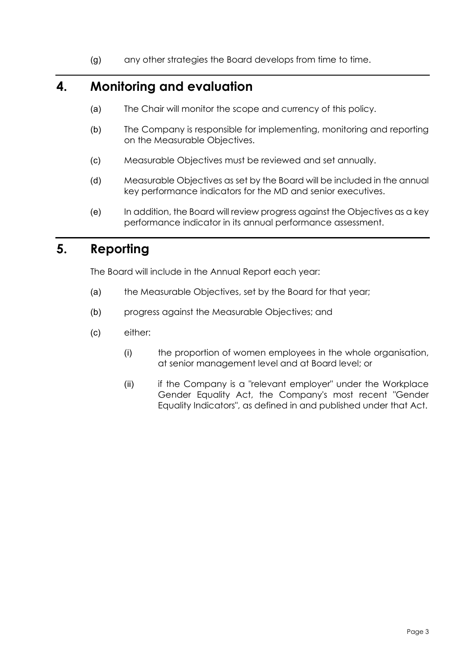(g) any other strategies the Board develops from time to time.

# **4. Monitoring and evaluation**

- (a) The Chair will monitor the scope and currency of this policy.
- (b) The Company is responsible for implementing, monitoring and reporting on the Measurable Objectives.
- (c) Measurable Objectives must be reviewed and set annually.
- (d) Measurable Objectives as set by the Board will be included in the annual key performance indicators for the MD and senior executives.
- (e) In addition, the Board will review progress against the Objectives as a key performance indicator in its annual performance assessment.

# **5. Reporting**

The Board will include in the Annual Report each year:

- (a) the Measurable Objectives, set by the Board for that year;
- (b) progress against the Measurable Objectives; and
- (c) either:
	- (i) the proportion of women employees in the whole organisation, at senior management level and at Board level; or
	- (ii) if the Company is a "relevant employer" under the Workplace Gender Equality Act, the Company's most recent "Gender Equality Indicators", as defined in and published under that Act.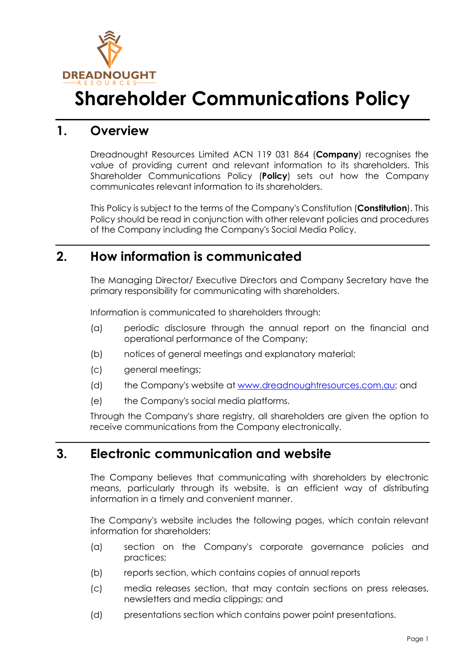

# **Shareholder Communications Policy**

### **1. Overview**

Dreadnought Resources Limited ACN 119 031 864 (**Company**) recognises the value of providing current and relevant information to its shareholders. This Shareholder Communications Policy (**Policy**) sets out how the Company communicates relevant information to its shareholders.

This Policy is subject to the terms of the Company's Constitution (**Constitution**). This Policy should be read in conjunction with other relevant policies and procedures of the Company including the Company's Social Media Policy.

### **2. How information is communicated**

The Managing Director/ Executive Directors and Company Secretary have the primary responsibility for communicating with shareholders.

Information is communicated to shareholders through:

- (a) periodic disclosure through the annual report on the financial and operational performance of the Company;
- (b) notices of general meetings and explanatory material;
- (c) general meetings;
- (d) the Company's website at [www.dreadnoughtresources.com.au;](http://www.dreadnoughtresources.com.au/) and
- (e) the Company's social media platforms.

Through the Company's share registry, all shareholders are given the option to receive communications from the Company electronically.

# **3. Electronic communication and website**

The Company believes that communicating with shareholders by electronic means, particularly through its website, is an efficient way of distributing information in a timely and convenient manner.

The Company's website includes the following pages, which contain relevant information for shareholders:

- (a) section on the Company's corporate governance policies and practices;
- (b) reports section, which contains copies of annual reports
- (c) media releases section, that may contain sections on press releases, newsletters and media clippings; and
- (d) presentations section which contains power point presentations.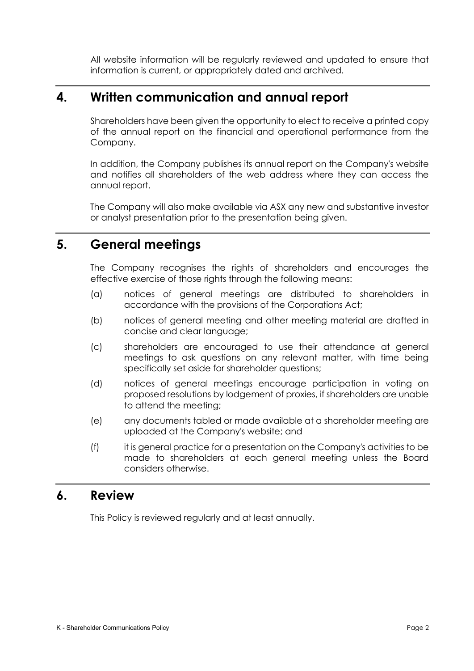All website information will be regularly reviewed and updated to ensure that information is current, or appropriately dated and archived.

### **4. Written communication and annual report**

Shareholders have been given the opportunity to elect to receive a printed copy of the annual report on the financial and operational performance from the Company.

In addition, the Company publishes its annual report on the Company's website and notifies all shareholders of the web address where they can access the annual report.

The Company will also make available via ASX any new and substantive investor or analyst presentation prior to the presentation being given.

# **5. General meetings**

The Company recognises the rights of shareholders and encourages the effective exercise of those rights through the following means:

- (a) notices of general meetings are distributed to shareholders in accordance with the provisions of the Corporations Act;
- (b) notices of general meeting and other meeting material are drafted in concise and clear language;
- (c) shareholders are encouraged to use their attendance at general meetings to ask questions on any relevant matter, with time being specifically set aside for shareholder questions;
- (d) notices of general meetings encourage participation in voting on proposed resolutions by lodgement of proxies, if shareholders are unable to attend the meeting;
- (e) any documents tabled or made available at a shareholder meeting are uploaded at the Company's website; and
- (f) it is general practice for a presentation on the Company's activities to be made to shareholders at each general meeting unless the Board considers otherwise.

### **6. Review**

This Policy is reviewed regularly and at least annually.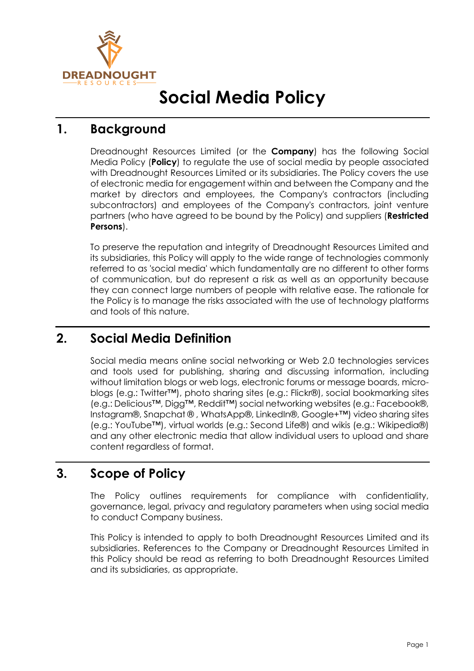

# **Social Media Policy**

# **1. Background**

Dreadnought Resources Limited (or the **Company**) has the following Social Media Policy (**Policy**) to regulate the use of social media by people associated with Dreadnought Resources Limited or its subsidiaries. The Policy covers the use of electronic media for engagement within and between the Company and the market by directors and employees, the Company's contractors (including subcontractors) and employees of the Company's contractors, joint venture partners (who have agreed to be bound by the Policy) and suppliers (**Restricted Persons**).

To preserve the reputation and integrity of Dreadnought Resources Limited and its subsidiaries, this Policy will apply to the wide range of technologies commonly referred to as 'social media' which fundamentally are no different to other forms of communication, but do represent a risk as well as an opportunity because they can connect large numbers of people with relative ease. The rationale for the Policy is to manage the risks associated with the use of technology platforms and tools of this nature.

# **2. Social Media Definition**

Social media means online social networking or Web 2.0 technologies services and tools used for publishing, sharing and discussing information, including without limitation blogs or web logs, electronic forums or message boards, microblogs (e.g.: Twitter™), photo sharing sites (e.g.: Flickr®), social bookmarking sites (e.g.: Delicious™, Digg™, Reddit™) social networking websites (e.g.: Facebook®, Instagram®, Snapchat ® , WhatsApp®, LinkedIn®, Google+™) video sharing sites (e.g.: YouTube™), virtual worlds (e.g.: Second Life®) and wikis (e.g.: Wikipedia®) and any other electronic media that allow individual users to upload and share content regardless of format.

### **3. Scope of Policy**

The Policy outlines requirements for compliance with confidentiality, governance, legal, privacy and regulatory parameters when using social media to conduct Company business.

This Policy is intended to apply to both Dreadnought Resources Limited and its subsidiaries. References to the Company or Dreadnought Resources Limited in this Policy should be read as referring to both Dreadnought Resources Limited and its subsidiaries, as appropriate.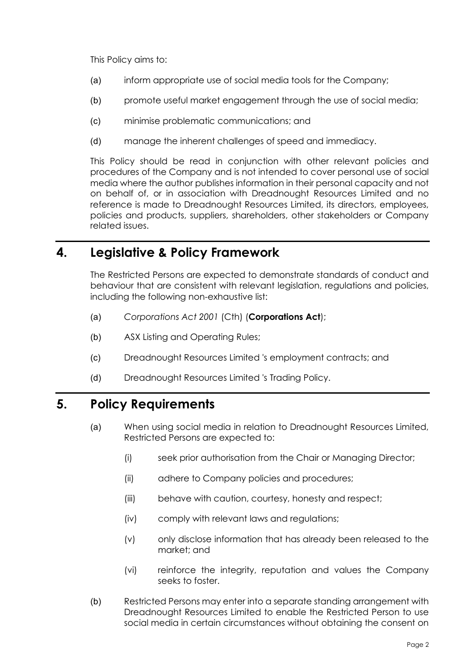This Policy aims to:

- (a) inform appropriate use of social media tools for the Company;
- (b) promote useful market engagement through the use of social media;
- (c) minimise problematic communications; and
- (d) manage the inherent challenges of speed and immediacy.

This Policy should be read in conjunction with other relevant policies and procedures of the Company and is not intended to cover personal use of social media where the author publishes information in their personal capacity and not on behalf of, or in association with Dreadnought Resources Limited and no reference is made to Dreadnought Resources Limited, its directors, employees, policies and products, suppliers, shareholders, other stakeholders or Company related issues.

### **4. Legislative & Policy Framework**

The Restricted Persons are expected to demonstrate standards of conduct and behaviour that are consistent with relevant legislation, regulations and policies, including the following non-exhaustive list:

- (a) *Corporations Act 2001* (Cth) (**Corporations Act**);
- (b) ASX Listing and Operating Rules;
- (c) Dreadnought Resources Limited 's employment contracts; and
- (d) Dreadnought Resources Limited 's Trading Policy.

# **5. Policy Requirements**

- (a) When using social media in relation to Dreadnought Resources Limited, Restricted Persons are expected to:
	- (i) seek prior authorisation from the Chair or Managing Director;
	- (ii) adhere to Company policies and procedures;
	- (iii) behave with caution, courtesy, honesty and respect;
	- (iv) comply with relevant laws and regulations;
	- (v) only disclose information that has already been released to the market; and
	- (vi) reinforce the integrity, reputation and values the Company seeks to foster.
- (b) Restricted Persons may enter into a separate standing arrangement with Dreadnought Resources Limited to enable the Restricted Person to use social media in certain circumstances without obtaining the consent on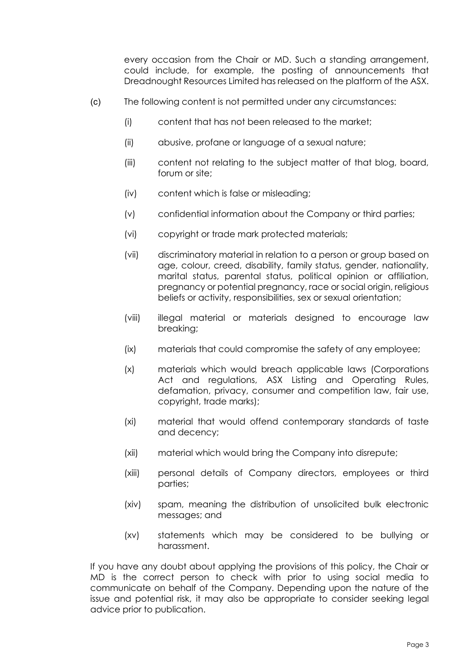every occasion from the Chair or MD. Such a standing arrangement, could include, for example, the posting of announcements that Dreadnought Resources Limited has released on the platform of the ASX.

- (c) The following content is not permitted under any circumstances:
	- (i) content that has not been released to the market;
	- (ii) abusive, profane or language of a sexual nature;
	- (iii) content not relating to the subject matter of that blog, board, forum or site;
	- (iv) content which is false or misleading;
	- (v) confidential information about the Company or third parties;
	- (vi) copyright or trade mark protected materials;
	- (vii) discriminatory material in relation to a person or group based on age, colour, creed, disability, family status, gender, nationality, marital status, parental status, political opinion or affiliation, pregnancy or potential pregnancy, race or social origin, religious beliefs or activity, responsibilities, sex or sexual orientation;
	- (viii) illegal material or materials designed to encourage law breaking;
	- (ix) materials that could compromise the safety of any employee;
	- (x) materials which would breach applicable laws (Corporations Act and regulations, ASX Listing and Operating Rules, defamation, privacy, consumer and competition law, fair use, copyright, trade marks);
	- (xi) material that would offend contemporary standards of taste and decency;
	- (xii) material which would bring the Company into disrepute;
	- (xiii) personal details of Company directors, employees or third parties;
	- (xiv) spam, meaning the distribution of unsolicited bulk electronic messages; and
	- (xv) statements which may be considered to be bullying or harassment.

If you have any doubt about applying the provisions of this policy, the Chair or MD is the correct person to check with prior to using social media to communicate on behalf of the Company. Depending upon the nature of the issue and potential risk, it may also be appropriate to consider seeking legal advice prior to publication.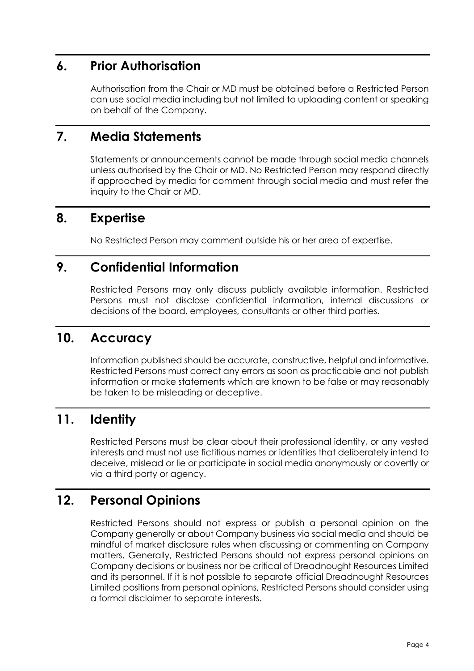# **6. Prior Authorisation**

Authorisation from the Chair or MD must be obtained before a Restricted Person can use social media including but not limited to uploading content or speaking on behalf of the Company.

## **7. Media Statements**

Statements or announcements cannot be made through social media channels unless authorised by the Chair or MD. No Restricted Person may respond directly if approached by media for comment through social media and must refer the inquiry to the Chair or MD.

### **8. Expertise**

No Restricted Person may comment outside his or her area of expertise.

### **9. Confidential Information**

Restricted Persons may only discuss publicly available information. Restricted Persons must not disclose confidential information, internal discussions or decisions of the board, employees, consultants or other third parties.

# **10. Accuracy**

Information published should be accurate, constructive, helpful and informative. Restricted Persons must correct any errors as soon as practicable and not publish information or make statements which are known to be false or may reasonably be taken to be misleading or deceptive.

# **11. Identity**

Restricted Persons must be clear about their professional identity, or any vested interests and must not use fictitious names or identities that deliberately intend to deceive, mislead or lie or participate in social media anonymously or covertly or via a third party or agency.

# **12. Personal Opinions**

Restricted Persons should not express or publish a personal opinion on the Company generally or about Company business via social media and should be mindful of market disclosure rules when discussing or commenting on Company matters. Generally, Restricted Persons should not express personal opinions on Company decisions or business nor be critical of Dreadnought Resources Limited and its personnel. If it is not possible to separate official Dreadnought Resources Limited positions from personal opinions, Restricted Persons should consider using a formal disclaimer to separate interests.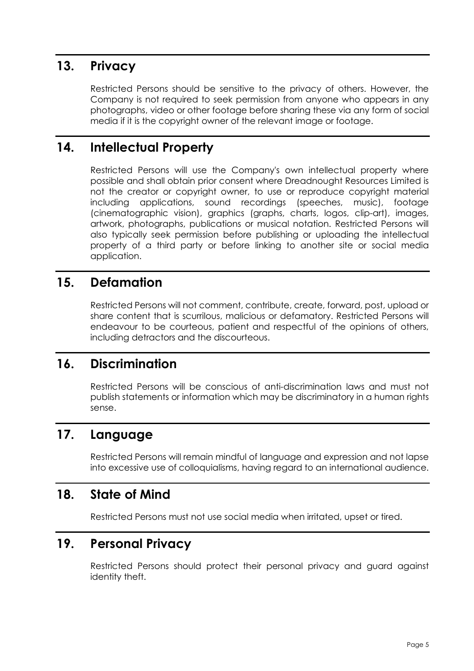# **13. Privacy**

Restricted Persons should be sensitive to the privacy of others. However, the Company is not required to seek permission from anyone who appears in any photographs, video or other footage before sharing these via any form of social media if it is the copyright owner of the relevant image or footage.

# **14. Intellectual Property**

Restricted Persons will use the Company's own intellectual property where possible and shall obtain prior consent where Dreadnought Resources Limited is not the creator or copyright owner, to use or reproduce copyright material including applications, sound recordings (speeches, music), footage (cinematographic vision), graphics (graphs, charts, logos, clip-art), images, artwork, photographs, publications or musical notation. Restricted Persons will also typically seek permission before publishing or uploading the intellectual property of a third party or before linking to another site or social media application.

### **15. Defamation**

Restricted Persons will not comment, contribute, create, forward, post, upload or share content that is scurrilous, malicious or defamatory. Restricted Persons will endeavour to be courteous, patient and respectful of the opinions of others, including detractors and the discourteous.

### **16. Discrimination**

Restricted Persons will be conscious of anti-discrimination laws and must not publish statements or information which may be discriminatory in a human rights sense.

### **17. Language**

Restricted Persons will remain mindful of language and expression and not lapse into excessive use of colloquialisms, having regard to an international audience.

### **18. State of Mind**

Restricted Persons must not use social media when irritated, upset or tired.

### **19. Personal Privacy**

Restricted Persons should protect their personal privacy and guard against identity theft.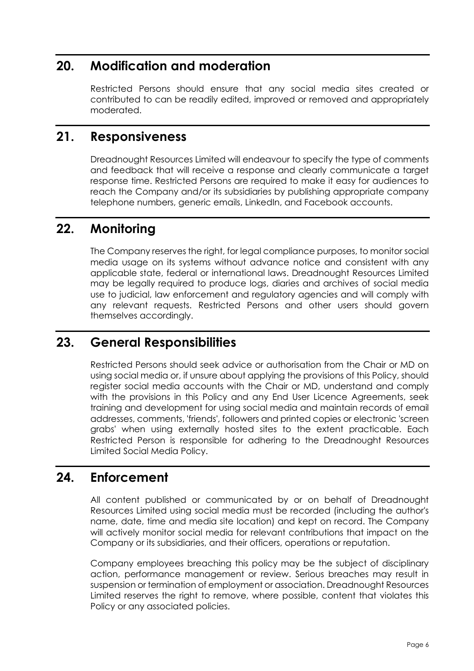# **20. Modification and moderation**

Restricted Persons should ensure that any social media sites created or contributed to can be readily edited, improved or removed and appropriately moderated.

### **21. Responsiveness**

Dreadnought Resources Limited will endeavour to specify the type of comments and feedback that will receive a response and clearly communicate a target response time. Restricted Persons are required to make it easy for audiences to reach the Company and/or its subsidiaries by publishing appropriate company telephone numbers, generic emails, LinkedIn, and Facebook accounts.

# **22. Monitoring**

The Company reserves the right, for legal compliance purposes, to monitor social media usage on its systems without advance notice and consistent with any applicable state, federal or international laws. Dreadnought Resources Limited may be legally required to produce logs, diaries and archives of social media use to judicial, law enforcement and regulatory agencies and will comply with any relevant requests. Restricted Persons and other users should govern themselves accordingly.

### **23. General Responsibilities**

Restricted Persons should seek advice or authorisation from the Chair or MD on using social media or, if unsure about applying the provisions of this Policy, should register social media accounts with the Chair or MD, understand and comply with the provisions in this Policy and any End User Licence Agreements, seek training and development for using social media and maintain records of email addresses, comments, 'friends', followers and printed copies or electronic 'screen grabs' when using externally hosted sites to the extent practicable. Each Restricted Person is responsible for adhering to the Dreadnought Resources Limited Social Media Policy.

### **24. Enforcement**

All content published or communicated by or on behalf of Dreadnought Resources Limited using social media must be recorded (including the author's name, date, time and media site location) and kept on record. The Company will actively monitor social media for relevant contributions that impact on the Company or its subsidiaries, and their officers, operations or reputation.

Company employees breaching this policy may be the subject of disciplinary action, performance management or review. Serious breaches may result in suspension or termination of employment or association. Dreadnought Resources Limited reserves the right to remove, where possible, content that violates this Policy or any associated policies.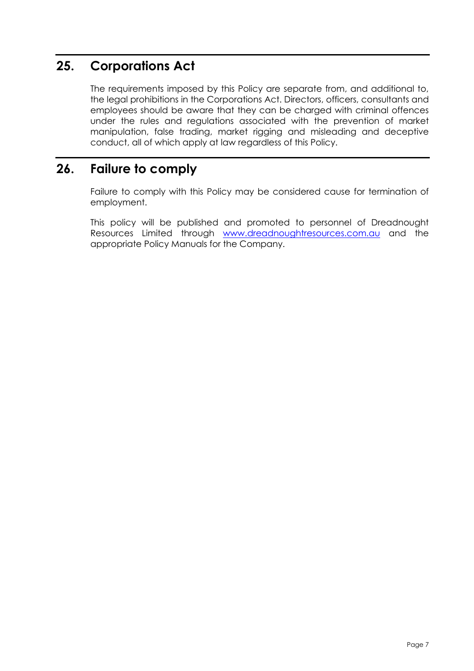# **25. Corporations Act**

The requirements imposed by this Policy are separate from, and additional to, the legal prohibitions in the Corporations Act. Directors, officers, consultants and employees should be aware that they can be charged with criminal offences under the rules and regulations associated with the prevention of market manipulation, false trading, market rigging and misleading and deceptive conduct, all of which apply at law regardless of this Policy.

# **26. Failure to comply**

Failure to comply with this Policy may be considered cause for termination of employment.

This policy will be published and promoted to personnel of Dreadnought Resources Limited through [www.dreadnoughtresources.com.au](http://www.dreadnoughtresources.com.au/) and the appropriate Policy Manuals for the Company.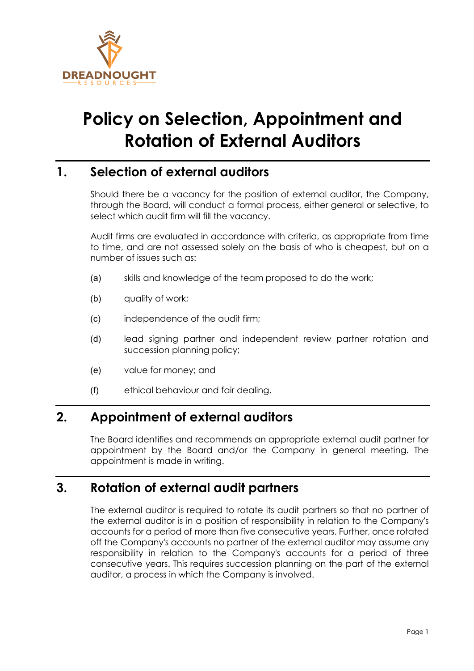

# **Policy on Selection, Appointment and Rotation of External Auditors**

# **1. Selection of external auditors**

Should there be a vacancy for the position of external auditor, the Company, through the Board, will conduct a formal process, either general or selective, to select which audit firm will fill the vacancy.

Audit firms are evaluated in accordance with criteria, as appropriate from time to time, and are not assessed solely on the basis of who is cheapest, but on a number of issues such as:

- (a) skills and knowledge of the team proposed to do the work;
- (b) quality of work;
- (c) independence of the audit firm;
- (d) lead signing partner and independent review partner rotation and succession planning policy;
- (e) value for money; and
- (f) ethical behaviour and fair dealing.

### **2. Appointment of external auditors**

The Board identifies and recommends an appropriate external audit partner for appointment by the Board and/or the Company in general meeting. The appointment is made in writing.

# **3. Rotation of external audit partners**

The external auditor is required to rotate its audit partners so that no partner of the external auditor is in a position of responsibility in relation to the Company's accounts for a period of more than five consecutive years. Further, once rotated off the Company's accounts no partner of the external auditor may assume any responsibility in relation to the Company's accounts for a period of three consecutive years. This requires succession planning on the part of the external auditor, a process in which the Company is involved.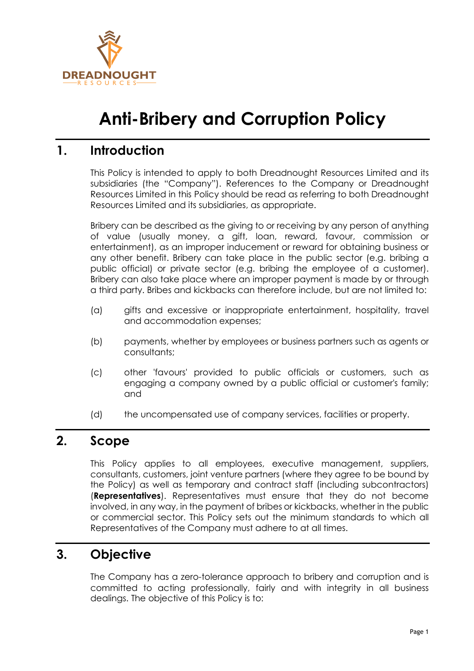

# **Anti-Bribery and Corruption Policy**

### **1. Introduction**

This Policy is intended to apply to both Dreadnought Resources Limited and its subsidiaries (the "Company"). References to the Company or Dreadnought Resources Limited in this Policy should be read as referring to both Dreadnought Resources Limited and its subsidiaries, as appropriate.

Bribery can be described as the giving to or receiving by any person of anything of value (usually money, a gift, loan, reward, favour, commission or entertainment), as an improper inducement or reward for obtaining business or any other benefit. Bribery can take place in the public sector (e.g. bribing a public official) or private sector (e.g. bribing the employee of a customer). Bribery can also take place where an improper payment is made by or through a third party. Bribes and kickbacks can therefore include, but are not limited to:

- (a) gifts and excessive or inappropriate entertainment, hospitality, travel and accommodation expenses;
- (b) payments, whether by employees or business partners such as agents or consultants;
- (c) other 'favours' provided to public officials or customers, such as engaging a company owned by a public official or customer's family; and
- (d) the uncompensated use of company services, facilities or property.

#### **2. Scope**

This Policy applies to all employees, executive management, suppliers, consultants, customers, joint venture partners (where they agree to be bound by the Policy) as well as temporary and contract staff (including subcontractors) (**Representatives**). Representatives must ensure that they do not become involved, in any way, in the payment of bribes or kickbacks, whether in the public or commercial sector. This Policy sets out the minimum standards to which all Representatives of the Company must adhere to at all times.

### **3. Objective**

The Company has a zero-tolerance approach to bribery and corruption and is committed to acting professionally, fairly and with integrity in all business dealings. The objective of this Policy is to: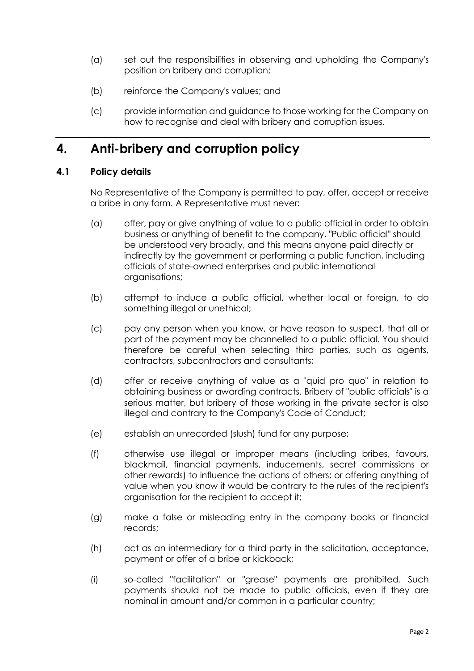- (a) set out the responsibilities in observing and upholding the Company's position on bribery and corruption;
- (b) reinforce the Company's values; and
- (c) provide information and guidance to those working for the Company on how to recognise and deal with bribery and corruption issues.

### **4. Anti-bribery and corruption policy**

#### **4.1 Policy details**

No Representative of the Company is permitted to pay, offer, accept or receive a bribe in any form. A Representative must never:

- (a) offer, pay or give anything of value to a public official in order to obtain business or anything of benefit to the company. "Public official" should be understood very broadly, and this means anyone paid directly or indirectly by the government or performing a public function, including officials of state-owned enterprises and public international organisations;
- (b) attempt to induce a public official, whether local or foreign, to do something illegal or unethical;
- (c) pay any person when you know, or have reason to suspect, that all or part of the payment may be channelled to a public official. You should therefore be careful when selecting third parties, such as agents, contractors, subcontractors and consultants;
- (d) offer or receive anything of value as a "quid pro quo" in relation to obtaining business or awarding contracts. Bribery of "public officials" is a serious matter, but bribery of those working in the private sector is also illegal and contrary to the Company's Code of Conduct;
- (e) establish an unrecorded (slush) fund for any purpose;
- (f) otherwise use illegal or improper means (including bribes, favours, blackmail, financial payments, inducements, secret commissions or other rewards) to influence the actions of others; or offering anything of value when you know it would be contrary to the rules of the recipient's organisation for the recipient to accept it;
- (g) make a false or misleading entry in the company books or financial records;
- (h) act as an intermediary for a third party in the solicitation, acceptance, payment or offer of a bribe or kickback;
- (i) so-called "facilitation" or "grease" payments are prohibited. Such payments should not be made to public officials, even if they are nominal in amount and/or common in a particular country;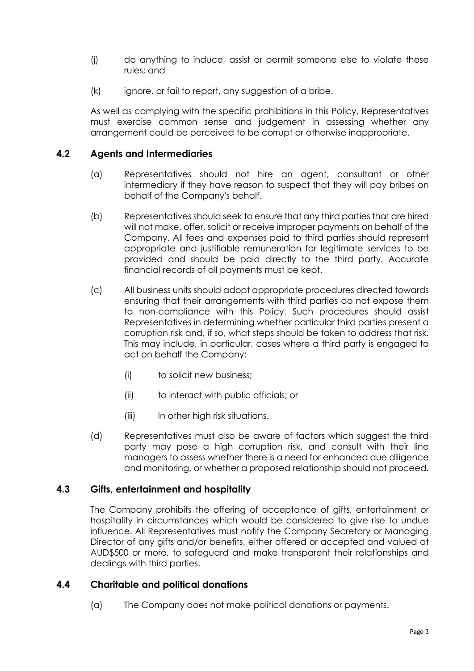- (j) do anything to induce, assist or permit someone else to violate these rules; and
- (k) ignore, or fail to report, any suggestion of a bribe.

As well as complying with the specific prohibitions in this Policy, Representatives must exercise common sense and judgement in assessing whether any arrangement could be perceived to be corrupt or otherwise inappropriate.

#### **4.2 Agents and Intermediaries**

- (a) Representatives should not hire an agent, consultant or other intermediary if they have reason to suspect that they will pay bribes on behalf of the Company's behalf.
- (b) Representatives should seek to ensure that any third parties that are hired will not make, offer, solicit or receive improper payments on behalf of the Company. All fees and expenses paid to third parties should represent appropriate and justifiable remuneration for legitimate services to be provided and should be paid directly to the third party. Accurate financial records of all payments must be kept.
- (c) All business units should adopt appropriate procedures directed towards ensuring that their arrangements with third parties do not expose them to non-compliance with this Policy. Such procedures should assist Representatives in determining whether particular third parties present a corruption risk and, if so, what steps should be taken to address that risk. This may include, in particular, cases where a third party is engaged to act on behalf the Company:
	- (i) to solicit new business;
	- (ii) to interact with public officials; or
	- (iii) In other high risk situations.
- (d) Representatives must also be aware of factors which suggest the third party may pose a high corruption risk, and consult with their line managers to assess whether there is a need for enhanced due diligence and monitoring, or whether a proposed relationship should not proceed.

#### **4.3 Gifts, entertainment and hospitality**

The Company prohibits the offering of acceptance of gifts, entertainment or hospitality in circumstances which would be considered to give rise to undue influence. All Representatives must notify the Company Secretary or Managing Director of any gifts and/or benefits, either offered or accepted and valued at AUD\$500 or more, to safeguard and make transparent their relationships and dealings with third parties.

#### **4.4 Charitable and political donations**

(a) The Company does not make political donations or payments.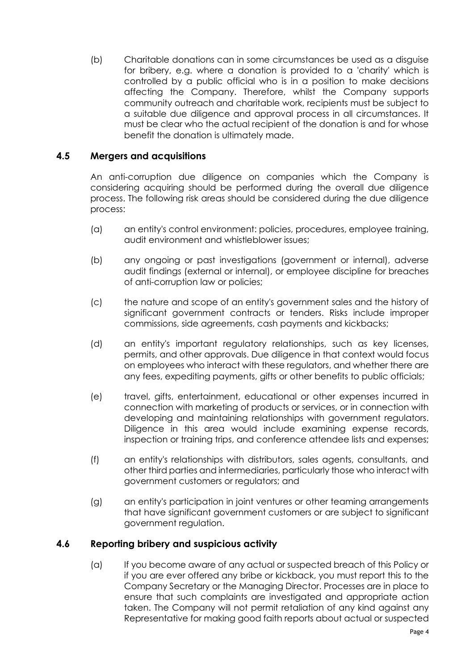(b) Charitable donations can in some circumstances be used as a disguise for bribery, e.g. where a donation is provided to a 'charity' which is controlled by a public official who is in a position to make decisions affecting the Company. Therefore, whilst the Company supports community outreach and charitable work, recipients must be subject to a suitable due diligence and approval process in all circumstances. It must be clear who the actual recipient of the donation is and for whose benefit the donation is ultimately made.

#### **4.5 Mergers and acquisitions**

An anti-corruption due diligence on companies which the Company is considering acquiring should be performed during the overall due diligence process. The following risk areas should be considered during the due diligence process:

- (a) an entity's control environment: policies, procedures, employee training, audit environment and whistleblower issues;
- (b) any ongoing or past investigations (government or internal), adverse audit findings (external or internal), or employee discipline for breaches of anti-corruption law or policies;
- (c) the nature and scope of an entity's government sales and the history of significant government contracts or tenders. Risks include improper commissions, side agreements, cash payments and kickbacks;
- (d) an entity's important regulatory relationships, such as key licenses, permits, and other approvals. Due diligence in that context would focus on employees who interact with these regulators, and whether there are any fees, expediting payments, gifts or other benefits to public officials;
- (e) travel, gifts, entertainment, educational or other expenses incurred in connection with marketing of products or services, or in connection with developing and maintaining relationships with government regulators. Diligence in this area would include examining expense records, inspection or training trips, and conference attendee lists and expenses;
- (f) an entity's relationships with distributors, sales agents, consultants, and other third parties and intermediaries, particularly those who interact with government customers or regulators; and
- (g) an entity's participation in joint ventures or other teaming arrangements that have significant government customers or are subject to significant government regulation.

#### **4.6 Reporting bribery and suspicious activity**

(a) If you become aware of any actual or suspected breach of this Policy or if you are ever offered any bribe or kickback, you must report this to the Company Secretary or the Managing Director. Processes are in place to ensure that such complaints are investigated and appropriate action taken. The Company will not permit retaliation of any kind against any Representative for making good faith reports about actual or suspected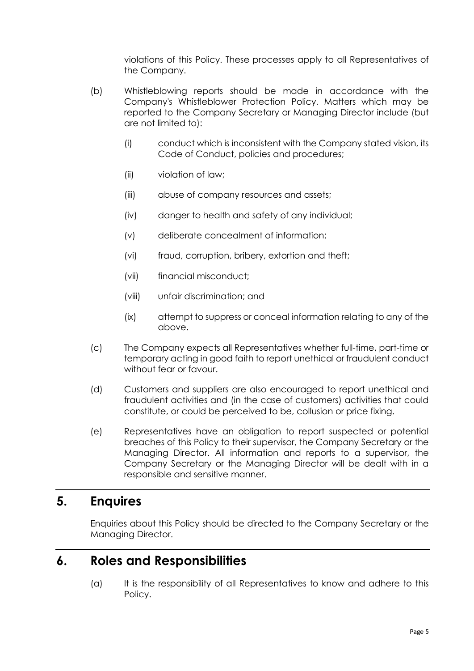violations of this Policy. These processes apply to all Representatives of the Company.

- (b) Whistleblowing reports should be made in accordance with the Company's Whistleblower Protection Policy. Matters which may be reported to the Company Secretary or Managing Director include (but are not limited to):
	- (i) conduct which is inconsistent with the Company stated vision, its Code of Conduct, policies and procedures;
	- (ii) violation of law;
	- (iii) abuse of company resources and assets;
	- (iv) danger to health and safety of any individual;
	- (v) deliberate concealment of information;
	- (vi) fraud, corruption, bribery, extortion and theft;
	- (vii) financial misconduct;
	- (viii) unfair discrimination; and
	- (ix) attempt to suppress or conceal information relating to any of the above.
- (c) The Company expects all Representatives whether full-time, part-time or temporary acting in good faith to report unethical or fraudulent conduct without fear or favour.
- (d) Customers and suppliers are also encouraged to report unethical and fraudulent activities and (in the case of customers) activities that could constitute, or could be perceived to be, collusion or price fixing.
- (e) Representatives have an obligation to report suspected or potential breaches of this Policy to their supervisor, the Company Secretary or the Managing Director. All information and reports to a supervisor, the Company Secretary or the Managing Director will be dealt with in a responsible and sensitive manner.

#### **5. Enquires**

Enquiries about this Policy should be directed to the Company Secretary or the Managing Director.

#### **6. Roles and Responsibilities**

(a) It is the responsibility of all Representatives to know and adhere to this Policy.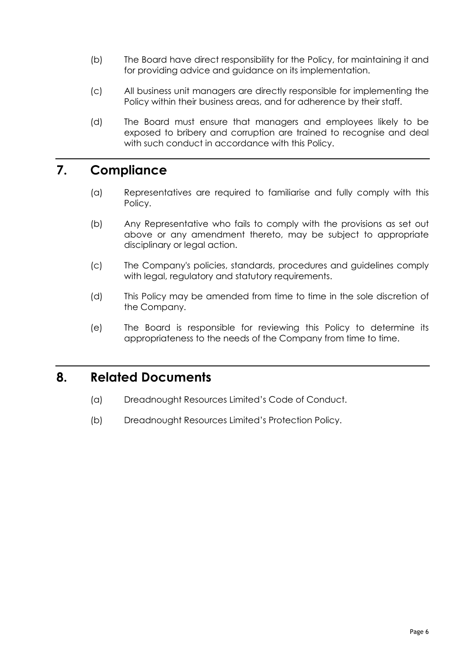- (b) The Board have direct responsibility for the Policy, for maintaining it and for providing advice and guidance on its implementation.
- (c) All business unit managers are directly responsible for implementing the Policy within their business areas, and for adherence by their staff.
- (d) The Board must ensure that managers and employees likely to be exposed to bribery and corruption are trained to recognise and deal with such conduct in accordance with this Policy.

# **7. Compliance**

- (a) Representatives are required to familiarise and fully comply with this Policy.
- (b) Any Representative who fails to comply with the provisions as set out above or any amendment thereto, may be subject to appropriate disciplinary or legal action.
- (c) The Company's policies, standards, procedures and guidelines comply with legal, regulatory and statutory requirements.
- (d) This Policy may be amended from time to time in the sole discretion of the Company.
- (e) The Board is responsible for reviewing this Policy to determine its appropriateness to the needs of the Company from time to time.

### **8. Related Documents**

- (a) Dreadnought Resources Limited's Code of Conduct.
- (b) Dreadnought Resources Limited's Protection Policy.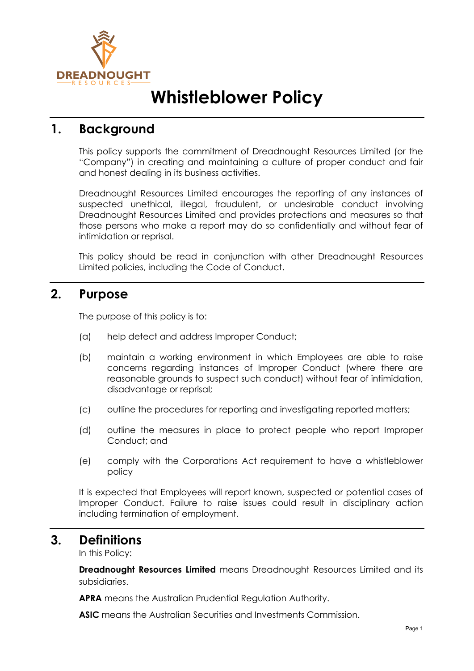

# **Whistleblower Policy**

### **1. Background**

This policy supports the commitment of Dreadnought Resources Limited (or the "Company") in creating and maintaining a culture of proper conduct and fair and honest dealing in its business activities.

Dreadnought Resources Limited encourages the reporting of any instances of suspected unethical, illegal, fraudulent, or undesirable conduct involving Dreadnought Resources Limited and provides protections and measures so that those persons who make a report may do so confidentially and without fear of intimidation or reprisal.

This policy should be read in conjunction with other Dreadnought Resources Limited policies, including the Code of Conduct.

### **2. Purpose**

The purpose of this policy is to:

- (a) help detect and address Improper Conduct;
- (b) maintain a working environment in which Employees are able to raise concerns regarding instances of Improper Conduct (where there are reasonable grounds to suspect such conduct) without fear of intimidation, disadvantage or reprisal;
- (c) outline the procedures for reporting and investigating reported matters;
- (d) outline the measures in place to protect people who report Improper Conduct; and
- (e) comply with the Corporations Act requirement to have a whistleblower policy

It is expected that Employees will report known, suspected or potential cases of Improper Conduct. Failure to raise issues could result in disciplinary action including termination of employment.

#### **3. Definitions**

In this Policy:

**Dreadnought Resources Limited** means Dreadnought Resources Limited and its subsidiaries.

**APRA** means the Australian Prudential Regulation Authority.

**ASIC** means the Australian Securities and Investments Commission.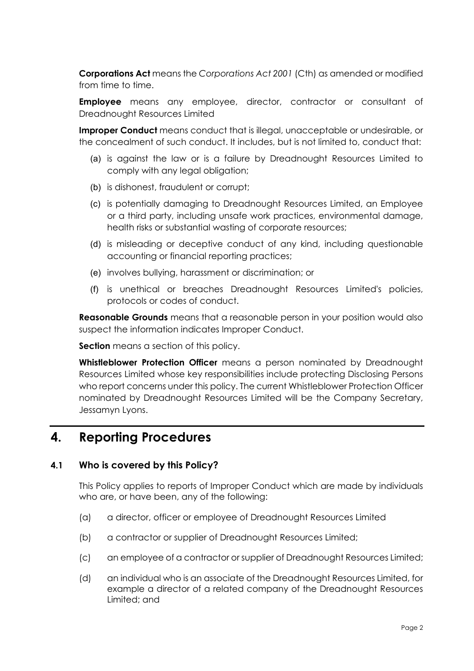**Corporations Act** means the *Corporations Act 2001* (Cth) as amended or modified from time to time.

**Employee** means any employee, director, contractor or consultant of Dreadnought Resources Limited

**Improper Conduct** means conduct that is illegal, unacceptable or undesirable, or the concealment of such conduct. It includes, but is not limited to, conduct that:

- (a) is against the law or is a failure by Dreadnought Resources Limited to comply with any legal obligation;
- (b) is dishonest, fraudulent or corrupt;
- (c) is potentially damaging to Dreadnought Resources Limited, an Employee or a third party, including unsafe work practices, environmental damage, health risks or substantial wasting of corporate resources;
- (d) is misleading or deceptive conduct of any kind, including questionable accounting or financial reporting practices;
- (e) involves bullying, harassment or discrimination; or
- (f) is unethical or breaches Dreadnought Resources Limited's policies, protocols or codes of conduct.

**Reasonable Grounds** means that a reasonable person in your position would also suspect the information indicates Improper Conduct.

**Section** means a section of this policy.

**Whistleblower Protection Officer** means a person nominated by Dreadnought Resources Limited whose key responsibilities include protecting Disclosing Persons who report concerns under this policy. The current Whistleblower Protection Officer nominated by Dreadnought Resources Limited will be the Company Secretary, Jessamyn Lyons.

### **4. Reporting Procedures**

#### **4.1 Who is covered by this Policy?**

This Policy applies to reports of Improper Conduct which are made by individuals who are, or have been, any of the following:

- (a) a director, officer or employee of Dreadnought Resources Limited
- (b) a contractor or supplier of Dreadnought Resources Limited;
- (c) an employee of a contractor or supplier of Dreadnought Resources Limited;
- (d) an individual who is an associate of the Dreadnought Resources Limited, for example a director of a related company of the Dreadnought Resources Limited; and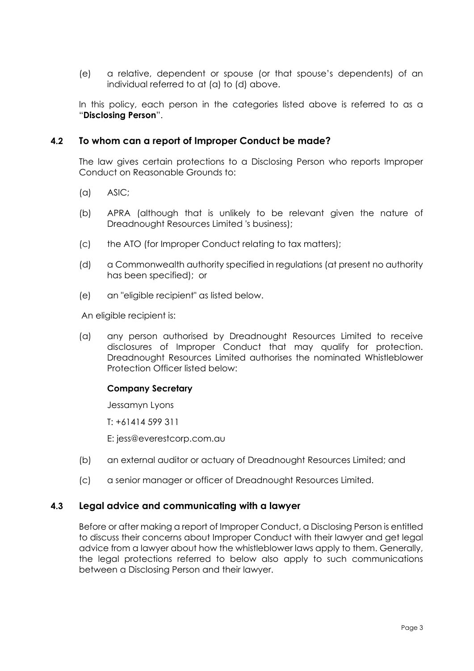(e) a relative, dependent or spouse (or that spouse's dependents) of an individual referred to at (a) to (d) above.

In this policy, each person in the categories listed above is referred to as a "**Disclosing Person**".

#### **4.2 To whom can a report of Improper Conduct be made?**

The law gives certain protections to a Disclosing Person who reports Improper Conduct on Reasonable Grounds to:

- (a) ASIC;
- (b) APRA (although that is unlikely to be relevant given the nature of Dreadnought Resources Limited 's business);
- (c) the ATO (for Improper Conduct relating to tax matters);
- (d) a Commonwealth authority specified in regulations (at present no authority has been specified); or
- (e) an "eligible recipient" as listed below.

An eligible recipient is:

(a) any person authorised by Dreadnought Resources Limited to receive disclosures of Improper Conduct that may qualify for protection. Dreadnought Resources Limited authorises the nominated Whistleblower Protection Officer listed below:

#### **Company Secretary**

Jessamyn Lyons

T: +61414 599 311

E: jess@everestcorp.com.au

- (b) an external auditor or actuary of Dreadnought Resources Limited; and
- (c) a senior manager or officer of Dreadnought Resources Limited.

#### **4.3 Legal advice and communicating with a lawyer**

Before or after making a report of Improper Conduct, a Disclosing Person is entitled to discuss their concerns about Improper Conduct with their lawyer and get legal advice from a lawyer about how the whistleblower laws apply to them. Generally, the legal protections referred to below also apply to such communications between a Disclosing Person and their lawyer.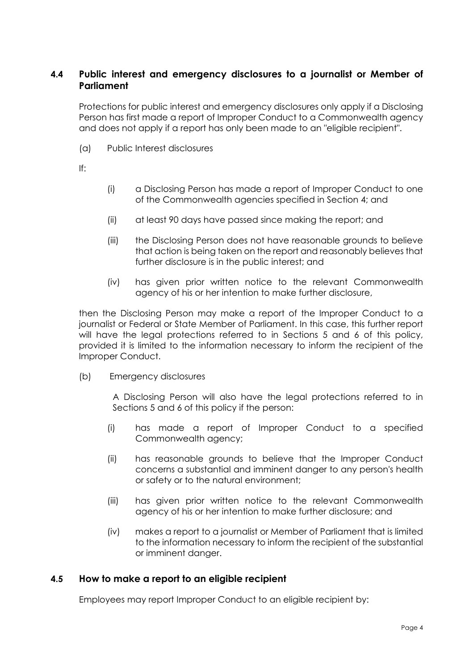#### **4.4 Public interest and emergency disclosures to a journalist or Member of Parliament**

Protections for public interest and emergency disclosures only apply if a Disclosing Person has first made a report of Improper Conduct to a Commonwealth agency and does not apply if a report has only been made to an "eligible recipient".

(a) Public Interest disclosures

If:

- (i) a Disclosing Person has made a report of Improper Conduct to one of the Commonwealth agencies specified in Section 4; and
- (ii) at least 90 days have passed since making the report; and
- (iii) the Disclosing Person does not have reasonable grounds to believe that action is being taken on the report and reasonably believes that further disclosure is in the public interest; and
- (iv) has given prior written notice to the relevant Commonwealth agency of his or her intention to make further disclosure,

then the Disclosing Person may make a report of the Improper Conduct to a journalist or Federal or State Member of Parliament. In this case, this further report will have the legal protections referred to in Sections 5 and 6 of this policy, provided it is limited to the information necessary to inform the recipient of the Improper Conduct.

(b) Emergency disclosures

A Disclosing Person will also have the legal protections referred to in Sections 5 and 6 of this policy if the person:

- (i) has made a report of Improper Conduct to a specified Commonwealth agency;
- (ii) has reasonable grounds to believe that the Improper Conduct concerns a substantial and imminent danger to any person's health or safety or to the natural environment;
- (iii) has given prior written notice to the relevant Commonwealth agency of his or her intention to make further disclosure; and
- (iv) makes a report to a journalist or Member of Parliament that is limited to the information necessary to inform the recipient of the substantial or imminent danger.

#### **4.5 How to make a report to an eligible recipient**

Employees may report Improper Conduct to an eligible recipient by: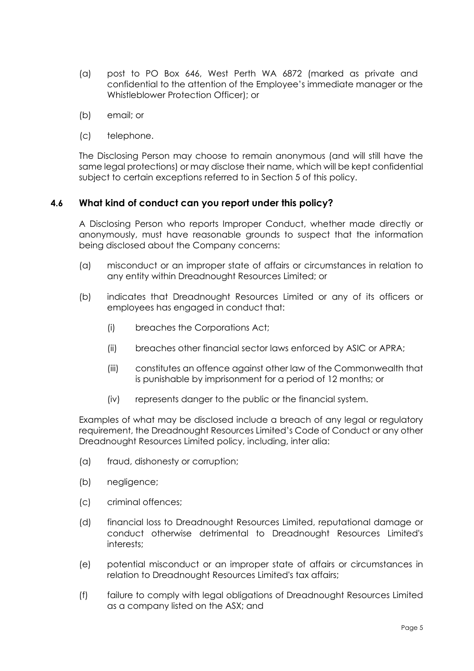- (a) post to PO Box 646, West Perth WA 6872 (marked as private and confidential to the attention of the Employee's immediate manager or the Whistleblower Protection Officer); or
- (b) email; or
- (c) telephone.

The Disclosing Person may choose to remain anonymous (and will still have the same legal protections) or may disclose their name, which will be kept confidential subject to certain exceptions referred to in Section 5 of this policy.

#### **4.6 What kind of conduct can you report under this policy?**

A Disclosing Person who reports Improper Conduct, whether made directly or anonymously, must have reasonable grounds to suspect that the information being disclosed about the Company concerns:

- (a) misconduct or an improper state of affairs or circumstances in relation to any entity within Dreadnought Resources Limited; or
- (b) indicates that Dreadnought Resources Limited or any of its officers or employees has engaged in conduct that:
	- (i) breaches the Corporations Act;
	- (ii) breaches other financial sector laws enforced by ASIC or APRA;
	- (iii) constitutes an offence against other law of the Commonwealth that is punishable by imprisonment for a period of 12 months; or
	- (iv) represents danger to the public or the financial system.

Examples of what may be disclosed include a breach of any legal or regulatory requirement, the Dreadnought Resources Limited's Code of Conduct or any other Dreadnought Resources Limited policy, including, inter alia:

- (a) fraud, dishonesty or corruption;
- (b) negligence;
- (c) criminal offences;
- (d) financial loss to Dreadnought Resources Limited, reputational damage or conduct otherwise detrimental to Dreadnought Resources Limited's interests;
- (e) potential misconduct or an improper state of affairs or circumstances in relation to Dreadnought Resources Limited's tax affairs;
- (f) failure to comply with legal obligations of Dreadnought Resources Limited as a company listed on the ASX; and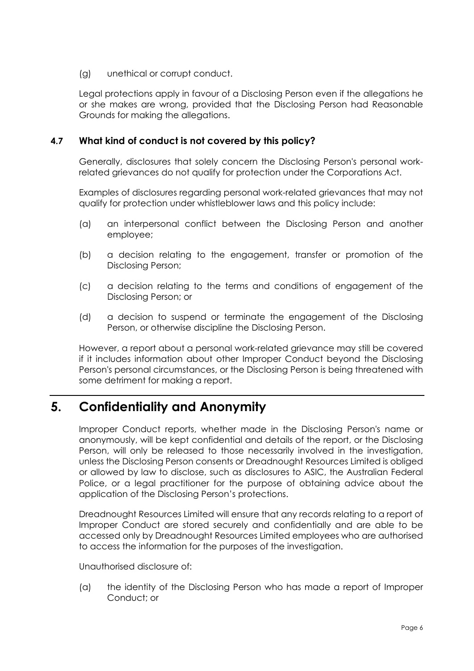(g) unethical or corrupt conduct.

Legal protections apply in favour of a Disclosing Person even if the allegations he or she makes are wrong, provided that the Disclosing Person had Reasonable Grounds for making the allegations.

#### **4.7 What kind of conduct is not covered by this policy?**

Generally, disclosures that solely concern the Disclosing Person's personal workrelated grievances do not qualify for protection under the Corporations Act.

Examples of disclosures regarding personal work-related grievances that may not qualify for protection under whistleblower laws and this policy include:

- (a) an interpersonal conflict between the Disclosing Person and another employee;
- (b) a decision relating to the engagement, transfer or promotion of the Disclosing Person;
- (c) a decision relating to the terms and conditions of engagement of the Disclosing Person; or
- (d) a decision to suspend or terminate the engagement of the Disclosing Person, or otherwise discipline the Disclosing Person.

However, a report about a personal work-related grievance may still be covered if it includes information about other Improper Conduct beyond the Disclosing Person's personal circumstances, or the Disclosing Person is being threatened with some detriment for making a report.

### **5. Confidentiality and Anonymity**

Improper Conduct reports, whether made in the Disclosing Person's name or anonymously, will be kept confidential and details of the report, or the Disclosing Person, will only be released to those necessarily involved in the investigation, unless the Disclosing Person consents or Dreadnought Resources Limited is obliged or allowed by law to disclose, such as disclosures to ASIC, the Australian Federal Police, or a legal practitioner for the purpose of obtaining advice about the application of the Disclosing Person's protections.

Dreadnought Resources Limited will ensure that any records relating to a report of Improper Conduct are stored securely and confidentially and are able to be accessed only by Dreadnought Resources Limited employees who are authorised to access the information for the purposes of the investigation.

Unauthorised disclosure of:

(a) the identity of the Disclosing Person who has made a report of Improper Conduct; or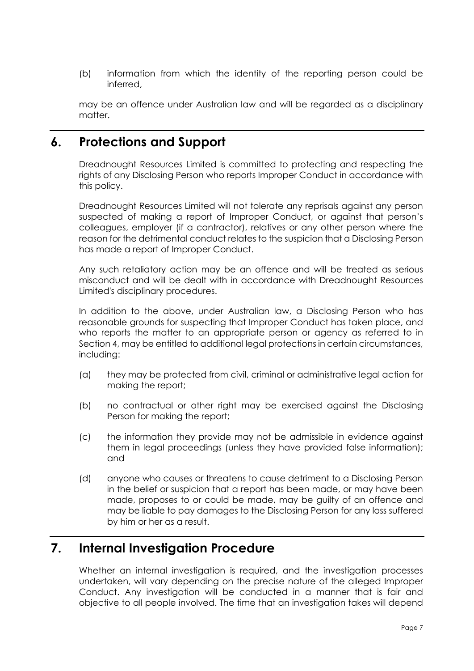(b) information from which the identity of the reporting person could be inferred,

may be an offence under Australian law and will be regarded as a disciplinary matter.

### **6. Protections and Support**

Dreadnought Resources Limited is committed to protecting and respecting the rights of any Disclosing Person who reports Improper Conduct in accordance with this policy.

Dreadnought Resources Limited will not tolerate any reprisals against any person suspected of making a report of Improper Conduct, or against that person's colleagues, employer (if a contractor), relatives or any other person where the reason for the detrimental conduct relates to the suspicion that a Disclosing Person has made a report of Improper Conduct.

Any such retaliatory action may be an offence and will be treated as serious misconduct and will be dealt with in accordance with Dreadnought Resources Limited's disciplinary procedures.

In addition to the above, under Australian law, a Disclosing Person who has reasonable grounds for suspecting that Improper Conduct has taken place, and who reports the matter to an appropriate person or agency as referred to in Section 4, may be entitled to additional legal protections in certain circumstances, including:

- (a) they may be protected from civil, criminal or administrative legal action for making the report;
- (b) no contractual or other right may be exercised against the Disclosing Person for making the report;
- (c) the information they provide may not be admissible in evidence against them in legal proceedings (unless they have provided false information); and
- (d) anyone who causes or threatens to cause detriment to a Disclosing Person in the belief or suspicion that a report has been made, or may have been made, proposes to or could be made, may be guilty of an offence and may be liable to pay damages to the Disclosing Person for any loss suffered by him or her as a result.

### **7. Internal Investigation Procedure**

Whether an internal investigation is required, and the investigation processes undertaken, will vary depending on the precise nature of the alleged Improper Conduct. Any investigation will be conducted in a manner that is fair and objective to all people involved. The time that an investigation takes will depend